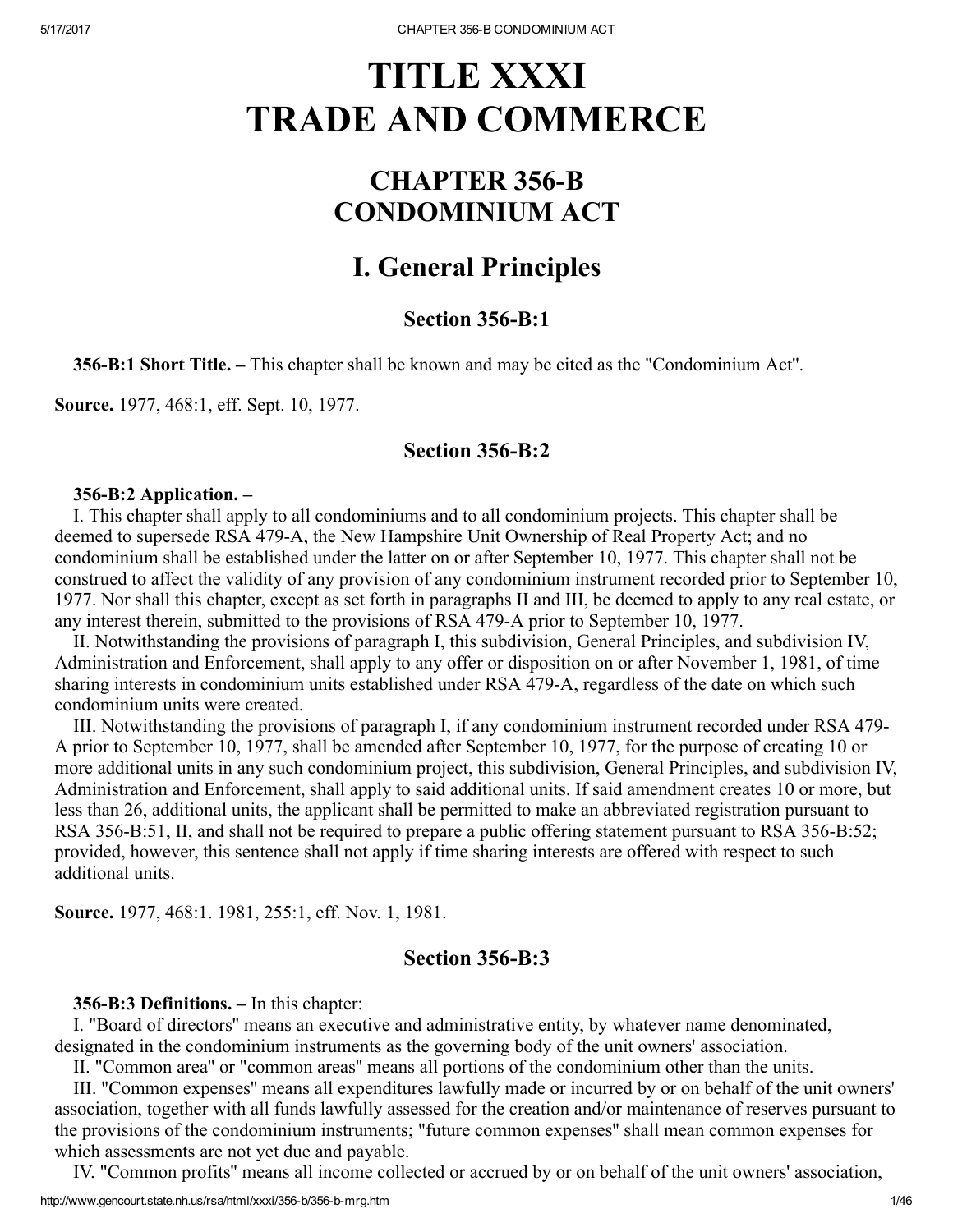# TITLE XXXI TRADE AND COMMERCE

# **CHAPTER 356-B** CONDOMINIUM ACT

# I. General Principles

# **Section 356-B:1**

**356-B:1 Short Title.** – This chapter shall be known and may be cited as the "Condominium Act".

Source. 1977, 468:1, eff. Sept. 10, 1977.

# **Section 356-B:2**

### $356-B:2$  Application.  $-$

I. This chapter shall apply to all condominiums and to all condominium projects. This chapter shall be deemed to supersede RSA 479-A, the New Hampshire Unit Ownership of Real Property Act; and no condominium shall be established under the latter on or after September 10, 1977. This chapter shall not be construed to affect the validity of any provision of any condominium instrument recorded prior to September 10, 1977. Nor shall this chapter, except as set forth in paragraphs II and III, be deemed to apply to any real estate, or any interest therein, submitted to the provisions of RSA 479-A prior to September 10, 1977.

II. Notwithstanding the provisions of paragraph I, this subdivision, General Principles, and subdivision IV, Administration and Enforcement, shall apply to any offer or disposition on or after November 1, 1981, of time sharing interests in condominium units established under RSA 479-A, regardless of the date on which such condominium units were created.

III. Notwithstanding the provisions of paragraph I, if any condominium instrument recorded under RSA 479 A prior to September 10, 1977, shall be amended after September 10, 1977, for the purpose of creating 10 or more additional units in any such condominium project, this subdivision, General Principles, and subdivision IV, Administration and Enforcement, shall apply to said additional units. If said amendment creates 10 or more, but less than 26, additional units, the applicant shall be permitted to make an abbreviated registration pursuant to RSA 356-B:51, II, and shall not be required to prepare a public offering statement pursuant to RSA 356-B:52; provided, however, this sentence shall not apply if time sharing interests are offered with respect to such additional units.

Source. 1977, 468:1. 1981, 255:1, eff. Nov. 1, 1981.

### Section 356-B:3

### $356-B:3$  Definitions.  $-$  In this chapter:

I. "Board of directors'' means an executive and administrative entity, by whatever name denominated, designated in the condominium instruments as the governing body of the unit owners' association.

II. "Common area'' or "common areas'' means all portions of the condominium other than the units.

III. "Common expenses'' means all expenditures lawfully made or incurred by or on behalf of the unit owners' association, together with all funds lawfully assessed for the creation and/or maintenance of reserves pursuant to the provisions of the condominium instruments; "future common expenses'' shall mean common expenses for which assessments are not yet due and payable.

IV. "Common profits'' means all income collected or accrued by or on behalf of the unit owners' association,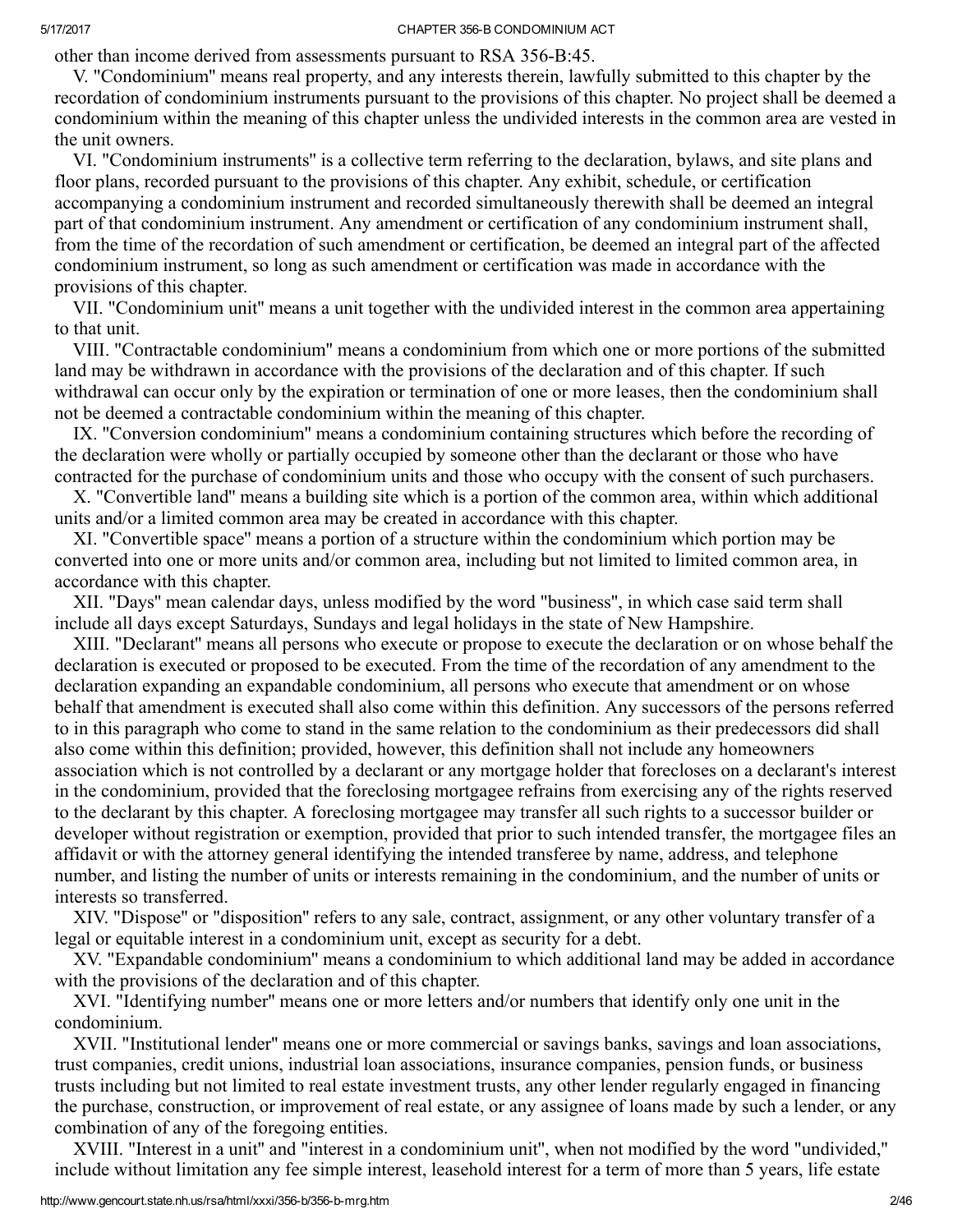other than income derived from assessments pursuant to RSA 356-B:45.

V. "Condominium'' means real property, and any interests therein, lawfully submitted to this chapter by the recordation of condominium instruments pursuant to the provisions of this chapter. No project shall be deemed a condominium within the meaning of this chapter unless the undivided interests in the common area are vested in the unit owners.

VI. "Condominium instruments'' is a collective term referring to the declaration, bylaws, and site plans and floor plans, recorded pursuant to the provisions of this chapter. Any exhibit, schedule, or certification accompanying a condominium instrument and recorded simultaneously therewith shall be deemed an integral part of that condominium instrument. Any amendment or certification of any condominium instrument shall, from the time of the recordation of such amendment or certification, be deemed an integral part of the affected condominium instrument, so long as such amendment or certification was made in accordance with the provisions of this chapter.

VII. "Condominium unit'' means a unit together with the undivided interest in the common area appertaining to that unit.

VIII. "Contractable condominium'' means a condominium from which one or more portions of the submitted land may be withdrawn in accordance with the provisions of the declaration and of this chapter. If such withdrawal can occur only by the expiration or termination of one or more leases, then the condominium shall not be deemed a contractable condominium within the meaning of this chapter.

IX. "Conversion condominium'' means a condominium containing structures which before the recording of the declaration were wholly or partially occupied by someone other than the declarant or those who have contracted for the purchase of condominium units and those who occupy with the consent of such purchasers.

X. "Convertible land'' means a building site which is a portion of the common area, within which additional units and/or a limited common area may be created in accordance with this chapter.

XI. "Convertible space'' means a portion of a structure within the condominium which portion may be converted into one or more units and/or common area, including but not limited to limited common area, in accordance with this chapter.

XII. "Days'' mean calendar days, unless modified by the word "business'', in which case said term shall include all days except Saturdays, Sundays and legal holidays in the state of New Hampshire.

XIII. "Declarant'' means all persons who execute or propose to execute the declaration or on whose behalf the declaration is executed or proposed to be executed. From the time of the recordation of any amendment to the declaration expanding an expandable condominium, all persons who execute that amendment or on whose behalf that amendment is executed shall also come within this definition. Any successors of the persons referred to in this paragraph who come to stand in the same relation to the condominium as their predecessors did shall also come within this definition; provided, however, this definition shall not include any homeowners association which is not controlled by a declarant or any mortgage holder that forecloses on a declarant's interest in the condominium, provided that the foreclosing mortgagee refrains from exercising any of the rights reserved to the declarant by this chapter. A foreclosing mortgagee may transfer all such rights to a successor builder or developer without registration or exemption, provided that prior to such intended transfer, the mortgagee files an affidavit or with the attorney general identifying the intended transferee by name, address, and telephone number, and listing the number of units or interests remaining in the condominium, and the number of units or interests so transferred.

XIV. "Dispose'' or "disposition'' refers to any sale, contract, assignment, or any other voluntary transfer of a legal or equitable interest in a condominium unit, except as security for a debt.

XV. "Expandable condominium'' means a condominium to which additional land may be added in accordance with the provisions of the declaration and of this chapter.

XVI. "Identifying number'' means one or more letters and/or numbers that identify only one unit in the condominium.

XVII. "Institutional lender'' means one or more commercial or savings banks, savings and loan associations, trust companies, credit unions, industrial loan associations, insurance companies, pension funds, or business trusts including but not limited to real estate investment trusts, any other lender regularly engaged in financing the purchase, construction, or improvement of real estate, or any assignee of loans made by such a lender, or any combination of any of the foregoing entities.

XVIII. "Interest in a unit'' and "interest in a condominium unit'', when not modified by the word "undivided,'' include without limitation any fee simple interest, leasehold interest for a term of more than 5 years, life estate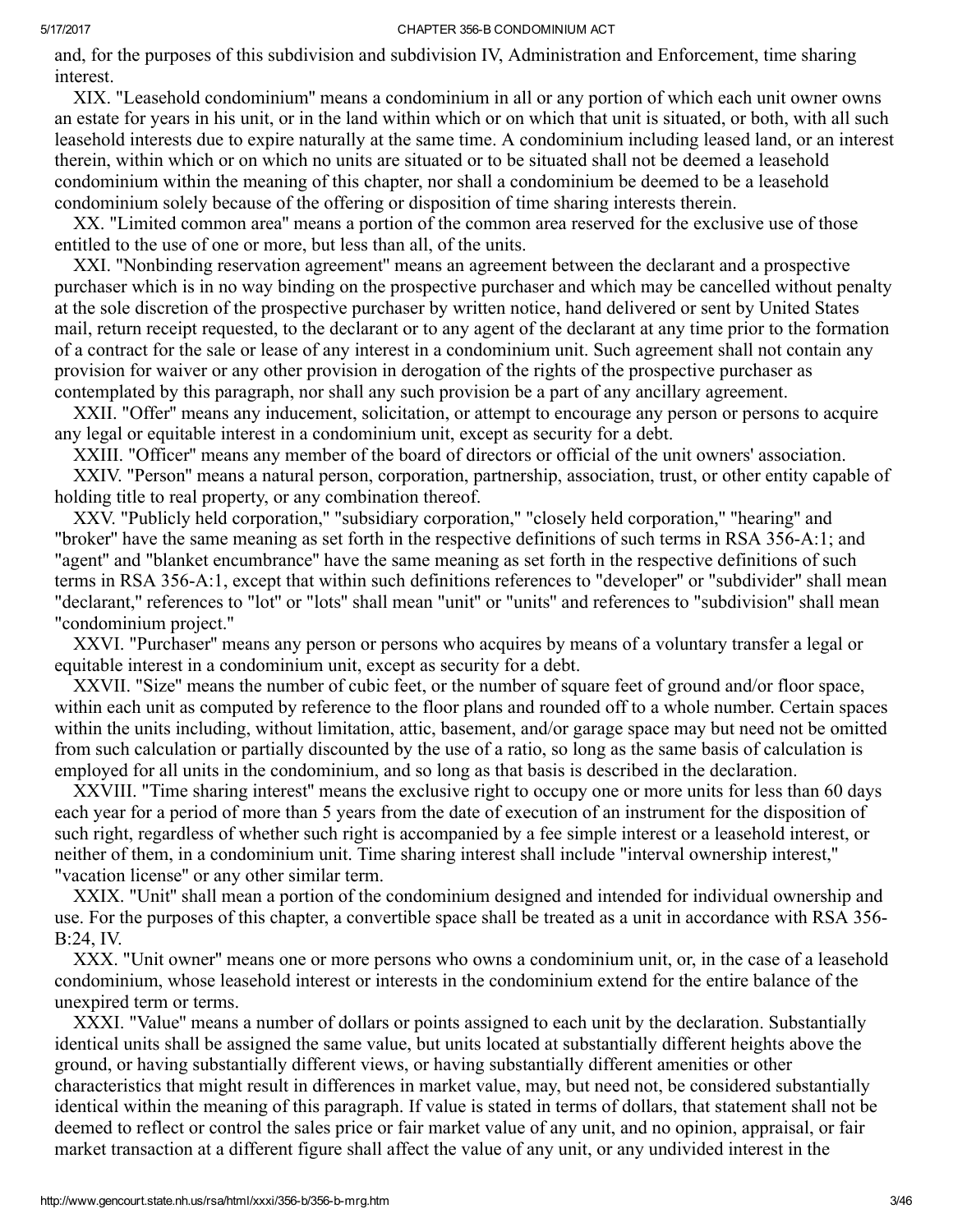and, for the purposes of this subdivision and subdivision IV, Administration and Enforcement, time sharing interest.

XIX. "Leasehold condominium'' means a condominium in all or any portion of which each unit owner owns an estate for years in his unit, or in the land within which or on which that unit is situated, or both, with all such leasehold interests due to expire naturally at the same time. A condominium including leased land, or an interest therein, within which or on which no units are situated or to be situated shall not be deemed a leasehold condominium within the meaning of this chapter, nor shall a condominium be deemed to be a leasehold condominium solely because of the offering or disposition of time sharing interests therein.

XX. "Limited common area'' means a portion of the common area reserved for the exclusive use of those entitled to the use of one or more, but less than all, of the units.

XXI. "Nonbinding reservation agreement'' means an agreement between the declarant and a prospective purchaser which is in no way binding on the prospective purchaser and which may be cancelled without penalty at the sole discretion of the prospective purchaser by written notice, hand delivered or sent by United States mail, return receipt requested, to the declarant or to any agent of the declarant at any time prior to the formation of a contract for the sale or lease of any interest in a condominium unit. Such agreement shall not contain any provision for waiver or any other provision in derogation of the rights of the prospective purchaser as contemplated by this paragraph, nor shall any such provision be a part of any ancillary agreement.

XXII. "Offer'' means any inducement, solicitation, or attempt to encourage any person or persons to acquire any legal or equitable interest in a condominium unit, except as security for a debt.

XXIII. "Officer'' means any member of the board of directors or official of the unit owners' association. XXIV. "Person'' means a natural person, corporation, partnership, association, trust, or other entity capable of holding title to real property, or any combination thereof.

XXV. "Publicly held corporation,'' "subsidiary corporation,'' "closely held corporation,'' "hearing'' and "broker" have the same meaning as set forth in the respective definitions of such terms in RSA 356-A:1; and "agent'' and "blanket encumbrance'' have the same meaning as set forth in the respective definitions of such terms in RSA 356A:1, except that within such definitions references to "developer'' or "subdivider'' shall mean "declarant,'' references to "lot'' or "lots'' shall mean "unit'' or "units'' and references to "subdivision'' shall mean "condominium project.''

XXVI. "Purchaser'' means any person or persons who acquires by means of a voluntary transfer a legal or equitable interest in a condominium unit, except as security for a debt.

XXVII. "Size'' means the number of cubic feet, or the number of square feet of ground and/or floor space, within each unit as computed by reference to the floor plans and rounded off to a whole number. Certain spaces within the units including, without limitation, attic, basement, and/or garage space may but need not be omitted from such calculation or partially discounted by the use of a ratio, so long as the same basis of calculation is employed for all units in the condominium, and so long as that basis is described in the declaration.

XXVIII. "Time sharing interest'' means the exclusive right to occupy one or more units for less than 60 days each year for a period of more than 5 years from the date of execution of an instrument for the disposition of such right, regardless of whether such right is accompanied by a fee simple interest or a leasehold interest, or neither of them, in a condominium unit. Time sharing interest shall include "interval ownership interest,'' "vacation license'' or any other similar term.

XXIX. "Unit'' shall mean a portion of the condominium designed and intended for individual ownership and use. For the purposes of this chapter, a convertible space shall be treated as a unit in accordance with RSA 356 B:24, IV.

XXX. "Unit owner'' means one or more persons who owns a condominium unit, or, in the case of a leasehold condominium, whose leasehold interest or interests in the condominium extend for the entire balance of the unexpired term or terms.

XXXI. "Value'' means a number of dollars or points assigned to each unit by the declaration. Substantially identical units shall be assigned the same value, but units located at substantially different heights above the ground, or having substantially different views, or having substantially different amenities or other characteristics that might result in differences in market value, may, but need not, be considered substantially identical within the meaning of this paragraph. If value is stated in terms of dollars, that statement shall not be deemed to reflect or control the sales price or fair market value of any unit, and no opinion, appraisal, or fair market transaction at a different figure shall affect the value of any unit, or any undivided interest in the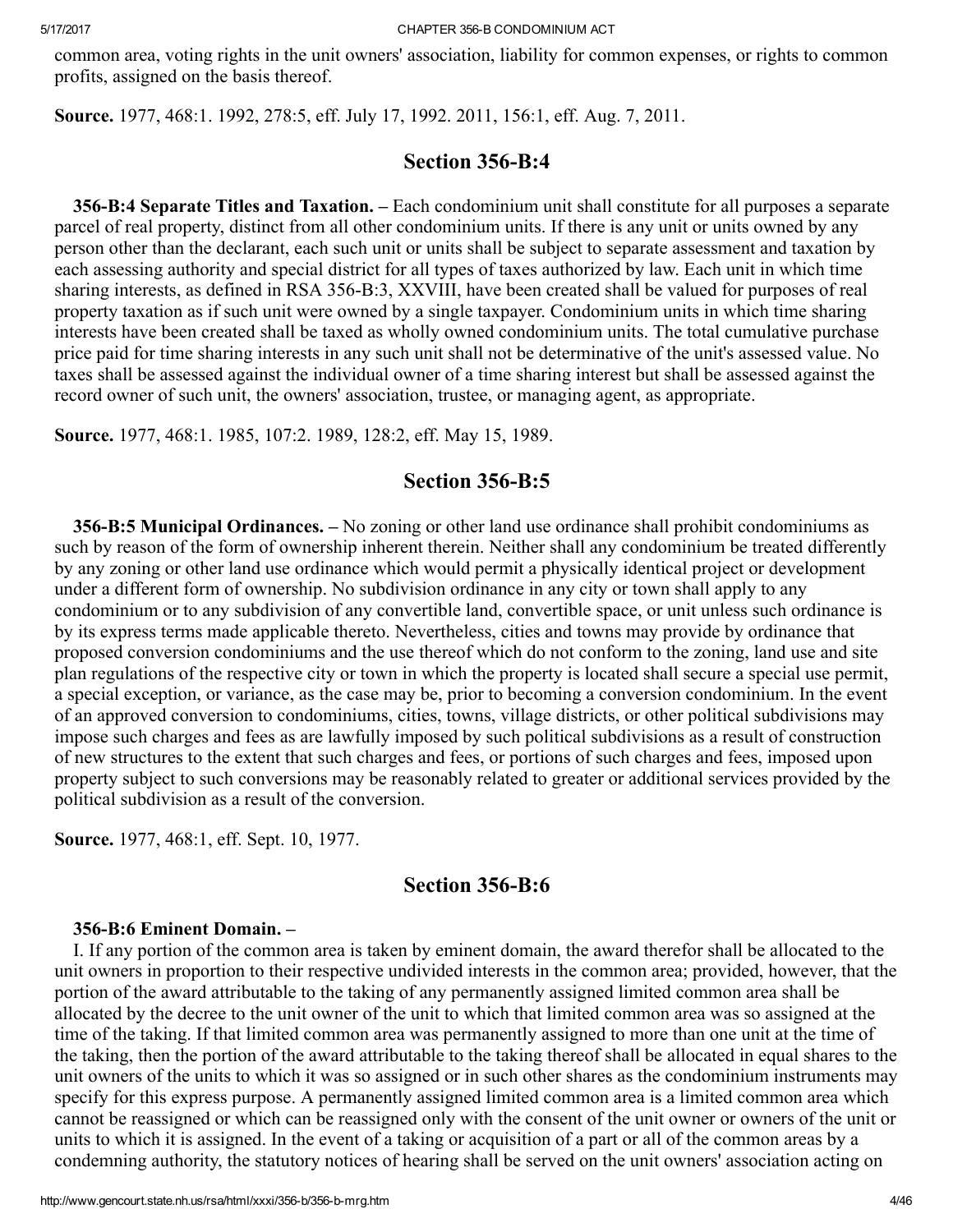common area, voting rights in the unit owners' association, liability for common expenses, or rights to common profits, assigned on the basis thereof.

Source. 1977, 468:1. 1992, 278:5, eff. July 17, 1992. 2011, 156:1, eff. Aug. 7, 2011.

### Section 356-B:4

**356-B:4 Separate Titles and Taxation.** – Each condominium unit shall constitute for all purposes a separate parcel of real property, distinct from all other condominium units. If there is any unit or units owned by any person other than the declarant, each such unit or units shall be subject to separate assessment and taxation by each assessing authority and special district for all types of taxes authorized by law. Each unit in which time sharing interests, as defined in RSA 356-B:3, XXVIII, have been created shall be valued for purposes of real property taxation as if such unit were owned by a single taxpayer. Condominium units in which time sharing interests have been created shall be taxed as wholly owned condominium units. The total cumulative purchase price paid for time sharing interests in any such unit shall not be determinative of the unit's assessed value. No taxes shall be assessed against the individual owner of a time sharing interest but shall be assessed against the record owner of such unit, the owners' association, trustee, or managing agent, as appropriate.

Source. 1977, 468:1. 1985, 107:2. 1989, 128:2, eff. May 15, 1989.

# **Section 356-B:5**

**356-B:5 Municipal Ordinances.**  $-$  No zoning or other land use ordinance shall prohibit condominiums as such by reason of the form of ownership inherent therein. Neither shall any condominium be treated differently by any zoning or other land use ordinance which would permit a physically identical project or development under a different form of ownership. No subdivision ordinance in any city or town shall apply to any condominium or to any subdivision of any convertible land, convertible space, or unit unless such ordinance is by its express terms made applicable thereto. Nevertheless, cities and towns may provide by ordinance that proposed conversion condominiums and the use thereof which do not conform to the zoning, land use and site plan regulations of the respective city or town in which the property is located shall secure a special use permit, a special exception, or variance, as the case may be, prior to becoming a conversion condominium. In the event of an approved conversion to condominiums, cities, towns, village districts, or other political subdivisions may impose such charges and fees as are lawfully imposed by such political subdivisions as a result of construction of new structures to the extent that such charges and fees, or portions of such charges and fees, imposed upon property subject to such conversions may be reasonably related to greater or additional services provided by the political subdivision as a result of the conversion.

Source. 1977, 468:1, eff. Sept. 10, 1977.

# **Section 356-B:6**

### 356-B:6 Eminent Domain. -

I. If any portion of the common area is taken by eminent domain, the award therefor shall be allocated to the unit owners in proportion to their respective undivided interests in the common area; provided, however, that the portion of the award attributable to the taking of any permanently assigned limited common area shall be allocated by the decree to the unit owner of the unit to which that limited common area was so assigned at the time of the taking. If that limited common area was permanently assigned to more than one unit at the time of the taking, then the portion of the award attributable to the taking thereof shall be allocated in equal shares to the unit owners of the units to which it was so assigned or in such other shares as the condominium instruments may specify for this express purpose. A permanently assigned limited common area is a limited common area which cannot be reassigned or which can be reassigned only with the consent of the unit owner or owners of the unit or units to which it is assigned. In the event of a taking or acquisition of a part or all of the common areas by a condemning authority, the statutory notices of hearing shall be served on the unit owners' association acting on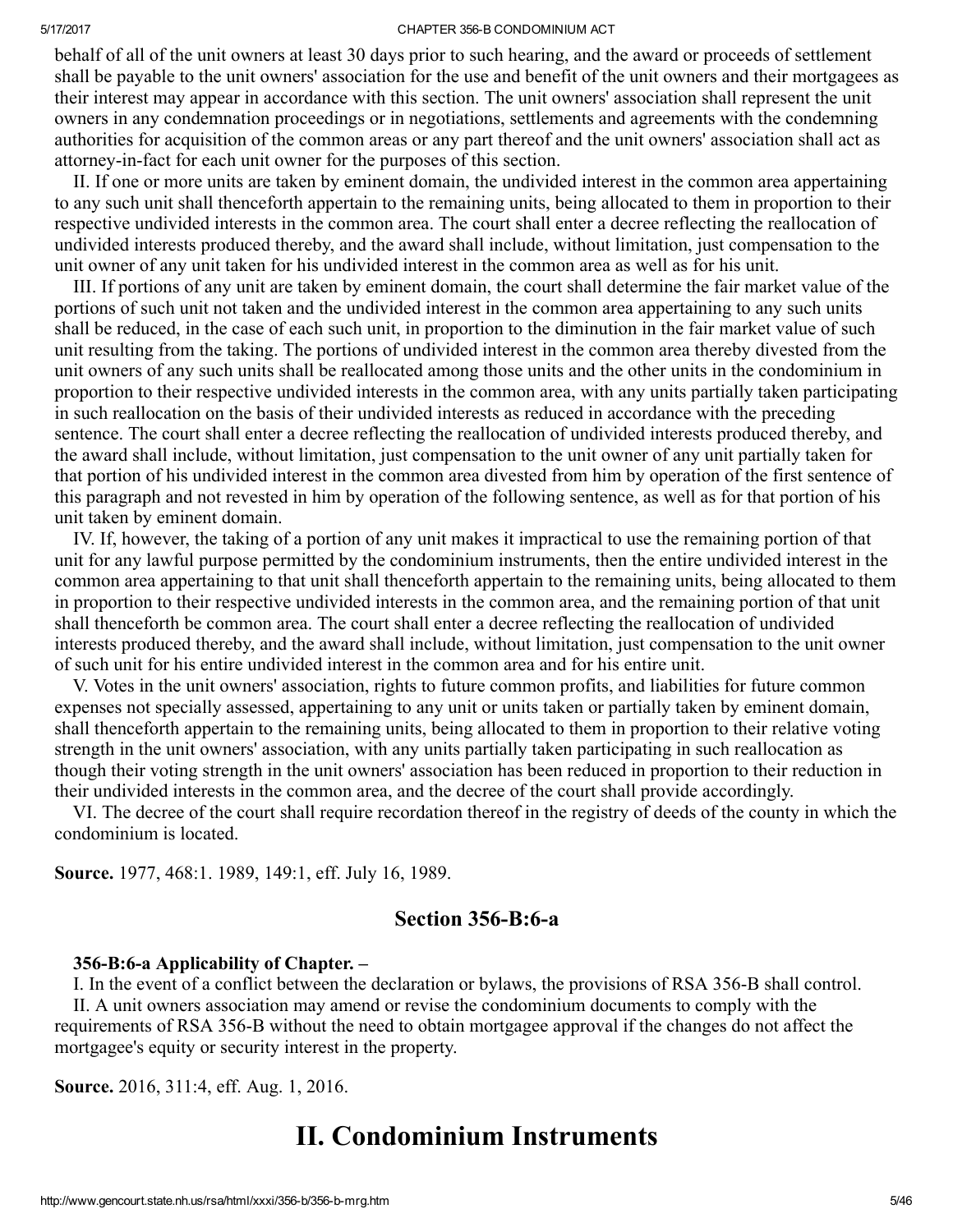behalf of all of the unit owners at least 30 days prior to such hearing, and the award or proceeds of settlement shall be payable to the unit owners' association for the use and benefit of the unit owners and their mortgagees as their interest may appear in accordance with this section. The unit owners' association shall represent the unit owners in any condemnation proceedings or in negotiations, settlements and agreements with the condemning authorities for acquisition of the common areas or any part thereof and the unit owners' association shall act as attorney-in-fact for each unit owner for the purposes of this section.

II. If one or more units are taken by eminent domain, the undivided interest in the common area appertaining to any such unit shall thenceforth appertain to the remaining units, being allocated to them in proportion to their respective undivided interests in the common area. The court shall enter a decree reflecting the reallocation of undivided interests produced thereby, and the award shall include, without limitation, just compensation to the unit owner of any unit taken for his undivided interest in the common area as well as for his unit.

III. If portions of any unit are taken by eminent domain, the court shall determine the fair market value of the portions of such unit not taken and the undivided interest in the common area appertaining to any such units shall be reduced, in the case of each such unit, in proportion to the diminution in the fair market value of such unit resulting from the taking. The portions of undivided interest in the common area thereby divested from the unit owners of any such units shall be reallocated among those units and the other units in the condominium in proportion to their respective undivided interests in the common area, with any units partially taken participating in such reallocation on the basis of their undivided interests as reduced in accordance with the preceding sentence. The court shall enter a decree reflecting the reallocation of undivided interests produced thereby, and the award shall include, without limitation, just compensation to the unit owner of any unit partially taken for that portion of his undivided interest in the common area divested from him by operation of the first sentence of this paragraph and not revested in him by operation of the following sentence, as well as for that portion of his unit taken by eminent domain.

IV. If, however, the taking of a portion of any unit makes it impractical to use the remaining portion of that unit for any lawful purpose permitted by the condominium instruments, then the entire undivided interest in the common area appertaining to that unit shall thenceforth appertain to the remaining units, being allocated to them in proportion to their respective undivided interests in the common area, and the remaining portion of that unit shall thenceforth be common area. The court shall enter a decree reflecting the reallocation of undivided interests produced thereby, and the award shall include, without limitation, just compensation to the unit owner of such unit for his entire undivided interest in the common area and for his entire unit.

V. Votes in the unit owners' association, rights to future common profits, and liabilities for future common expenses not specially assessed, appertaining to any unit or units taken or partially taken by eminent domain, shall thenceforth appertain to the remaining units, being allocated to them in proportion to their relative voting strength in the unit owners' association, with any units partially taken participating in such reallocation as though their voting strength in the unit owners' association has been reduced in proportion to their reduction in their undivided interests in the common area, and the decree of the court shall provide accordingly.

VI. The decree of the court shall require recordation thereof in the registry of deeds of the county in which the condominium is located.

Source. 1977, 468:1. 1989, 149:1, eff. July 16, 1989.

# **Section 356-B:6-a**

### $356 - B:6$ -a Applicability of Chapter. –

I. In the event of a conflict between the declaration or bylaws, the provisions of RSA 356-B shall control.

II. A unit owners association may amend or revise the condominium documents to comply with the requirements of RSA 356-B without the need to obtain mortgagee approval if the changes do not affect the mortgagee's equity or security interest in the property.

Source. 2016, 311:4, eff. Aug. 1, 2016.

# II. Condominium Instruments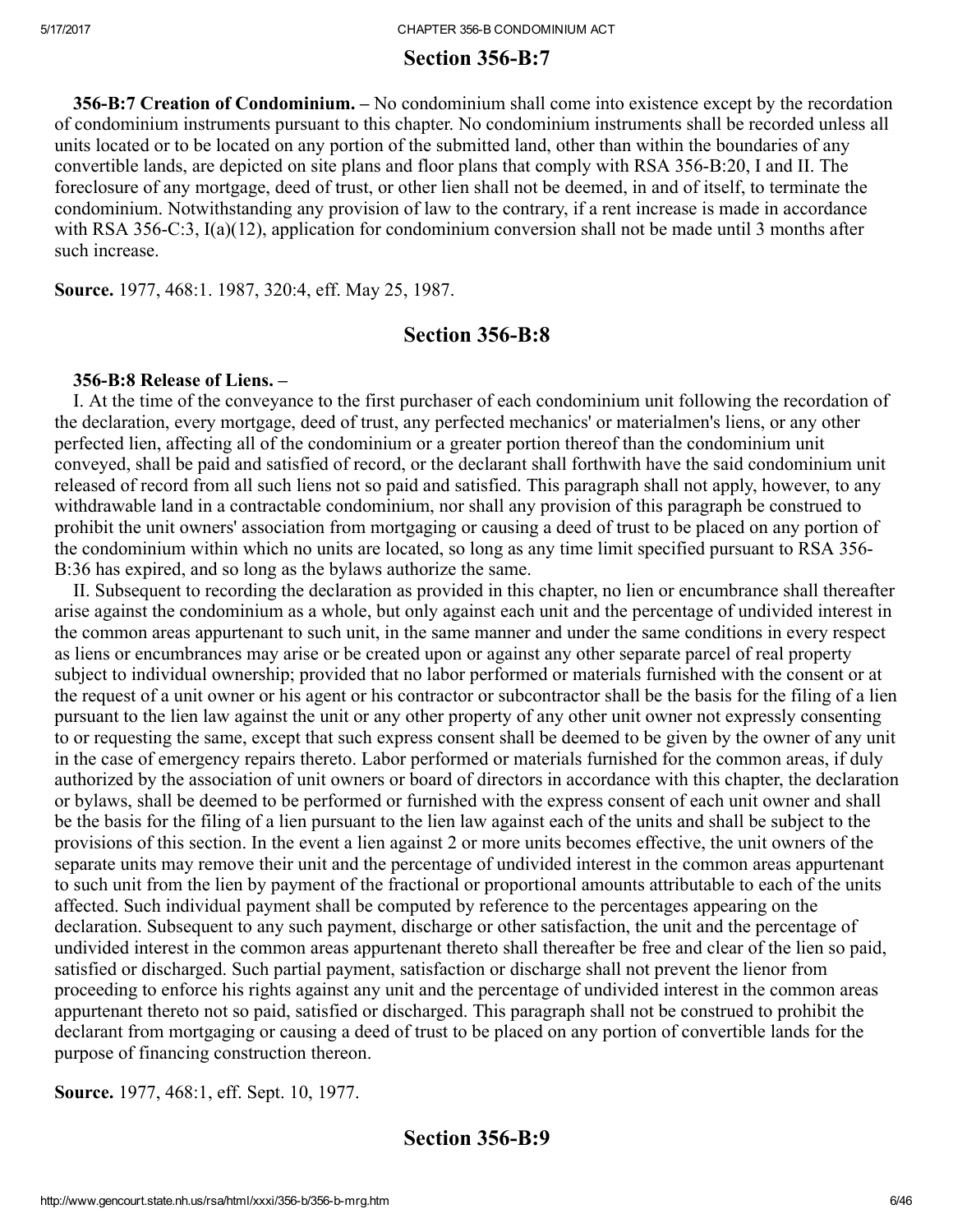# Section 356-B:7

**356-B:7 Creation of Condominium.**  $-$  No condominium shall come into existence except by the recordation of condominium instruments pursuant to this chapter. No condominium instruments shall be recorded unless all units located or to be located on any portion of the submitted land, other than within the boundaries of any convertible lands, are depicted on site plans and floor plans that comply with RSA 356-B:20, I and II. The foreclosure of any mortgage, deed of trust, or other lien shall not be deemed, in and of itself, to terminate the condominium. Notwithstanding any provision of law to the contrary, if a rent increase is made in accordance with RSA 356-C:3,  $I(a)(12)$ , application for condominium conversion shall not be made until 3 months after such increase.

Source. 1977, 468:1. 1987, 320:4, eff. May 25, 1987.

# Section 356-B:8

### 356-B:8 Release of Liens. -

I. At the time of the conveyance to the first purchaser of each condominium unit following the recordation of the declaration, every mortgage, deed of trust, any perfected mechanics' or materialmen's liens, or any other perfected lien, affecting all of the condominium or a greater portion thereof than the condominium unit conveyed, shall be paid and satisfied of record, or the declarant shall forthwith have the said condominium unit released of record from all such liens not so paid and satisfied. This paragraph shall not apply, however, to any withdrawable land in a contractable condominium, nor shall any provision of this paragraph be construed to prohibit the unit owners' association from mortgaging or causing a deed of trust to be placed on any portion of the condominium within which no units are located, so long as any time limit specified pursuant to RSA 356 B:36 has expired, and so long as the bylaws authorize the same.

II. Subsequent to recording the declaration as provided in this chapter, no lien or encumbrance shall thereafter arise against the condominium as a whole, but only against each unit and the percentage of undivided interest in the common areas appurtenant to such unit, in the same manner and under the same conditions in every respect as liens or encumbrances may arise or be created upon or against any other separate parcel of real property subject to individual ownership; provided that no labor performed or materials furnished with the consent or at the request of a unit owner or his agent or his contractor or subcontractor shall be the basis for the filing of a lien pursuant to the lien law against the unit or any other property of any other unit owner not expressly consenting to or requesting the same, except that such express consent shall be deemed to be given by the owner of any unit in the case of emergency repairs thereto. Labor performed or materials furnished for the common areas, if duly authorized by the association of unit owners or board of directors in accordance with this chapter, the declaration or bylaws, shall be deemed to be performed or furnished with the express consent of each unit owner and shall be the basis for the filing of a lien pursuant to the lien law against each of the units and shall be subject to the provisions of this section. In the event a lien against 2 or more units becomes effective, the unit owners of the separate units may remove their unit and the percentage of undivided interest in the common areas appurtenant to such unit from the lien by payment of the fractional or proportional amounts attributable to each of the units affected. Such individual payment shall be computed by reference to the percentages appearing on the declaration. Subsequent to any such payment, discharge or other satisfaction, the unit and the percentage of undivided interest in the common areas appurtenant thereto shall thereafter be free and clear of the lien so paid, satisfied or discharged. Such partial payment, satisfaction or discharge shall not prevent the lienor from proceeding to enforce his rights against any unit and the percentage of undivided interest in the common areas appurtenant thereto not so paid, satisfied or discharged. This paragraph shall not be construed to prohibit the declarant from mortgaging or causing a deed of trust to be placed on any portion of convertible lands for the purpose of financing construction thereon.

Source. 1977, 468:1, eff. Sept. 10, 1977.

# **Section 356-B:9**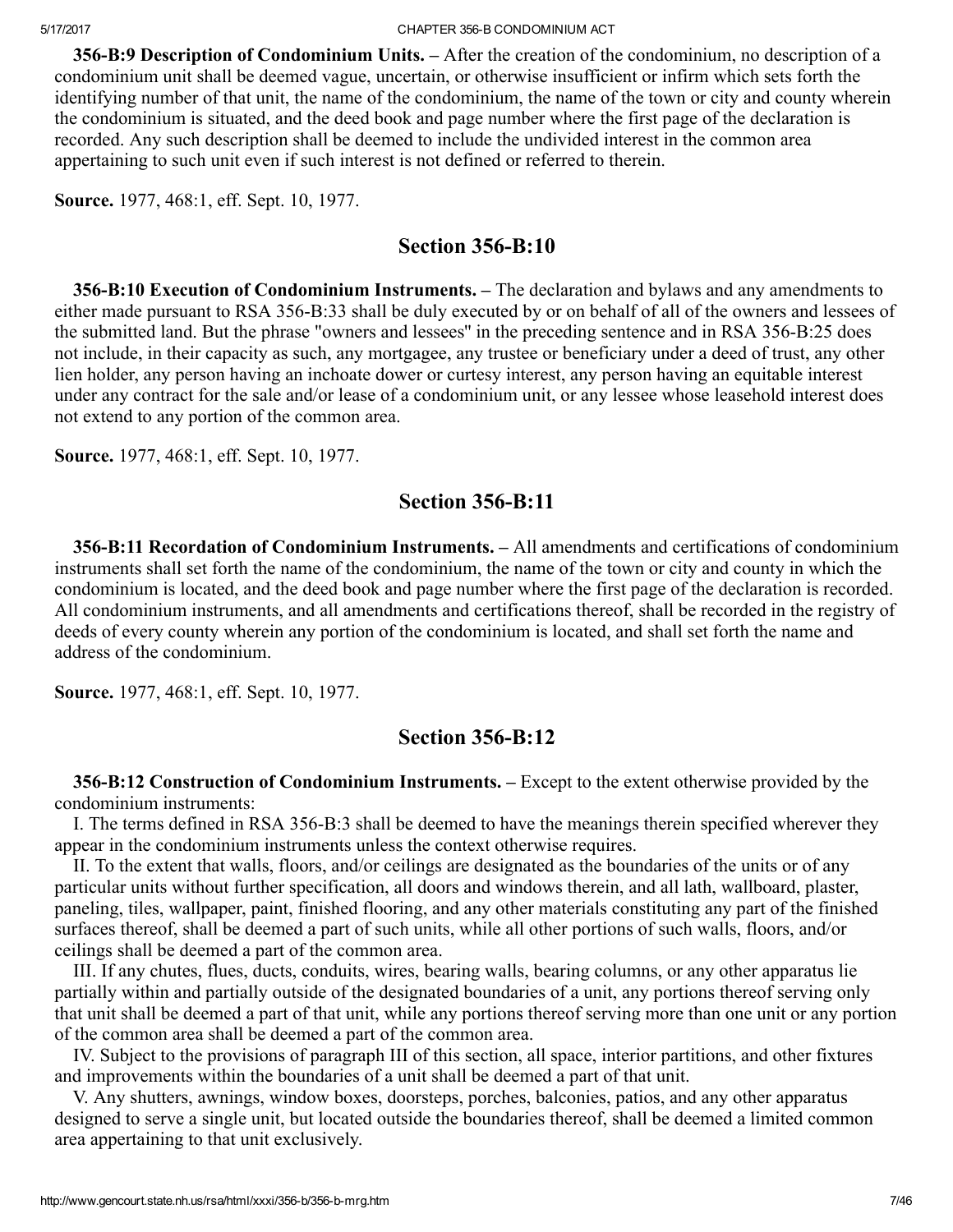**356-B:9 Description of Condominium Units.** – After the creation of the condominium, no description of a condominium unit shall be deemed vague, uncertain, or otherwise insufficient or infirm which sets forth the identifying number of that unit, the name of the condominium, the name of the town or city and county wherein the condominium is situated, and the deed book and page number where the first page of the declaration is recorded. Any such description shall be deemed to include the undivided interest in the common area appertaining to such unit even if such interest is not defined or referred to therein.

Source. 1977, 468:1, eff. Sept. 10, 1977.

# **Section 356-B:10**

**356-B:10 Execution of Condominium Instruments.** – The declaration and bylaws and any amendments to either made pursuant to RSA 356-B:33 shall be duly executed by or on behalf of all of the owners and lessees of the submitted land. But the phrase "owners and lessees" in the preceding sentence and in RSA 356-B:25 does not include, in their capacity as such, any mortgagee, any trustee or beneficiary under a deed of trust, any other lien holder, any person having an inchoate dower or curtesy interest, any person having an equitable interest under any contract for the sale and/or lease of a condominium unit, or any lessee whose leasehold interest does not extend to any portion of the common area.

Source. 1977, 468:1, eff. Sept. 10, 1977.

# **Section 356-B:11**

356-B:11 Recordation of Condominium Instruments. – All amendments and certifications of condominium instruments shall set forth the name of the condominium, the name of the town or city and county in which the condominium is located, and the deed book and page number where the first page of the declaration is recorded. All condominium instruments, and all amendments and certifications thereof, shall be recorded in the registry of deeds of every county wherein any portion of the condominium is located, and shall set forth the name and address of the condominium.

Source. 1977, 468:1, eff. Sept. 10, 1977.

# **Section 356-B:12**

356-B:12 Construction of Condominium Instruments. – Except to the extent otherwise provided by the condominium instruments:

I. The terms defined in RSA 356-B:3 shall be deemed to have the meanings therein specified wherever they appear in the condominium instruments unless the context otherwise requires.

II. To the extent that walls, floors, and/or ceilings are designated as the boundaries of the units or of any particular units without further specification, all doors and windows therein, and all lath, wallboard, plaster, paneling, tiles, wallpaper, paint, finished flooring, and any other materials constituting any part of the finished surfaces thereof, shall be deemed a part of such units, while all other portions of such walls, floors, and/or ceilings shall be deemed a part of the common area.

III. If any chutes, flues, ducts, conduits, wires, bearing walls, bearing columns, or any other apparatus lie partially within and partially outside of the designated boundaries of a unit, any portions thereof serving only that unit shall be deemed a part of that unit, while any portions thereof serving more than one unit or any portion of the common area shall be deemed a part of the common area.

IV. Subject to the provisions of paragraph III of this section, all space, interior partitions, and other fixtures and improvements within the boundaries of a unit shall be deemed a part of that unit.

V. Any shutters, awnings, window boxes, doorsteps, porches, balconies, patios, and any other apparatus designed to serve a single unit, but located outside the boundaries thereof, shall be deemed a limited common area appertaining to that unit exclusively.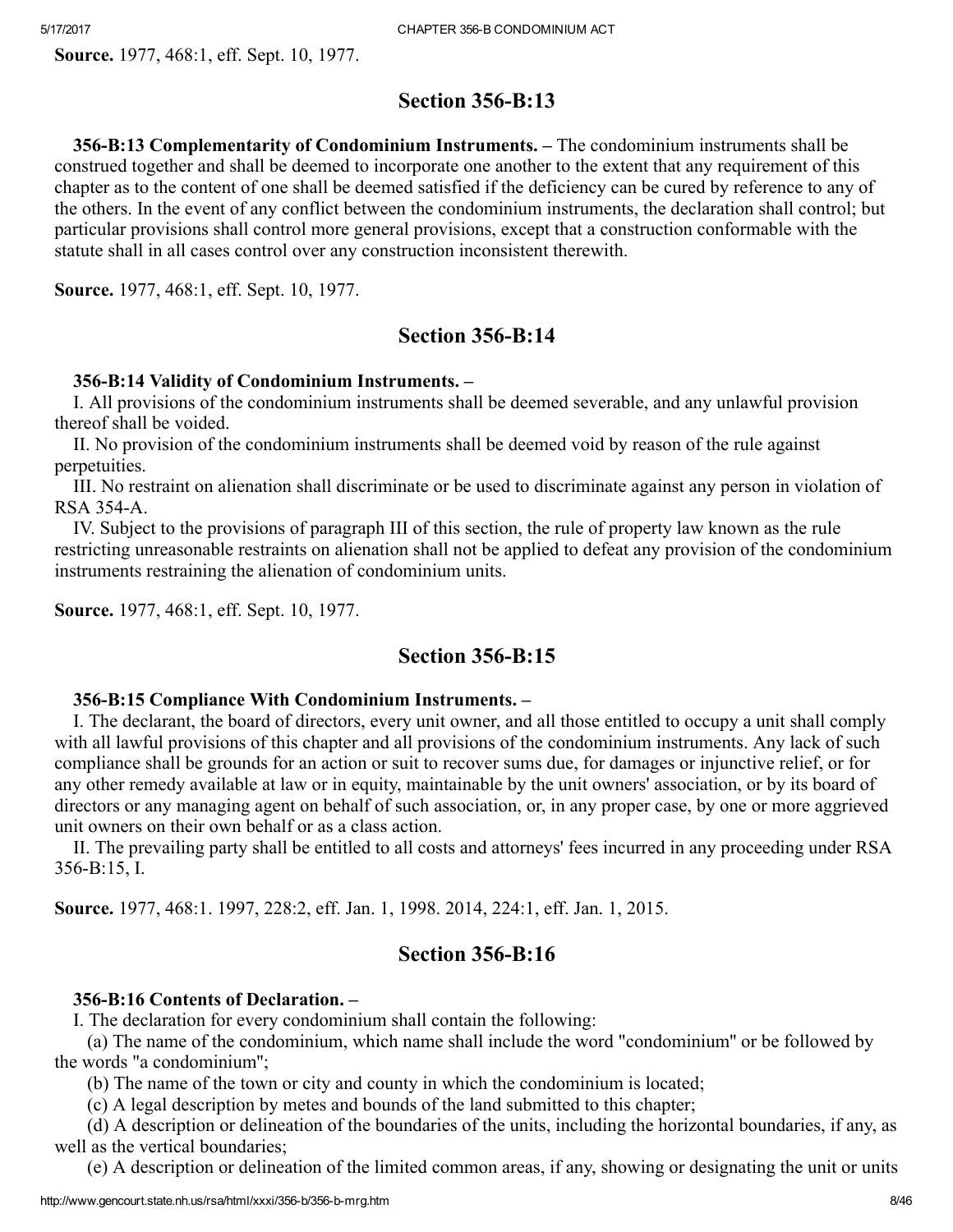Source. 1977, 468:1, eff. Sept. 10, 1977.

## **Section 356-B:13**

356-B:13 Complementarity of Condominium Instruments. – The condominium instruments shall be construed together and shall be deemed to incorporate one another to the extent that any requirement of this chapter as to the content of one shall be deemed satisfied if the deficiency can be cured by reference to any of the others. In the event of any conflict between the condominium instruments, the declaration shall control; but particular provisions shall control more general provisions, except that a construction conformable with the statute shall in all cases control over any construction inconsistent therewith.

Source. 1977, 468:1, eff. Sept. 10, 1977.

# **Section 356-B:14**

### 356-B:14 Validity of Condominium Instruments. -

I. All provisions of the condominium instruments shall be deemed severable, and any unlawful provision thereof shall be voided.

II. No provision of the condominium instruments shall be deemed void by reason of the rule against perpetuities.

III. No restraint on alienation shall discriminate or be used to discriminate against any person in violation of RSA 354A.

IV. Subject to the provisions of paragraph III of this section, the rule of property law known as the rule restricting unreasonable restraints on alienation shall not be applied to defeat any provision of the condominium instruments restraining the alienation of condominium units.

Source. 1977, 468:1, eff. Sept. 10, 1977.

### **Section 356-B:15**

### 356-B:15 Compliance With Condominium Instruments. -

I. The declarant, the board of directors, every unit owner, and all those entitled to occupy a unit shall comply with all lawful provisions of this chapter and all provisions of the condominium instruments. Any lack of such compliance shall be grounds for an action or suit to recover sums due, for damages or injunctive relief, or for any other remedy available at law or in equity, maintainable by the unit owners' association, or by its board of directors or any managing agent on behalf of such association, or, in any proper case, by one or more aggrieved unit owners on their own behalf or as a class action.

II. The prevailing party shall be entitled to all costs and attorneys' fees incurred in any proceeding under RSA 356-B:15, I.

Source. 1977, 468:1. 1997, 228:2, eff. Jan. 1, 1998. 2014, 224:1, eff. Jan. 1, 2015.

# **Section 356-B:16**

### 356-B:16 Contents of Declaration. -

I. The declaration for every condominium shall contain the following:

(a) The name of the condominium, which name shall include the word "condominium'' or be followed by the words "a condominium'';

(b) The name of the town or city and county in which the condominium is located;

(c) A legal description by metes and bounds of the land submitted to this chapter;

(d) A description or delineation of the boundaries of the units, including the horizontal boundaries, if any, as well as the vertical boundaries;

(e) A description or delineation of the limited common areas, if any, showing or designating the unit or units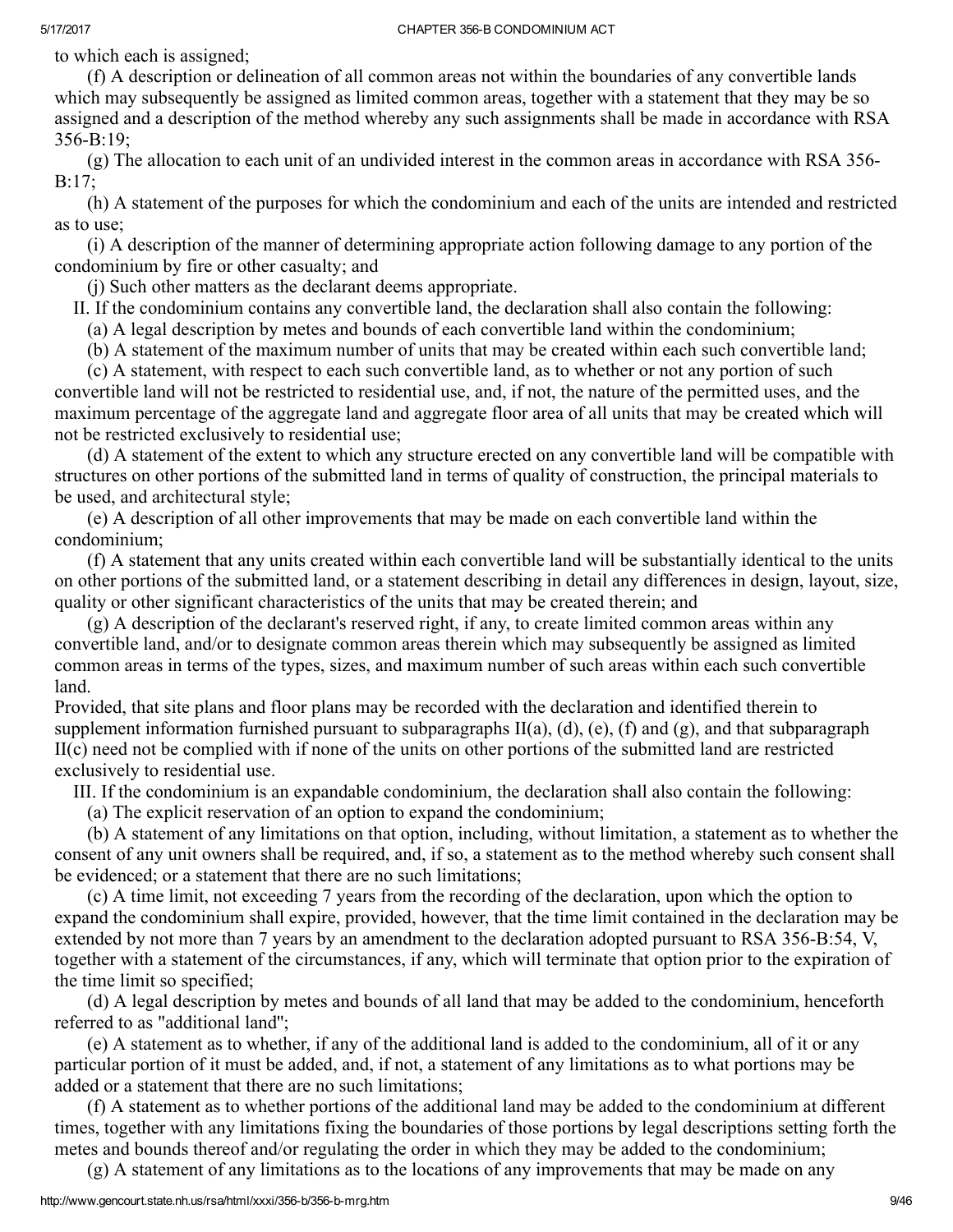to which each is assigned;

(f) A description or delineation of all common areas not within the boundaries of any convertible lands which may subsequently be assigned as limited common areas, together with a statement that they may be so assigned and a description of the method whereby any such assignments shall be made in accordance with RSA 356-B:19;

(g) The allocation to each unit of an undivided interest in the common areas in accordance with RSA 356 B:17;

(h) A statement of the purposes for which the condominium and each of the units are intended and restricted as to use;

(i) A description of the manner of determining appropriate action following damage to any portion of the condominium by fire or other casualty; and

(j) Such other matters as the declarant deems appropriate.

II. If the condominium contains any convertible land, the declaration shall also contain the following:

(a) A legal description by metes and bounds of each convertible land within the condominium;

(b) A statement of the maximum number of units that may be created within each such convertible land;

(c) A statement, with respect to each such convertible land, as to whether or not any portion of such convertible land will not be restricted to residential use, and, if not, the nature of the permitted uses, and the maximum percentage of the aggregate land and aggregate floor area of all units that may be created which will not be restricted exclusively to residential use;

(d) A statement of the extent to which any structure erected on any convertible land will be compatible with structures on other portions of the submitted land in terms of quality of construction, the principal materials to be used, and architectural style;

(e) A description of all other improvements that may be made on each convertible land within the condominium;

(f) A statement that any units created within each convertible land will be substantially identical to the units on other portions of the submitted land, or a statement describing in detail any differences in design, layout, size, quality or other significant characteristics of the units that may be created therein; and

(g) A description of the declarant's reserved right, if any, to create limited common areas within any convertible land, and/or to designate common areas therein which may subsequently be assigned as limited common areas in terms of the types, sizes, and maximum number of such areas within each such convertible land.

Provided, that site plans and floor plans may be recorded with the declaration and identified therein to supplement information furnished pursuant to subparagraphs  $II(a)$ ,  $(d)$ ,  $(e)$ ,  $(f)$  and  $(g)$ , and that subparagraph II(c) need not be complied with if none of the units on other portions of the submitted land are restricted exclusively to residential use.

III. If the condominium is an expandable condominium, the declaration shall also contain the following:

(a) The explicit reservation of an option to expand the condominium;

(b) A statement of any limitations on that option, including, without limitation, a statement as to whether the consent of any unit owners shall be required, and, if so, a statement as to the method whereby such consent shall be evidenced; or a statement that there are no such limitations;

(c) A time limit, not exceeding 7 years from the recording of the declaration, upon which the option to expand the condominium shall expire, provided, however, that the time limit contained in the declaration may be extended by not more than 7 years by an amendment to the declaration adopted pursuant to RSA 356-B:54, V, together with a statement of the circumstances, if any, which will terminate that option prior to the expiration of the time limit so specified;

(d) A legal description by metes and bounds of all land that may be added to the condominium, henceforth referred to as "additional land'';

(e) A statement as to whether, if any of the additional land is added to the condominium, all of it or any particular portion of it must be added, and, if not, a statement of any limitations as to what portions may be added or a statement that there are no such limitations;

(f) A statement as to whether portions of the additional land may be added to the condominium at different times, together with any limitations fixing the boundaries of those portions by legal descriptions setting forth the metes and bounds thereof and/or regulating the order in which they may be added to the condominium;

(g) A statement of any limitations as to the locations of any improvements that may be made on any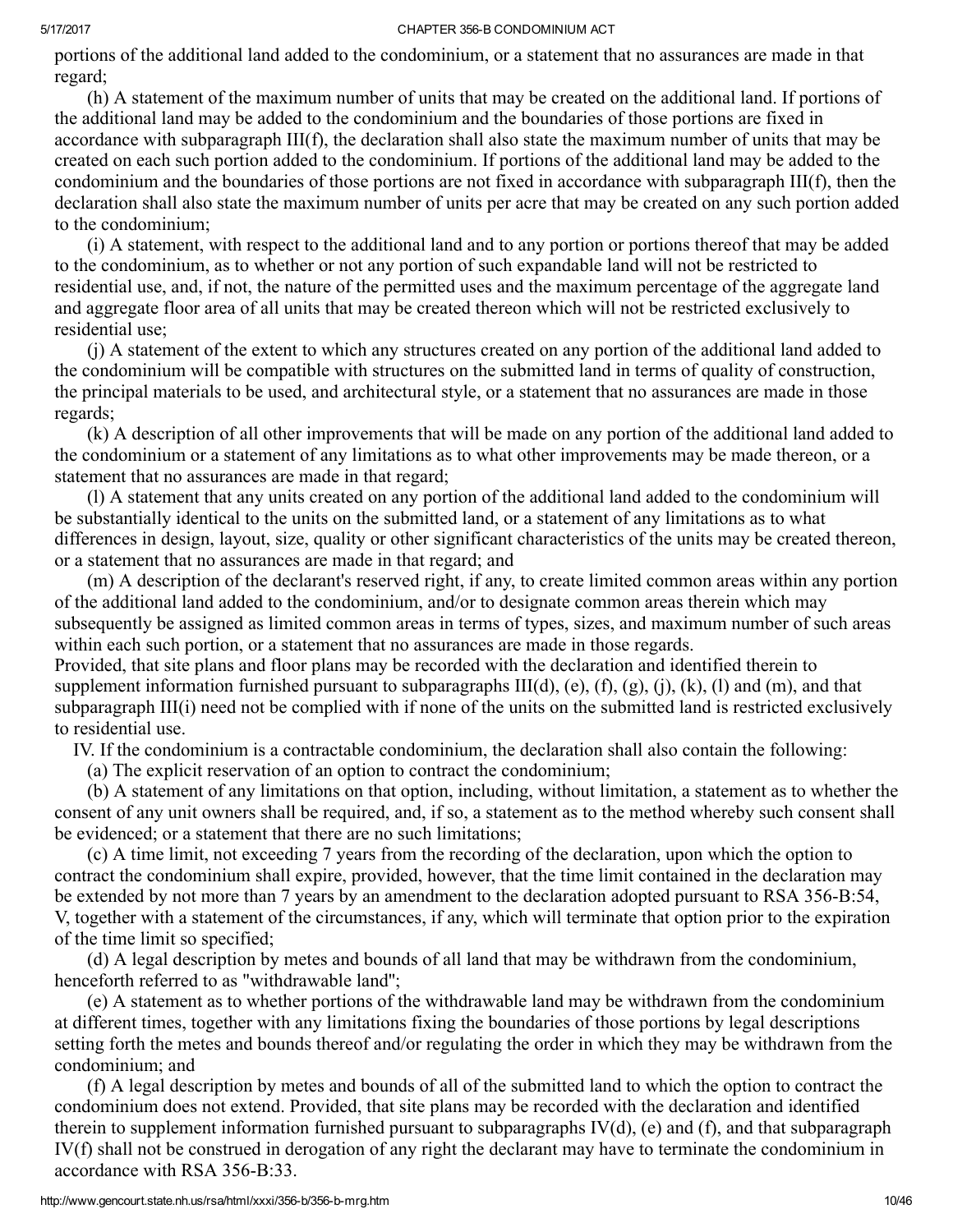portions of the additional land added to the condominium, or a statement that no assurances are made in that regard;

(h) A statement of the maximum number of units that may be created on the additional land. If portions of the additional land may be added to the condominium and the boundaries of those portions are fixed in accordance with subparagraph III(f), the declaration shall also state the maximum number of units that may be created on each such portion added to the condominium. If portions of the additional land may be added to the condominium and the boundaries of those portions are not fixed in accordance with subparagraph III(f), then the declaration shall also state the maximum number of units per acre that may be created on any such portion added to the condominium;

(i) A statement, with respect to the additional land and to any portion or portions thereof that may be added to the condominium, as to whether or not any portion of such expandable land will not be restricted to residential use, and, if not, the nature of the permitted uses and the maximum percentage of the aggregate land and aggregate floor area of all units that may be created thereon which will not be restricted exclusively to residential use;

(j) A statement of the extent to which any structures created on any portion of the additional land added to the condominium will be compatible with structures on the submitted land in terms of quality of construction, the principal materials to be used, and architectural style, or a statement that no assurances are made in those regards;

(k) A description of all other improvements that will be made on any portion of the additional land added to the condominium or a statement of any limitations as to what other improvements may be made thereon, or a statement that no assurances are made in that regard;

(l) A statement that any units created on any portion of the additional land added to the condominium will be substantially identical to the units on the submitted land, or a statement of any limitations as to what differences in design, layout, size, quality or other significant characteristics of the units may be created thereon, or a statement that no assurances are made in that regard; and

(m) A description of the declarant's reserved right, if any, to create limited common areas within any portion of the additional land added to the condominium, and/or to designate common areas therein which may subsequently be assigned as limited common areas in terms of types, sizes, and maximum number of such areas within each such portion, or a statement that no assurances are made in those regards.

Provided, that site plans and floor plans may be recorded with the declaration and identified therein to supplement information furnished pursuant to subparagraphs  $III(d)$ , (e), (f), (g), (j), (k), (l) and (m), and that subparagraph III(i) need not be complied with if none of the units on the submitted land is restricted exclusively to residential use.

IV. If the condominium is a contractable condominium, the declaration shall also contain the following:

(a) The explicit reservation of an option to contract the condominium;

(b) A statement of any limitations on that option, including, without limitation, a statement as to whether the consent of any unit owners shall be required, and, if so, a statement as to the method whereby such consent shall be evidenced; or a statement that there are no such limitations;

(c) A time limit, not exceeding 7 years from the recording of the declaration, upon which the option to contract the condominium shall expire, provided, however, that the time limit contained in the declaration may be extended by not more than 7 years by an amendment to the declaration adopted pursuant to RSA 356-B:54, V, together with a statement of the circumstances, if any, which will terminate that option prior to the expiration of the time limit so specified;

(d) A legal description by metes and bounds of all land that may be withdrawn from the condominium, henceforth referred to as "withdrawable land'';

(e) A statement as to whether portions of the withdrawable land may be withdrawn from the condominium at different times, together with any limitations fixing the boundaries of those portions by legal descriptions setting forth the metes and bounds thereof and/or regulating the order in which they may be withdrawn from the condominium; and

(f) A legal description by metes and bounds of all of the submitted land to which the option to contract the condominium does not extend. Provided, that site plans may be recorded with the declaration and identified therein to supplement information furnished pursuant to subparagraphs IV(d), (e) and (f), and that subparagraph IV(f) shall not be construed in derogation of any right the declarant may have to terminate the condominium in accordance with RSA 356-B:33.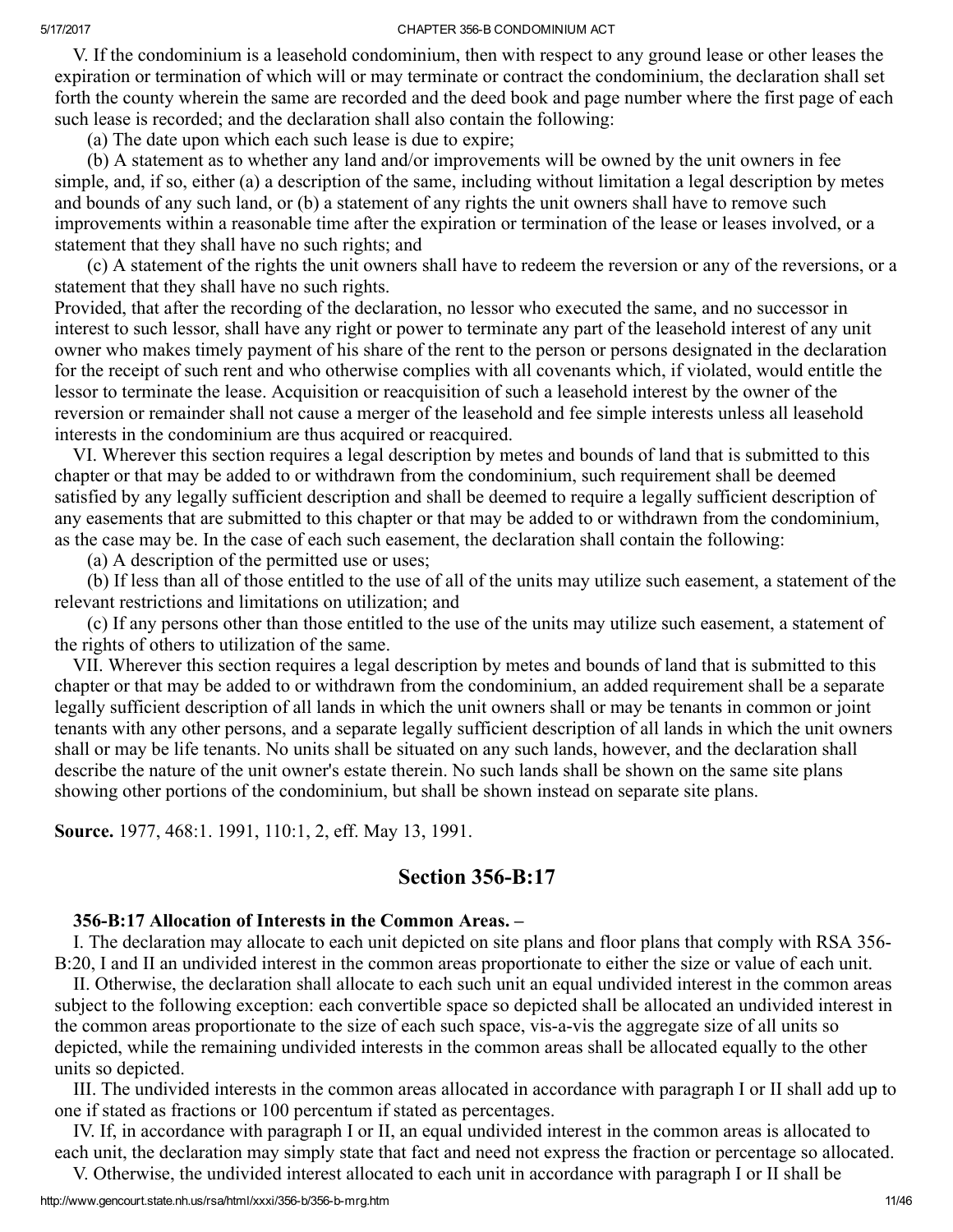V. If the condominium is a leasehold condominium, then with respect to any ground lease or other leases the expiration or termination of which will or may terminate or contract the condominium, the declaration shall set forth the county wherein the same are recorded and the deed book and page number where the first page of each such lease is recorded; and the declaration shall also contain the following:

(a) The date upon which each such lease is due to expire;

(b) A statement as to whether any land and/or improvements will be owned by the unit owners in fee simple, and, if so, either (a) a description of the same, including without limitation a legal description by metes and bounds of any such land, or (b) a statement of any rights the unit owners shall have to remove such improvements within a reasonable time after the expiration or termination of the lease or leases involved, or a statement that they shall have no such rights; and

(c) A statement of the rights the unit owners shall have to redeem the reversion or any of the reversions, or a statement that they shall have no such rights.

Provided, that after the recording of the declaration, no lessor who executed the same, and no successor in interest to such lessor, shall have any right or power to terminate any part of the leasehold interest of any unit owner who makes timely payment of his share of the rent to the person or persons designated in the declaration for the receipt of such rent and who otherwise complies with all covenants which, if violated, would entitle the lessor to terminate the lease. Acquisition or reacquisition of such a leasehold interest by the owner of the reversion or remainder shall not cause a merger of the leasehold and fee simple interests unless all leasehold interests in the condominium are thus acquired or reacquired.

VI. Wherever this section requires a legal description by metes and bounds of land that is submitted to this chapter or that may be added to or withdrawn from the condominium, such requirement shall be deemed satisfied by any legally sufficient description and shall be deemed to require a legally sufficient description of any easements that are submitted to this chapter or that may be added to or withdrawn from the condominium, as the case may be. In the case of each such easement, the declaration shall contain the following:

(a) A description of the permitted use or uses;

(b) If less than all of those entitled to the use of all of the units may utilize such easement, a statement of the relevant restrictions and limitations on utilization; and

(c) If any persons other than those entitled to the use of the units may utilize such easement, a statement of the rights of others to utilization of the same.

VII. Wherever this section requires a legal description by metes and bounds of land that is submitted to this chapter or that may be added to or withdrawn from the condominium, an added requirement shall be a separate legally sufficient description of all lands in which the unit owners shall or may be tenants in common or joint tenants with any other persons, and a separate legally sufficient description of all lands in which the unit owners shall or may be life tenants. No units shall be situated on any such lands, however, and the declaration shall describe the nature of the unit owner's estate therein. No such lands shall be shown on the same site plans showing other portions of the condominium, but shall be shown instead on separate site plans.

Source. 1977, 468:1. 1991, 110:1, 2, eff. May 13, 1991.

### **Section 356-B:17**

### 356-B:17 Allocation of Interests in the Common Areas. –

I. The declaration may allocate to each unit depicted on site plans and floor plans that comply with RSA 356 B:20, I and II an undivided interest in the common areas proportionate to either the size or value of each unit.

II. Otherwise, the declaration shall allocate to each such unit an equal undivided interest in the common areas subject to the following exception: each convertible space so depicted shall be allocated an undivided interest in the common areas proportionate to the size of each such space, vis-a-vis the aggregate size of all units so depicted, while the remaining undivided interests in the common areas shall be allocated equally to the other units so depicted.

III. The undivided interests in the common areas allocated in accordance with paragraph I or II shall add up to one if stated as fractions or 100 percentum if stated as percentages.

IV. If, in accordance with paragraph I or II, an equal undivided interest in the common areas is allocated to each unit, the declaration may simply state that fact and need not express the fraction or percentage so allocated. V. Otherwise, the undivided interest allocated to each unit in accordance with paragraph I or II shall be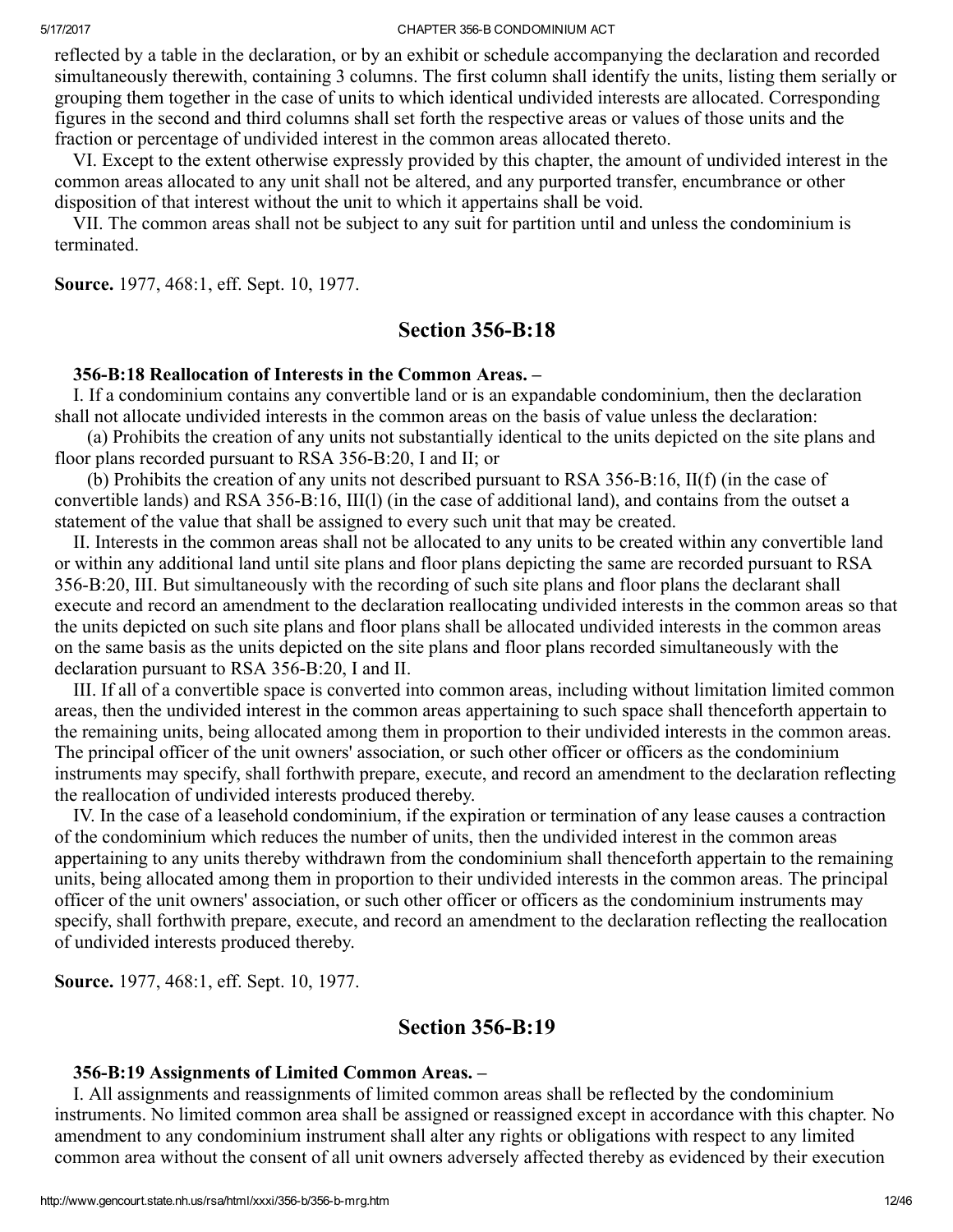reflected by a table in the declaration, or by an exhibit or schedule accompanying the declaration and recorded simultaneously therewith, containing 3 columns. The first column shall identify the units, listing them serially or grouping them together in the case of units to which identical undivided interests are allocated. Corresponding figures in the second and third columns shall set forth the respective areas or values of those units and the fraction or percentage of undivided interest in the common areas allocated thereto.

VI. Except to the extent otherwise expressly provided by this chapter, the amount of undivided interest in the common areas allocated to any unit shall not be altered, and any purported transfer, encumbrance or other disposition of that interest without the unit to which it appertains shall be void.

VII. The common areas shall not be subject to any suit for partition until and unless the condominium is terminated.

Source. 1977, 468:1, eff. Sept. 10, 1977.

# **Section 356-B:18**

### 356-B:18 Reallocation of Interests in the Common Areas. -

I. If a condominium contains any convertible land or is an expandable condominium, then the declaration shall not allocate undivided interests in the common areas on the basis of value unless the declaration:

(a) Prohibits the creation of any units not substantially identical to the units depicted on the site plans and floor plans recorded pursuant to RSA 356-B:20, I and II; or

(b) Prohibits the creation of any units not described pursuant to RSA 356-B:16,  $\text{II(f)}$  (in the case of convertible lands) and RSA  $356-B:16$ , III(1) (in the case of additional land), and contains from the outset a statement of the value that shall be assigned to every such unit that may be created.

II. Interests in the common areas shall not be allocated to any units to be created within any convertible land or within any additional land until site plans and floor plans depicting the same are recorded pursuant to RSA 356B:20, III. But simultaneously with the recording of such site plans and floor plans the declarant shall execute and record an amendment to the declaration reallocating undivided interests in the common areas so that the units depicted on such site plans and floor plans shall be allocated undivided interests in the common areas on the same basis as the units depicted on the site plans and floor plans recorded simultaneously with the declaration pursuant to RSA 356-B:20, I and II.

III. If all of a convertible space is converted into common areas, including without limitation limited common areas, then the undivided interest in the common areas appertaining to such space shall thenceforth appertain to the remaining units, being allocated among them in proportion to their undivided interests in the common areas. The principal officer of the unit owners' association, or such other officer or officers as the condominium instruments may specify, shall forthwith prepare, execute, and record an amendment to the declaration reflecting the reallocation of undivided interests produced thereby.

IV. In the case of a leasehold condominium, if the expiration or termination of any lease causes a contraction of the condominium which reduces the number of units, then the undivided interest in the common areas appertaining to any units thereby withdrawn from the condominium shall thenceforth appertain to the remaining units, being allocated among them in proportion to their undivided interests in the common areas. The principal officer of the unit owners' association, or such other officer or officers as the condominium instruments may specify, shall forthwith prepare, execute, and record an amendment to the declaration reflecting the reallocation of undivided interests produced thereby.

Source. 1977, 468:1, eff. Sept. 10, 1977.

# **Section 356-B:19**

### 356-B:19 Assignments of Limited Common Areas. -

I. All assignments and reassignments of limited common areas shall be reflected by the condominium instruments. No limited common area shall be assigned or reassigned except in accordance with this chapter. No amendment to any condominium instrument shall alter any rights or obligations with respect to any limited common area without the consent of all unit owners adversely affected thereby as evidenced by their execution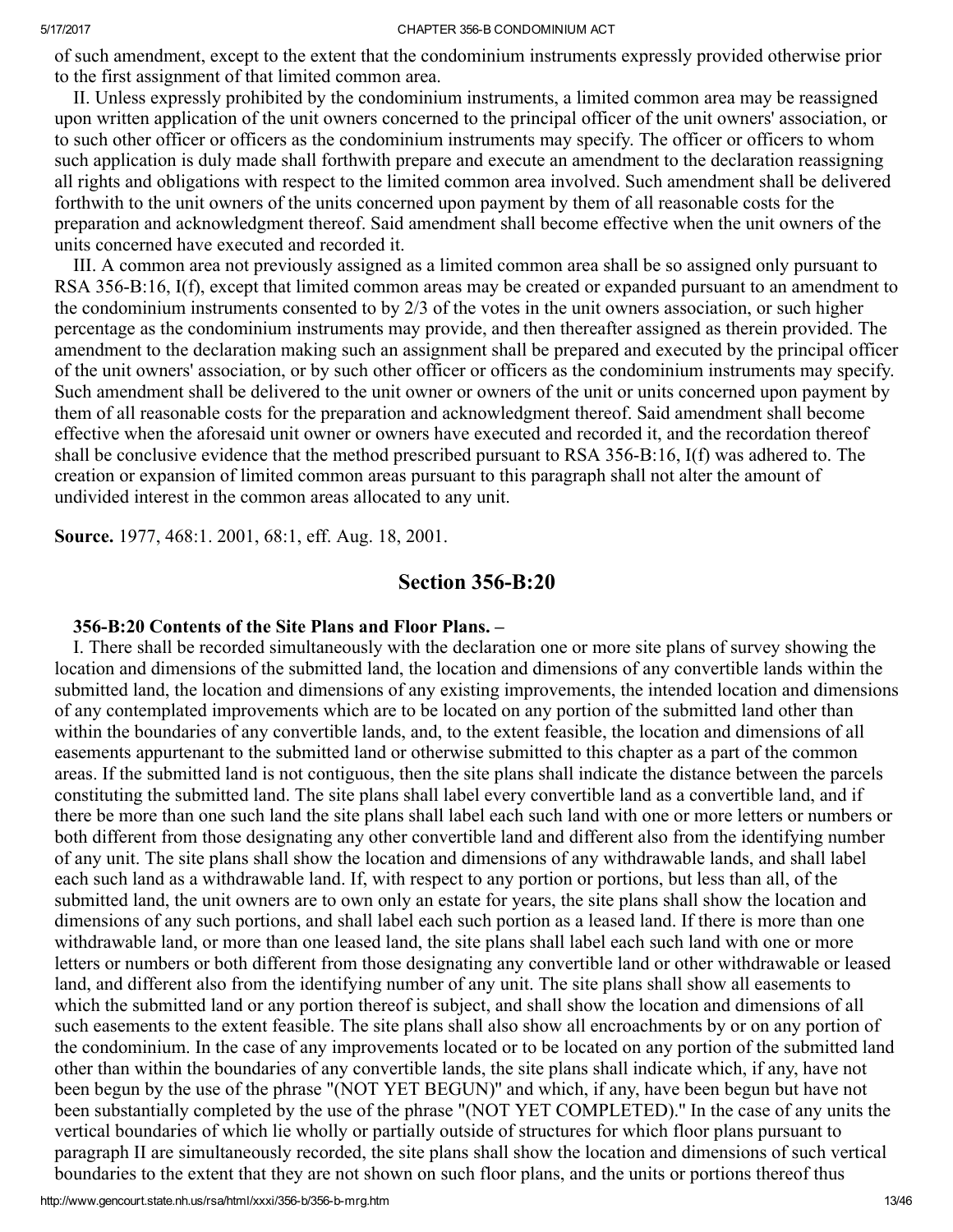of such amendment, except to the extent that the condominium instruments expressly provided otherwise prior to the first assignment of that limited common area.

II. Unless expressly prohibited by the condominium instruments, a limited common area may be reassigned upon written application of the unit owners concerned to the principal officer of the unit owners' association, or to such other officer or officers as the condominium instruments may specify. The officer or officers to whom such application is duly made shall forthwith prepare and execute an amendment to the declaration reassigning all rights and obligations with respect to the limited common area involved. Such amendment shall be delivered forthwith to the unit owners of the units concerned upon payment by them of all reasonable costs for the preparation and acknowledgment thereof. Said amendment shall become effective when the unit owners of the units concerned have executed and recorded it.

III. A common area not previously assigned as a limited common area shall be so assigned only pursuant to RSA 356-B:16, I(f), except that limited common areas may be created or expanded pursuant to an amendment to the condominium instruments consented to by 2/3 of the votes in the unit owners association, or such higher percentage as the condominium instruments may provide, and then thereafter assigned as therein provided. The amendment to the declaration making such an assignment shall be prepared and executed by the principal officer of the unit owners' association, or by such other officer or officers as the condominium instruments may specify. Such amendment shall be delivered to the unit owner or owners of the unit or units concerned upon payment by them of all reasonable costs for the preparation and acknowledgment thereof. Said amendment shall become effective when the aforesaid unit owner or owners have executed and recorded it, and the recordation thereof shall be conclusive evidence that the method prescribed pursuant to RSA  $356-B:16$ , I(f) was adhered to. The creation or expansion of limited common areas pursuant to this paragraph shall not alter the amount of undivided interest in the common areas allocated to any unit.

Source. 1977, 468:1. 2001, 68:1, eff. Aug. 18, 2001.

### **Section 356-B:20**

### $356-B:20$  Contents of the Site Plans and Floor Plans.  $-$

I. There shall be recorded simultaneously with the declaration one or more site plans of survey showing the location and dimensions of the submitted land, the location and dimensions of any convertible lands within the submitted land, the location and dimensions of any existing improvements, the intended location and dimensions of any contemplated improvements which are to be located on any portion of the submitted land other than within the boundaries of any convertible lands, and, to the extent feasible, the location and dimensions of all easements appurtenant to the submitted land or otherwise submitted to this chapter as a part of the common areas. If the submitted land is not contiguous, then the site plans shall indicate the distance between the parcels constituting the submitted land. The site plans shall label every convertible land as a convertible land, and if there be more than one such land the site plans shall label each such land with one or more letters or numbers or both different from those designating any other convertible land and different also from the identifying number of any unit. The site plans shall show the location and dimensions of any withdrawable lands, and shall label each such land as a withdrawable land. If, with respect to any portion or portions, but less than all, of the submitted land, the unit owners are to own only an estate for years, the site plans shall show the location and dimensions of any such portions, and shall label each such portion as a leased land. If there is more than one withdrawable land, or more than one leased land, the site plans shall label each such land with one or more letters or numbers or both different from those designating any convertible land or other withdrawable or leased land, and different also from the identifying number of any unit. The site plans shall show all easements to which the submitted land or any portion thereof is subject, and shall show the location and dimensions of all such easements to the extent feasible. The site plans shall also show all encroachments by or on any portion of the condominium. In the case of any improvements located or to be located on any portion of the submitted land other than within the boundaries of any convertible lands, the site plans shall indicate which, if any, have not been begun by the use of the phrase "(NOT YET BEGUN)'' and which, if any, have been begun but have not been substantially completed by the use of the phrase "(NOT YET COMPLETED).'' In the case of any units the vertical boundaries of which lie wholly or partially outside of structures for which floor plans pursuant to paragraph II are simultaneously recorded, the site plans shall show the location and dimensions of such vertical boundaries to the extent that they are not shown on such floor plans, and the units or portions thereof thus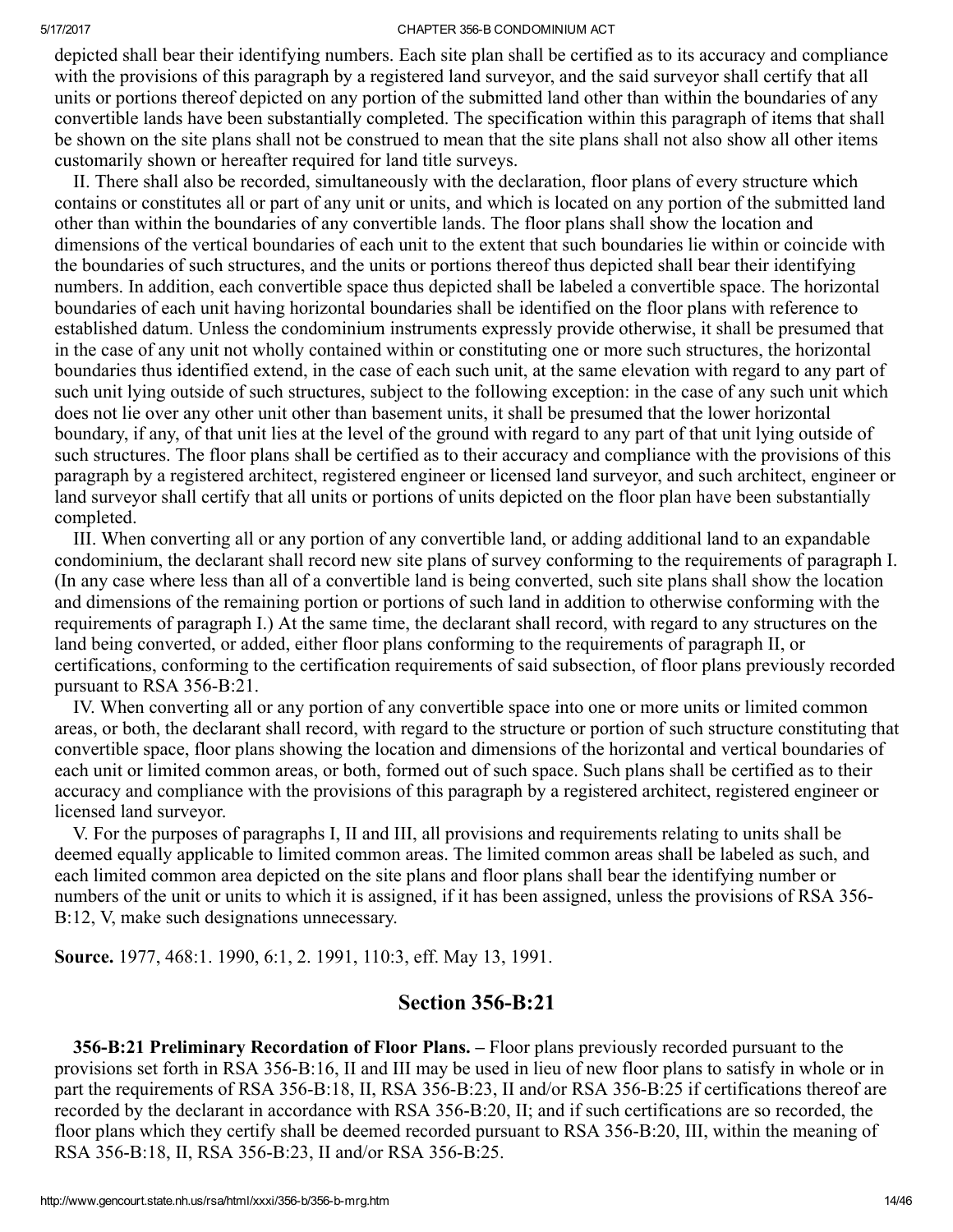depicted shall bear their identifying numbers. Each site plan shall be certified as to its accuracy and compliance with the provisions of this paragraph by a registered land surveyor, and the said surveyor shall certify that all units or portions thereof depicted on any portion of the submitted land other than within the boundaries of any convertible lands have been substantially completed. The specification within this paragraph of items that shall be shown on the site plans shall not be construed to mean that the site plans shall not also show all other items customarily shown or hereafter required for land title surveys.

II. There shall also be recorded, simultaneously with the declaration, floor plans of every structure which contains or constitutes all or part of any unit or units, and which is located on any portion of the submitted land other than within the boundaries of any convertible lands. The floor plans shall show the location and dimensions of the vertical boundaries of each unit to the extent that such boundaries lie within or coincide with the boundaries of such structures, and the units or portions thereof thus depicted shall bear their identifying numbers. In addition, each convertible space thus depicted shall be labeled a convertible space. The horizontal boundaries of each unit having horizontal boundaries shall be identified on the floor plans with reference to established datum. Unless the condominium instruments expressly provide otherwise, it shall be presumed that in the case of any unit not wholly contained within or constituting one or more such structures, the horizontal boundaries thus identified extend, in the case of each such unit, at the same elevation with regard to any part of such unit lying outside of such structures, subject to the following exception: in the case of any such unit which does not lie over any other unit other than basement units, it shall be presumed that the lower horizontal boundary, if any, of that unit lies at the level of the ground with regard to any part of that unit lying outside of such structures. The floor plans shall be certified as to their accuracy and compliance with the provisions of this paragraph by a registered architect, registered engineer or licensed land surveyor, and such architect, engineer or land surveyor shall certify that all units or portions of units depicted on the floor plan have been substantially completed.

III. When converting all or any portion of any convertible land, or adding additional land to an expandable condominium, the declarant shall record new site plans of survey conforming to the requirements of paragraph I. (In any case where less than all of a convertible land is being converted, such site plans shall show the location and dimensions of the remaining portion or portions of such land in addition to otherwise conforming with the requirements of paragraph I.) At the same time, the declarant shall record, with regard to any structures on the land being converted, or added, either floor plans conforming to the requirements of paragraph II, or certifications, conforming to the certification requirements of said subsection, of floor plans previously recorded pursuant to RSA 356-B:21.

IV. When converting all or any portion of any convertible space into one or more units or limited common areas, or both, the declarant shall record, with regard to the structure or portion of such structure constituting that convertible space, floor plans showing the location and dimensions of the horizontal and vertical boundaries of each unit or limited common areas, or both, formed out of such space. Such plans shall be certified as to their accuracy and compliance with the provisions of this paragraph by a registered architect, registered engineer or licensed land surveyor.

V. For the purposes of paragraphs I, II and III, all provisions and requirements relating to units shall be deemed equally applicable to limited common areas. The limited common areas shall be labeled as such, and each limited common area depicted on the site plans and floor plans shall bear the identifying number or numbers of the unit or units to which it is assigned, if it has been assigned, unless the provisions of RSA 356 B:12, V, make such designations unnecessary.

Source. 1977, 468:1. 1990, 6:1, 2. 1991, 110:3, eff. May 13, 1991.

# **Section 356-B:21**

**356-B:21 Preliminary Recordation of Floor Plans.** – Floor plans previously recorded pursuant to the provisions set forth in RSA 356-B:16, II and III may be used in lieu of new floor plans to satisfy in whole or in part the requirements of RSA 356-B:18, II, RSA 356-B:23, II and/or RSA 356-B:25 if certifications thereof are recorded by the declarant in accordance with RSA 356-B:20, II; and if such certifications are so recorded, the floor plans which they certify shall be deemed recorded pursuant to RSA 356-B:20, III, within the meaning of RSA 356-B:18, II, RSA 356-B:23, II and/or RSA 356-B:25.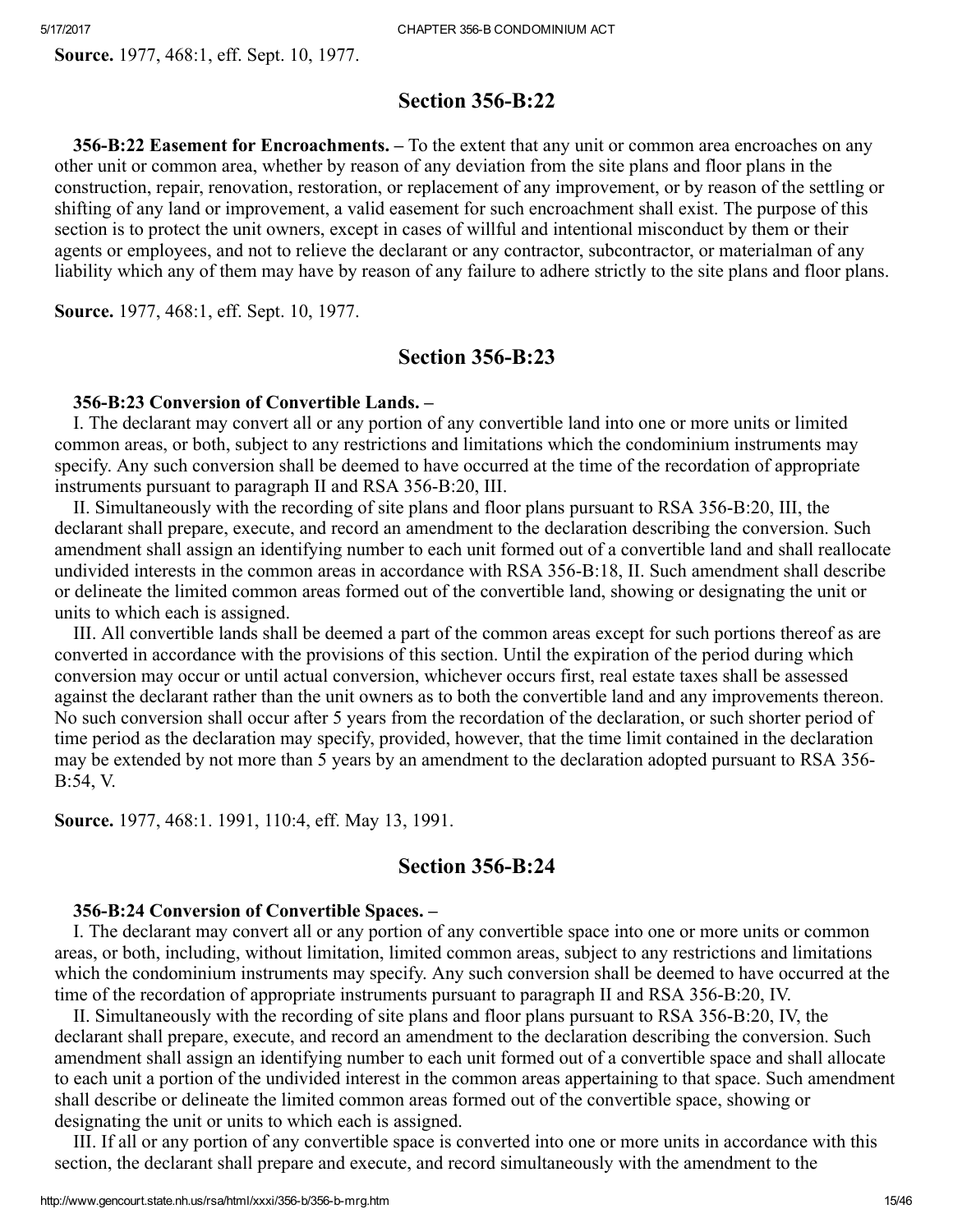Source. 1977, 468:1, eff. Sept. 10, 1977.

### **Section 356-B:22**

**356-B:22 Easement for Encroachments.** – To the extent that any unit or common area encroaches on any other unit or common area, whether by reason of any deviation from the site plans and floor plans in the construction, repair, renovation, restoration, or replacement of any improvement, or by reason of the settling or shifting of any land or improvement, a valid easement for such encroachment shall exist. The purpose of this section is to protect the unit owners, except in cases of willful and intentional misconduct by them or their agents or employees, and not to relieve the declarant or any contractor, subcontractor, or materialman of any liability which any of them may have by reason of any failure to adhere strictly to the site plans and floor plans.

Source. 1977, 468:1, eff. Sept. 10, 1977.

### **Section 356-B:23**

### 356-B:23 Conversion of Convertible Lands. -

I. The declarant may convert all or any portion of any convertible land into one or more units or limited common areas, or both, subject to any restrictions and limitations which the condominium instruments may specify. Any such conversion shall be deemed to have occurred at the time of the recordation of appropriate instruments pursuant to paragraph II and RSA 356-B:20, III.

II. Simultaneously with the recording of site plans and floor plans pursuant to RSA 356-B:20, III, the declarant shall prepare, execute, and record an amendment to the declaration describing the conversion. Such amendment shall assign an identifying number to each unit formed out of a convertible land and shall reallocate undivided interests in the common areas in accordance with RSA 356-B:18, II. Such amendment shall describe or delineate the limited common areas formed out of the convertible land, showing or designating the unit or units to which each is assigned.

III. All convertible lands shall be deemed a part of the common areas except for such portions thereof as are converted in accordance with the provisions of this section. Until the expiration of the period during which conversion may occur or until actual conversion, whichever occurs first, real estate taxes shall be assessed against the declarant rather than the unit owners as to both the convertible land and any improvements thereon. No such conversion shall occur after 5 years from the recordation of the declaration, or such shorter period of time period as the declaration may specify, provided, however, that the time limit contained in the declaration may be extended by not more than 5 years by an amendment to the declaration adopted pursuant to RSA 356 B:54, V.

Source. 1977, 468:1. 1991, 110:4, eff. May 13, 1991.

# **Section 356-B:24**

### 356B:24 Conversion of Convertible Spaces. –

I. The declarant may convert all or any portion of any convertible space into one or more units or common areas, or both, including, without limitation, limited common areas, subject to any restrictions and limitations which the condominium instruments may specify. Any such conversion shall be deemed to have occurred at the time of the recordation of appropriate instruments pursuant to paragraph II and RSA  $356-B:20$ , IV.

II. Simultaneously with the recording of site plans and floor plans pursuant to RSA 356-B:20, IV, the declarant shall prepare, execute, and record an amendment to the declaration describing the conversion. Such amendment shall assign an identifying number to each unit formed out of a convertible space and shall allocate to each unit a portion of the undivided interest in the common areas appertaining to that space. Such amendment shall describe or delineate the limited common areas formed out of the convertible space, showing or designating the unit or units to which each is assigned.

III. If all or any portion of any convertible space is converted into one or more units in accordance with this section, the declarant shall prepare and execute, and record simultaneously with the amendment to the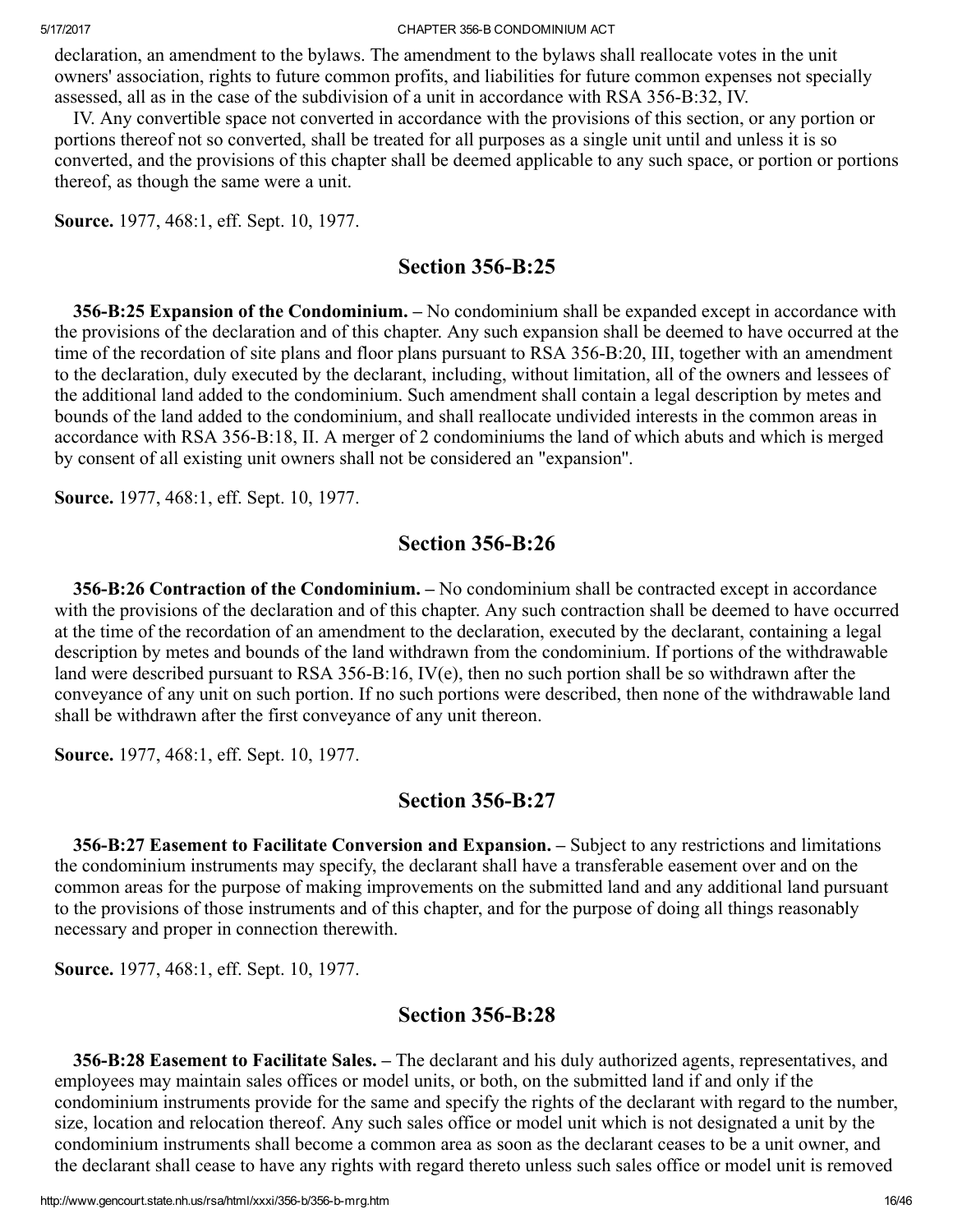declaration, an amendment to the bylaws. The amendment to the bylaws shall reallocate votes in the unit owners' association, rights to future common profits, and liabilities for future common expenses not specially assessed, all as in the case of the subdivision of a unit in accordance with RSA 356-B:32, IV.

IV. Any convertible space not converted in accordance with the provisions of this section, or any portion or portions thereof not so converted, shall be treated for all purposes as a single unit until and unless it is so converted, and the provisions of this chapter shall be deemed applicable to any such space, or portion or portions thereof, as though the same were a unit.

Source. 1977, 468:1, eff. Sept. 10, 1977.

# **Section 356-B:25**

**356-B:25 Expansion of the Condominium.**  $-$  No condominium shall be expanded except in accordance with the provisions of the declaration and of this chapter. Any such expansion shall be deemed to have occurred at the time of the recordation of site plans and floor plans pursuant to RSA 356-B:20, III, together with an amendment to the declaration, duly executed by the declarant, including, without limitation, all of the owners and lessees of the additional land added to the condominium. Such amendment shall contain a legal description by metes and bounds of the land added to the condominium, and shall reallocate undivided interests in the common areas in accordance with RSA 356-B:18, II. A merger of 2 condominiums the land of which abuts and which is merged by consent of all existing unit owners shall not be considered an "expansion''.

Source. 1977, 468:1, eff. Sept. 10, 1977.

# **Section 356-B:26**

356-B:26 Contraction of the Condominium. – No condominium shall be contracted except in accordance with the provisions of the declaration and of this chapter. Any such contraction shall be deemed to have occurred at the time of the recordation of an amendment to the declaration, executed by the declarant, containing a legal description by metes and bounds of the land withdrawn from the condominium. If portions of the withdrawable land were described pursuant to RSA 356-B:16, IV(e), then no such portion shall be so withdrawn after the conveyance of any unit on such portion. If no such portions were described, then none of the withdrawable land shall be withdrawn after the first conveyance of any unit thereon.

Source. 1977, 468:1, eff. Sept. 10, 1977.

# **Section 356-B:27**

356-B:27 Easement to Facilitate Conversion and Expansion. – Subject to any restrictions and limitations the condominium instruments may specify, the declarant shall have a transferable easement over and on the common areas for the purpose of making improvements on the submitted land and any additional land pursuant to the provisions of those instruments and of this chapter, and for the purpose of doing all things reasonably necessary and proper in connection therewith.

Source. 1977, 468:1, eff. Sept. 10, 1977.

# **Section 356-B:28**

356-B:28 Easement to Facilitate Sales. – The declarant and his duly authorized agents, representatives, and employees may maintain sales offices or model units, or both, on the submitted land if and only if the condominium instruments provide for the same and specify the rights of the declarant with regard to the number, size, location and relocation thereof. Any such sales office or model unit which is not designated a unit by the condominium instruments shall become a common area as soon as the declarant ceases to be a unit owner, and the declarant shall cease to have any rights with regard thereto unless such sales office or model unit is removed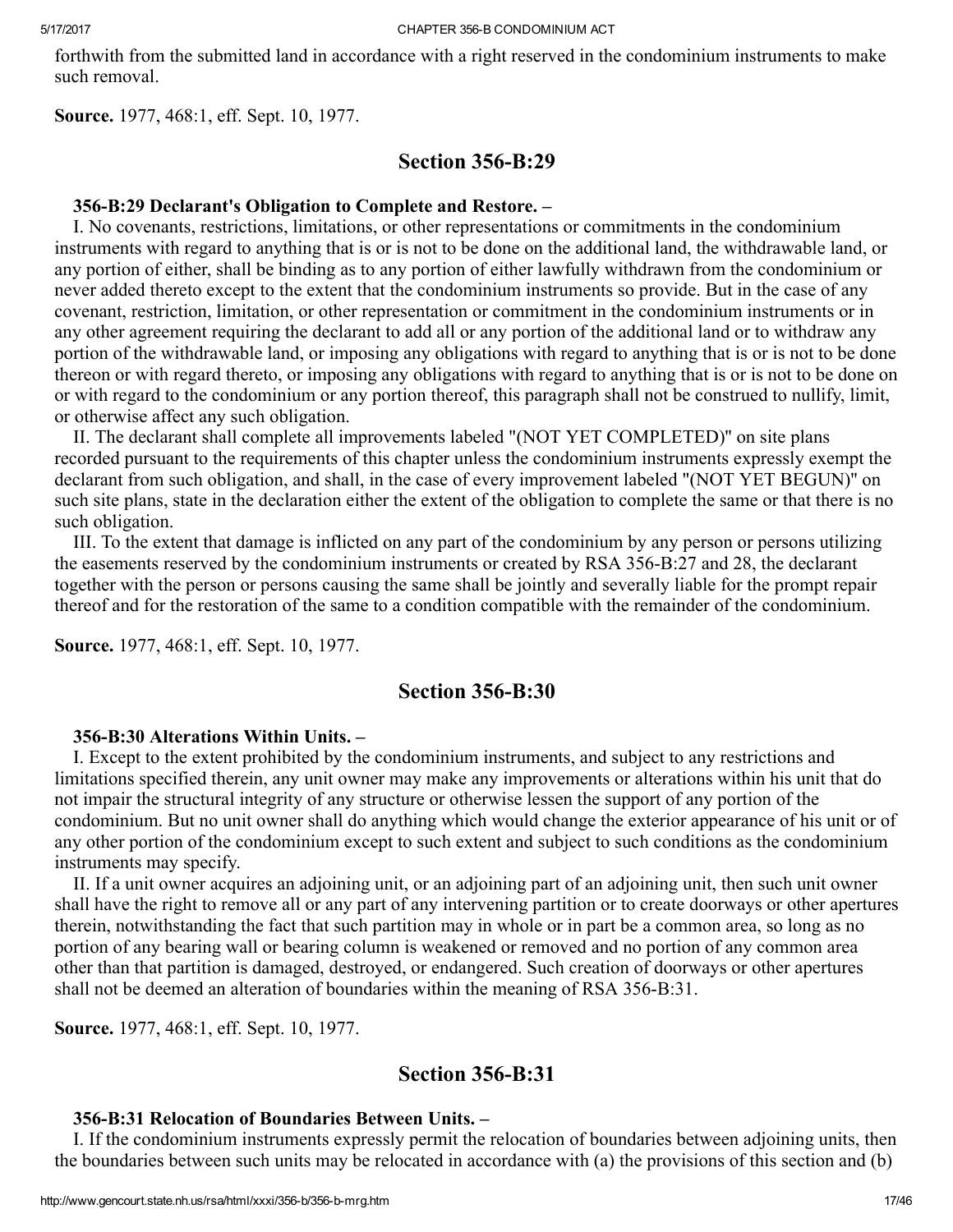forthwith from the submitted land in accordance with a right reserved in the condominium instruments to make such removal.

Source. 1977, 468:1, eff. Sept. 10, 1977.

### **Section 356-B:29**

### 356-B:29 Declarant's Obligation to Complete and Restore. –

I. No covenants, restrictions, limitations, or other representations or commitments in the condominium instruments with regard to anything that is or is not to be done on the additional land, the withdrawable land, or any portion of either, shall be binding as to any portion of either lawfully withdrawn from the condominium or never added thereto except to the extent that the condominium instruments so provide. But in the case of any covenant, restriction, limitation, or other representation or commitment in the condominium instruments or in any other agreement requiring the declarant to add all or any portion of the additional land or to withdraw any portion of the withdrawable land, or imposing any obligations with regard to anything that is or is not to be done thereon or with regard thereto, or imposing any obligations with regard to anything that is or is not to be done on or with regard to the condominium or any portion thereof, this paragraph shall not be construed to nullify, limit, or otherwise affect any such obligation.

II. The declarant shall complete all improvements labeled "(NOT YET COMPLETED)'' on site plans recorded pursuant to the requirements of this chapter unless the condominium instruments expressly exempt the declarant from such obligation, and shall, in the case of every improvement labeled "(NOT YET BEGUN)'' on such site plans, state in the declaration either the extent of the obligation to complete the same or that there is no such obligation.

III. To the extent that damage is inflicted on any part of the condominium by any person or persons utilizing the easements reserved by the condominium instruments or created by RSA 356-B:27 and 28, the declarant together with the person or persons causing the same shall be jointly and severally liable for the prompt repair thereof and for the restoration of the same to a condition compatible with the remainder of the condominium.

Source. 1977, 468:1, eff. Sept. 10, 1977.

# **Section 356-B:30**

### $356 - B:30$  Alterations Within Units.  $-$

I. Except to the extent prohibited by the condominium instruments, and subject to any restrictions and limitations specified therein, any unit owner may make any improvements or alterations within his unit that do not impair the structural integrity of any structure or otherwise lessen the support of any portion of the condominium. But no unit owner shall do anything which would change the exterior appearance of his unit or of any other portion of the condominium except to such extent and subject to such conditions as the condominium instruments may specify.

II. If a unit owner acquires an adjoining unit, or an adjoining part of an adjoining unit, then such unit owner shall have the right to remove all or any part of any intervening partition or to create doorways or other apertures therein, notwithstanding the fact that such partition may in whole or in part be a common area, so long as no portion of any bearing wall or bearing column is weakened or removed and no portion of any common area other than that partition is damaged, destroyed, or endangered. Such creation of doorways or other apertures shall not be deemed an alteration of boundaries within the meaning of RSA 356-B:31.

Source. 1977, 468:1, eff. Sept. 10, 1977.

### **Section 356-B:31**

### 356-B:31 Relocation of Boundaries Between Units. -

I. If the condominium instruments expressly permit the relocation of boundaries between adjoining units, then the boundaries between such units may be relocated in accordance with (a) the provisions of this section and (b)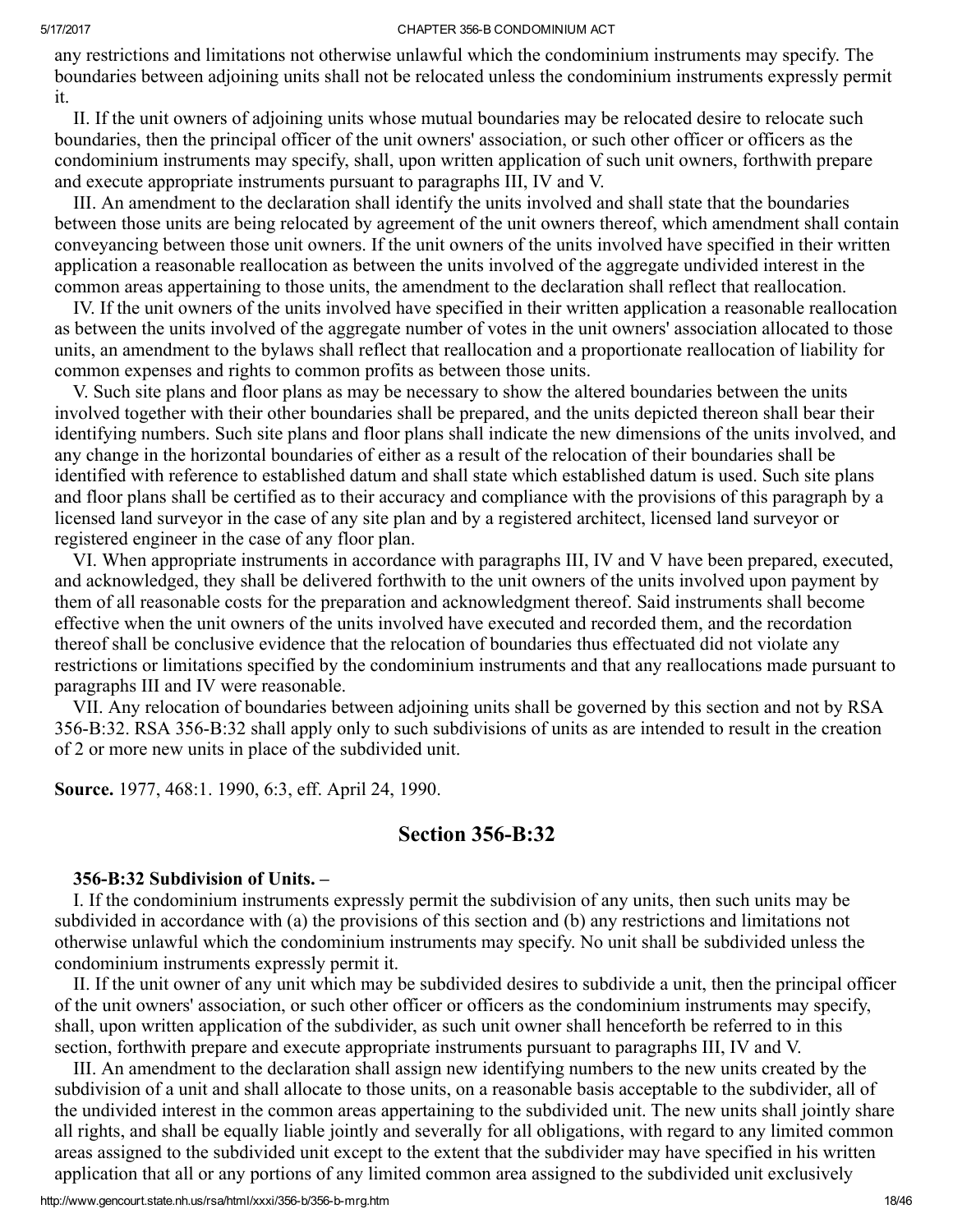any restrictions and limitations not otherwise unlawful which the condominium instruments may specify. The boundaries between adjoining units shall not be relocated unless the condominium instruments expressly permit it.

II. If the unit owners of adjoining units whose mutual boundaries may be relocated desire to relocate such boundaries, then the principal officer of the unit owners' association, or such other officer or officers as the condominium instruments may specify, shall, upon written application of such unit owners, forthwith prepare and execute appropriate instruments pursuant to paragraphs III, IV and V.

III. An amendment to the declaration shall identify the units involved and shall state that the boundaries between those units are being relocated by agreement of the unit owners thereof, which amendment shall contain conveyancing between those unit owners. If the unit owners of the units involved have specified in their written application a reasonable reallocation as between the units involved of the aggregate undivided interest in the common areas appertaining to those units, the amendment to the declaration shall reflect that reallocation.

IV. If the unit owners of the units involved have specified in their written application a reasonable reallocation as between the units involved of the aggregate number of votes in the unit owners' association allocated to those units, an amendment to the bylaws shall reflect that reallocation and a proportionate reallocation of liability for common expenses and rights to common profits as between those units.

V. Such site plans and floor plans as may be necessary to show the altered boundaries between the units involved together with their other boundaries shall be prepared, and the units depicted thereon shall bear their identifying numbers. Such site plans and floor plans shall indicate the new dimensions of the units involved, and any change in the horizontal boundaries of either as a result of the relocation of their boundaries shall be identified with reference to established datum and shall state which established datum is used. Such site plans and floor plans shall be certified as to their accuracy and compliance with the provisions of this paragraph by a licensed land surveyor in the case of any site plan and by a registered architect, licensed land surveyor or registered engineer in the case of any floor plan.

VI. When appropriate instruments in accordance with paragraphs III, IV and V have been prepared, executed, and acknowledged, they shall be delivered forthwith to the unit owners of the units involved upon payment by them of all reasonable costs for the preparation and acknowledgment thereof. Said instruments shall become effective when the unit owners of the units involved have executed and recorded them, and the recordation thereof shall be conclusive evidence that the relocation of boundaries thus effectuated did not violate any restrictions or limitations specified by the condominium instruments and that any reallocations made pursuant to paragraphs III and IV were reasonable.

VII. Any relocation of boundaries between adjoining units shall be governed by this section and not by RSA 356B:32. RSA 356B:32 shall apply only to such subdivisions of units as are intended to result in the creation of 2 or more new units in place of the subdivided unit.

Source. 1977, 468:1. 1990, 6:3, eff. April 24, 1990.

# **Section 356-B:32**

### $356-B:32$  Subdivision of Units.  $-$

I. If the condominium instruments expressly permit the subdivision of any units, then such units may be subdivided in accordance with (a) the provisions of this section and (b) any restrictions and limitations not otherwise unlawful which the condominium instruments may specify. No unit shall be subdivided unless the condominium instruments expressly permit it.

II. If the unit owner of any unit which may be subdivided desires to subdivide a unit, then the principal officer of the unit owners' association, or such other officer or officers as the condominium instruments may specify, shall, upon written application of the subdivider, as such unit owner shall henceforth be referred to in this section, forthwith prepare and execute appropriate instruments pursuant to paragraphs III, IV and V.

III. An amendment to the declaration shall assign new identifying numbers to the new units created by the subdivision of a unit and shall allocate to those units, on a reasonable basis acceptable to the subdivider, all of the undivided interest in the common areas appertaining to the subdivided unit. The new units shall jointly share all rights, and shall be equally liable jointly and severally for all obligations, with regard to any limited common areas assigned to the subdivided unit except to the extent that the subdivider may have specified in his written application that all or any portions of any limited common area assigned to the subdivided unit exclusively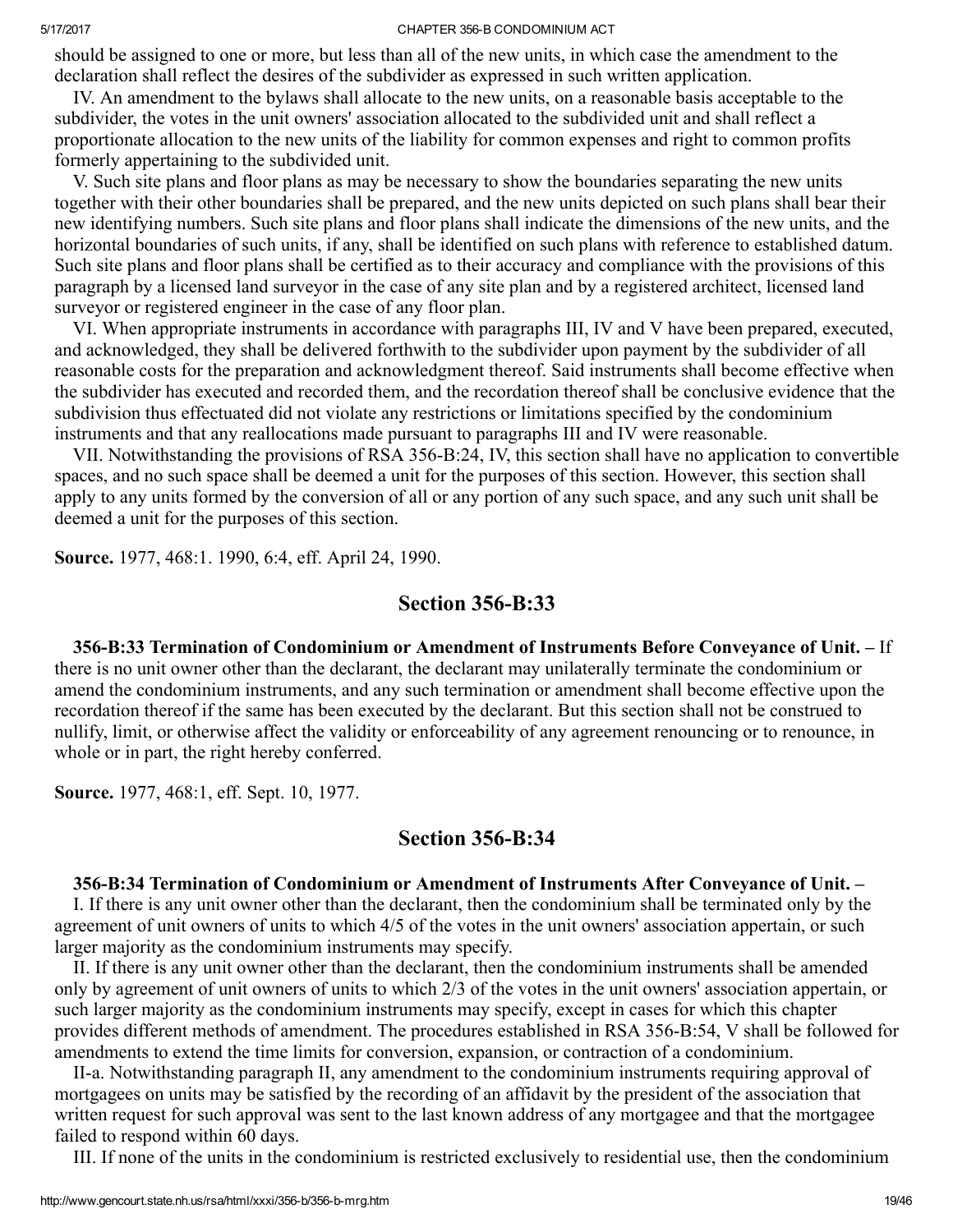should be assigned to one or more, but less than all of the new units, in which case the amendment to the declaration shall reflect the desires of the subdivider as expressed in such written application.

IV. An amendment to the bylaws shall allocate to the new units, on a reasonable basis acceptable to the subdivider, the votes in the unit owners' association allocated to the subdivided unit and shall reflect a proportionate allocation to the new units of the liability for common expenses and right to common profits formerly appertaining to the subdivided unit.

V. Such site plans and floor plans as may be necessary to show the boundaries separating the new units together with their other boundaries shall be prepared, and the new units depicted on such plans shall bear their new identifying numbers. Such site plans and floor plans shall indicate the dimensions of the new units, and the horizontal boundaries of such units, if any, shall be identified on such plans with reference to established datum. Such site plans and floor plans shall be certified as to their accuracy and compliance with the provisions of this paragraph by a licensed land surveyor in the case of any site plan and by a registered architect, licensed land surveyor or registered engineer in the case of any floor plan.

VI. When appropriate instruments in accordance with paragraphs III, IV and V have been prepared, executed, and acknowledged, they shall be delivered forthwith to the subdivider upon payment by the subdivider of all reasonable costs for the preparation and acknowledgment thereof. Said instruments shall become effective when the subdivider has executed and recorded them, and the recordation thereof shall be conclusive evidence that the subdivision thus effectuated did not violate any restrictions or limitations specified by the condominium instruments and that any reallocations made pursuant to paragraphs III and IV were reasonable.

VII. Notwithstanding the provisions of RSA 356-B:24, IV, this section shall have no application to convertible spaces, and no such space shall be deemed a unit for the purposes of this section. However, this section shall apply to any units formed by the conversion of all or any portion of any such space, and any such unit shall be deemed a unit for the purposes of this section.

Source. 1977, 468:1. 1990, 6:4, eff. April 24, 1990.

# **Section 356-B:33**

356-B:33 Termination of Condominium or Amendment of Instruments Before Conveyance of Unit. – If there is no unit owner other than the declarant, the declarant may unilaterally terminate the condominium or amend the condominium instruments, and any such termination or amendment shall become effective upon the recordation thereof if the same has been executed by the declarant. But this section shall not be construed to nullify, limit, or otherwise affect the validity or enforceability of any agreement renouncing or to renounce, in whole or in part, the right hereby conferred.

Source. 1977, 468:1, eff. Sept. 10, 1977.

# **Section 356-B:34**

### 356-B:34 Termination of Condominium or Amendment of Instruments After Conveyance of Unit. –

I. If there is any unit owner other than the declarant, then the condominium shall be terminated only by the agreement of unit owners of units to which 4/5 of the votes in the unit owners' association appertain, or such larger majority as the condominium instruments may specify.

II. If there is any unit owner other than the declarant, then the condominium instruments shall be amended only by agreement of unit owners of units to which 2/3 of the votes in the unit owners' association appertain, or such larger majority as the condominium instruments may specify, except in cases for which this chapter provides different methods of amendment. The procedures established in RSA 356-B:54, V shall be followed for amendments to extend the time limits for conversion, expansion, or contraction of a condominium.

II-a. Notwithstanding paragraph II, any amendment to the condominium instruments requiring approval of mortgagees on units may be satisfied by the recording of an affidavit by the president of the association that written request for such approval was sent to the last known address of any mortgagee and that the mortgagee failed to respond within 60 days.

III. If none of the units in the condominium is restricted exclusively to residential use, then the condominium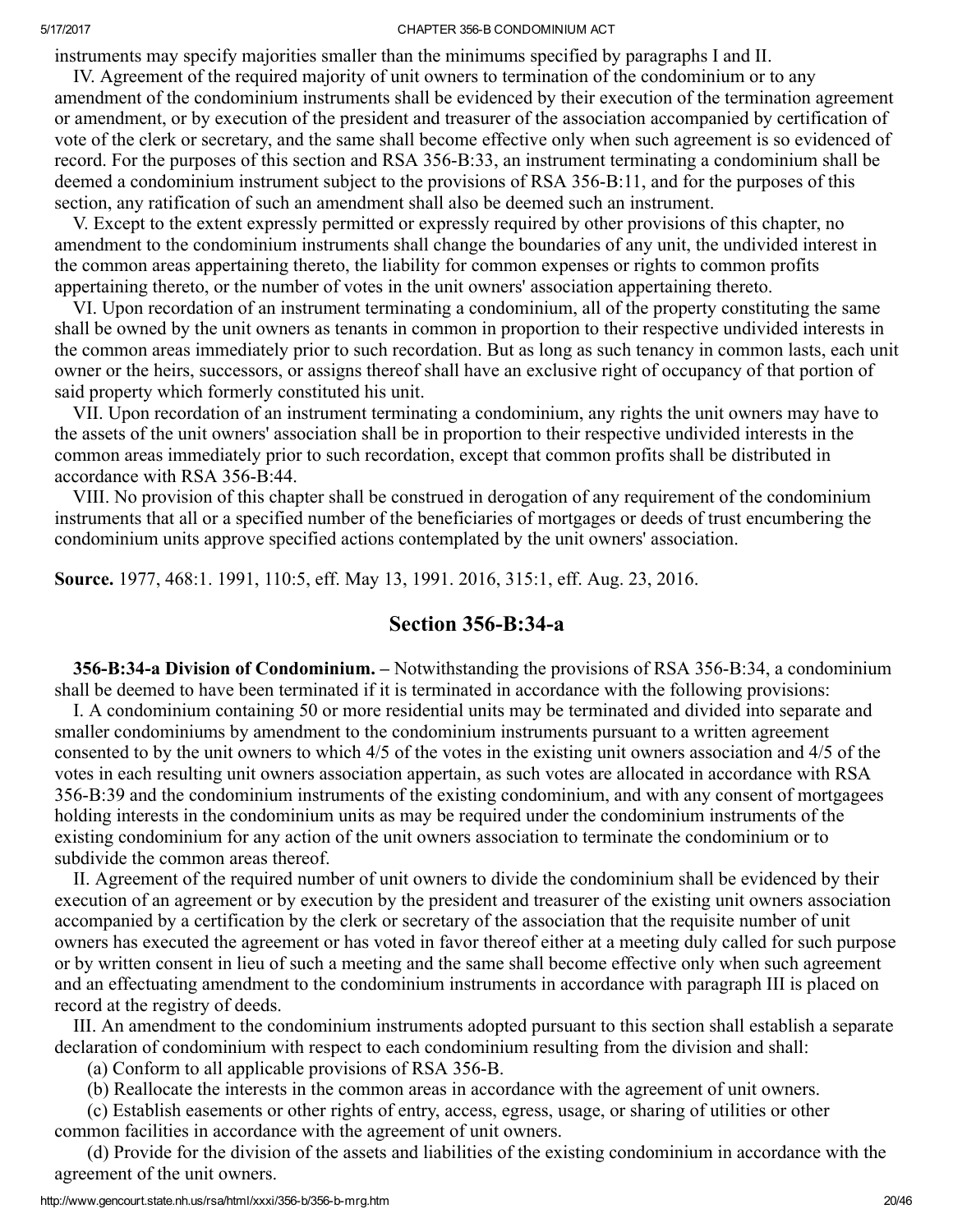instruments may specify majorities smaller than the minimums specified by paragraphs I and II.

IV. Agreement of the required majority of unit owners to termination of the condominium or to any amendment of the condominium instruments shall be evidenced by their execution of the termination agreement or amendment, or by execution of the president and treasurer of the association accompanied by certification of vote of the clerk or secretary, and the same shall become effective only when such agreement is so evidenced of record. For the purposes of this section and RSA 356-B:33, an instrument terminating a condominium shall be deemed a condominium instrument subject to the provisions of RSA 356-B:11, and for the purposes of this section, any ratification of such an amendment shall also be deemed such an instrument.

V. Except to the extent expressly permitted or expressly required by other provisions of this chapter, no amendment to the condominium instruments shall change the boundaries of any unit, the undivided interest in the common areas appertaining thereto, the liability for common expenses or rights to common profits appertaining thereto, or the number of votes in the unit owners' association appertaining thereto.

VI. Upon recordation of an instrument terminating a condominium, all of the property constituting the same shall be owned by the unit owners as tenants in common in proportion to their respective undivided interests in the common areas immediately prior to such recordation. But as long as such tenancy in common lasts, each unit owner or the heirs, successors, or assigns thereof shall have an exclusive right of occupancy of that portion of said property which formerly constituted his unit.

VII. Upon recordation of an instrument terminating a condominium, any rights the unit owners may have to the assets of the unit owners' association shall be in proportion to their respective undivided interests in the common areas immediately prior to such recordation, except that common profits shall be distributed in accordance with RSA 356-B:44.

VIII. No provision of this chapter shall be construed in derogation of any requirement of the condominium instruments that all or a specified number of the beneficiaries of mortgages or deeds of trust encumbering the condominium units approve specified actions contemplated by the unit owners' association.

Source. 1977, 468:1. 1991, 110:5, eff. May 13, 1991. 2016, 315:1, eff. Aug. 23, 2016.

# **Section 356-B:34-a**

 $356-B:34$ -a Division of Condominium. – Notwithstanding the provisions of RSA 356-B:34, a condominium shall be deemed to have been terminated if it is terminated in accordance with the following provisions:

I. A condominium containing 50 or more residential units may be terminated and divided into separate and smaller condominiums by amendment to the condominium instruments pursuant to a written agreement consented to by the unit owners to which 4/5 of the votes in the existing unit owners association and 4/5 of the votes in each resulting unit owners association appertain, as such votes are allocated in accordance with RSA 356-B:39 and the condominium instruments of the existing condominium, and with any consent of mortgagees holding interests in the condominium units as may be required under the condominium instruments of the existing condominium for any action of the unit owners association to terminate the condominium or to subdivide the common areas thereof.

II. Agreement of the required number of unit owners to divide the condominium shall be evidenced by their execution of an agreement or by execution by the president and treasurer of the existing unit owners association accompanied by a certification by the clerk or secretary of the association that the requisite number of unit owners has executed the agreement or has voted in favor thereof either at a meeting duly called for such purpose or by written consent in lieu of such a meeting and the same shall become effective only when such agreement and an effectuating amendment to the condominium instruments in accordance with paragraph III is placed on record at the registry of deeds.

III. An amendment to the condominium instruments adopted pursuant to this section shall establish a separate declaration of condominium with respect to each condominium resulting from the division and shall:

(a) Conform to all applicable provisions of RSA 356-B.

(b) Reallocate the interests in the common areas in accordance with the agreement of unit owners.

(c) Establish easements or other rights of entry, access, egress, usage, or sharing of utilities or other common facilities in accordance with the agreement of unit owners.

(d) Provide for the division of the assets and liabilities of the existing condominium in accordance with the agreement of the unit owners.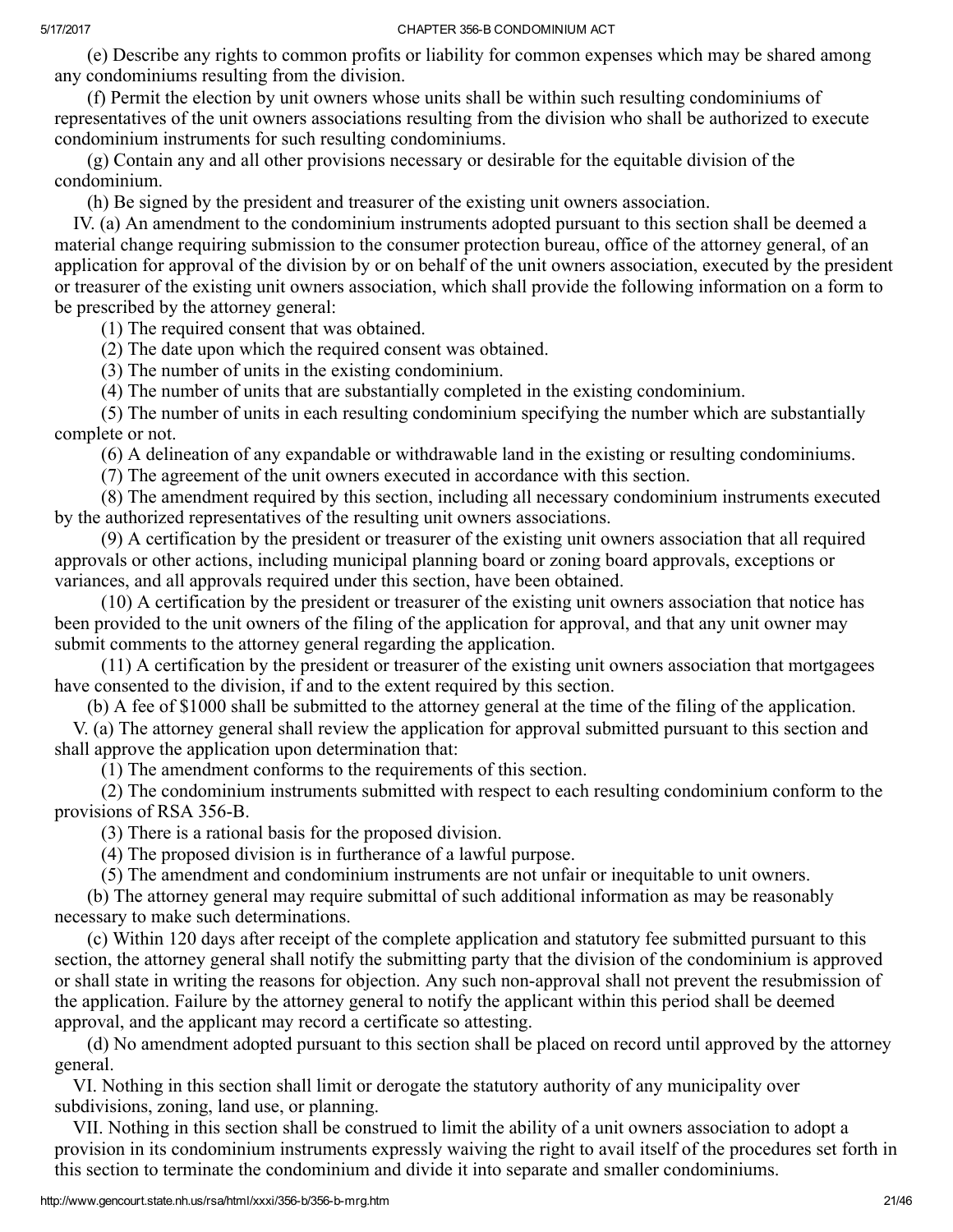(e) Describe any rights to common profits or liability for common expenses which may be shared among any condominiums resulting from the division.

(f) Permit the election by unit owners whose units shall be within such resulting condominiums of representatives of the unit owners associations resulting from the division who shall be authorized to execute condominium instruments for such resulting condominiums.

(g) Contain any and all other provisions necessary or desirable for the equitable division of the condominium.

(h) Be signed by the president and treasurer of the existing unit owners association.

IV. (a) An amendment to the condominium instruments adopted pursuant to this section shall be deemed a material change requiring submission to the consumer protection bureau, office of the attorney general, of an application for approval of the division by or on behalf of the unit owners association, executed by the president or treasurer of the existing unit owners association, which shall provide the following information on a form to be prescribed by the attorney general:

(1) The required consent that was obtained.

(2) The date upon which the required consent was obtained.

(3) The number of units in the existing condominium.

(4) The number of units that are substantially completed in the existing condominium.

(5) The number of units in each resulting condominium specifying the number which are substantially complete or not.

(6) A delineation of any expandable or withdrawable land in the existing or resulting condominiums.

(7) The agreement of the unit owners executed in accordance with this section.

(8) The amendment required by this section, including all necessary condominium instruments executed by the authorized representatives of the resulting unit owners associations.

(9) A certification by the president or treasurer of the existing unit owners association that all required approvals or other actions, including municipal planning board or zoning board approvals, exceptions or variances, and all approvals required under this section, have been obtained.

(10) A certification by the president or treasurer of the existing unit owners association that notice has been provided to the unit owners of the filing of the application for approval, and that any unit owner may submit comments to the attorney general regarding the application.

(11) A certification by the president or treasurer of the existing unit owners association that mortgagees have consented to the division, if and to the extent required by this section.

(b) A fee of \$1000 shall be submitted to the attorney general at the time of the filing of the application.

V. (a) The attorney general shall review the application for approval submitted pursuant to this section and shall approve the application upon determination that:

(1) The amendment conforms to the requirements of this section.

(2) The condominium instruments submitted with respect to each resulting condominium conform to the provisions of RSA 356-B.

(3) There is a rational basis for the proposed division.

(4) The proposed division is in furtherance of a lawful purpose.

(5) The amendment and condominium instruments are not unfair or inequitable to unit owners.

(b) The attorney general may require submittal of such additional information as may be reasonably necessary to make such determinations.

(c) Within 120 days after receipt of the complete application and statutory fee submitted pursuant to this section, the attorney general shall notify the submitting party that the division of the condominium is approved or shall state in writing the reasons for objection. Any such non-approval shall not prevent the resubmission of the application. Failure by the attorney general to notify the applicant within this period shall be deemed approval, and the applicant may record a certificate so attesting.

(d) No amendment adopted pursuant to this section shall be placed on record until approved by the attorney general.

VI. Nothing in this section shall limit or derogate the statutory authority of any municipality over subdivisions, zoning, land use, or planning.

VII. Nothing in this section shall be construed to limit the ability of a unit owners association to adopt a provision in its condominium instruments expressly waiving the right to avail itself of the procedures set forth in this section to terminate the condominium and divide it into separate and smaller condominiums.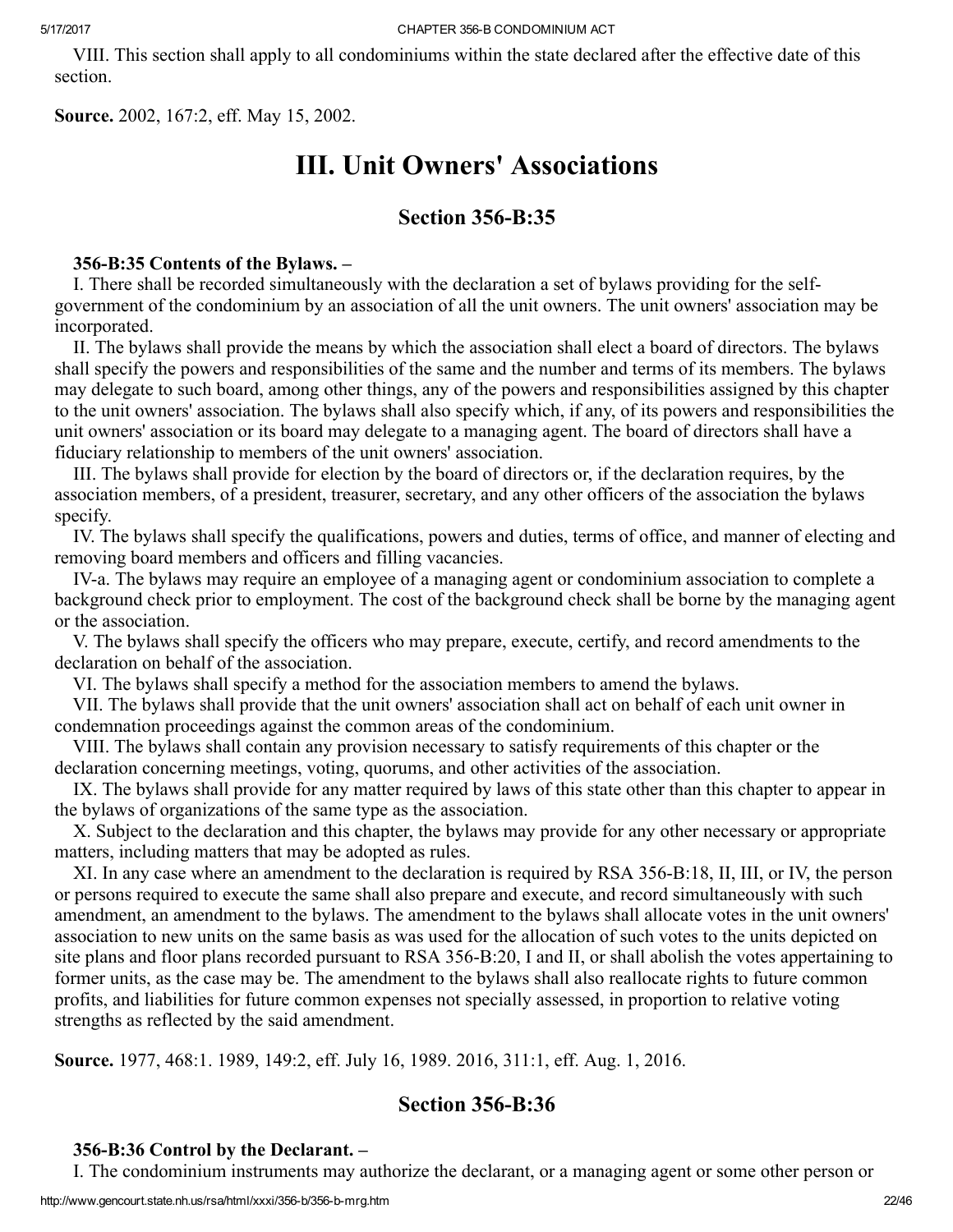VIII. This section shall apply to all condominiums within the state declared after the effective date of this section.

Source. 2002, 167:2, eff. May 15, 2002.

# III. Unit Owners' Associations

# **Section 356-B:35**

### 356-B:35 Contents of the Bylaws. –

I. There shall be recorded simultaneously with the declaration a set of bylaws providing for the selfgovernment of the condominium by an association of all the unit owners. The unit owners' association may be incorporated.

II. The bylaws shall provide the means by which the association shall elect a board of directors. The bylaws shall specify the powers and responsibilities of the same and the number and terms of its members. The bylaws may delegate to such board, among other things, any of the powers and responsibilities assigned by this chapter to the unit owners' association. The bylaws shall also specify which, if any, of its powers and responsibilities the unit owners' association or its board may delegate to a managing agent. The board of directors shall have a fiduciary relationship to members of the unit owners' association.

III. The bylaws shall provide for election by the board of directors or, if the declaration requires, by the association members, of a president, treasurer, secretary, and any other officers of the association the bylaws specify.

IV. The bylaws shall specify the qualifications, powers and duties, terms of office, and manner of electing and removing board members and officers and filling vacancies.

IV-a. The bylaws may require an employee of a managing agent or condominium association to complete a background check prior to employment. The cost of the background check shall be borne by the managing agent or the association.

V. The bylaws shall specify the officers who may prepare, execute, certify, and record amendments to the declaration on behalf of the association.

VI. The bylaws shall specify a method for the association members to amend the bylaws.

VII. The bylaws shall provide that the unit owners' association shall act on behalf of each unit owner in condemnation proceedings against the common areas of the condominium.

VIII. The bylaws shall contain any provision necessary to satisfy requirements of this chapter or the declaration concerning meetings, voting, quorums, and other activities of the association.

IX. The bylaws shall provide for any matter required by laws of this state other than this chapter to appear in the bylaws of organizations of the same type as the association.

X. Subject to the declaration and this chapter, the bylaws may provide for any other necessary or appropriate matters, including matters that may be adopted as rules.

XI. In any case where an amendment to the declaration is required by RSA 356-B:18, II, III, or IV, the person or persons required to execute the same shall also prepare and execute, and record simultaneously with such amendment, an amendment to the bylaws. The amendment to the bylaws shall allocate votes in the unit owners' association to new units on the same basis as was used for the allocation of such votes to the units depicted on site plans and floor plans recorded pursuant to RSA 356-B:20, I and II, or shall abolish the votes appertaining to former units, as the case may be. The amendment to the bylaws shall also reallocate rights to future common profits, and liabilities for future common expenses not specially assessed, in proportion to relative voting strengths as reflected by the said amendment.

Source. 1977, 468:1. 1989, 149:2, eff. July 16, 1989. 2016, 311:1, eff. Aug. 1, 2016.

# **Section 356-B:36**

### $356-B:36$  Control by the Declarant.  $-$

I. The condominium instruments may authorize the declarant, or a managing agent or some other person or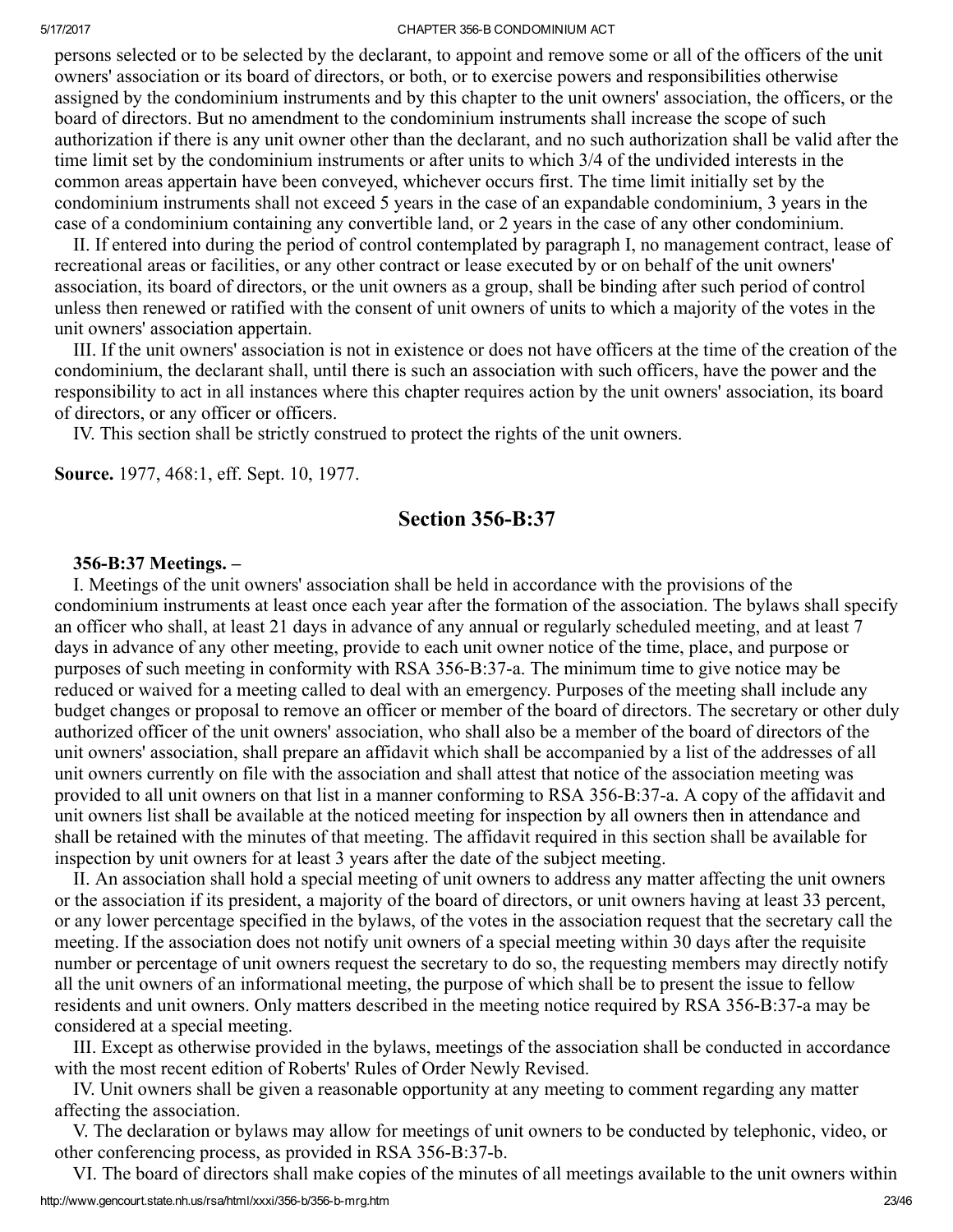persons selected or to be selected by the declarant, to appoint and remove some or all of the officers of the unit owners' association or its board of directors, or both, or to exercise powers and responsibilities otherwise assigned by the condominium instruments and by this chapter to the unit owners' association, the officers, or the board of directors. But no amendment to the condominium instruments shall increase the scope of such authorization if there is any unit owner other than the declarant, and no such authorization shall be valid after the time limit set by the condominium instruments or after units to which 3/4 of the undivided interests in the common areas appertain have been conveyed, whichever occurs first. The time limit initially set by the condominium instruments shall not exceed 5 years in the case of an expandable condominium, 3 years in the case of a condominium containing any convertible land, or 2 years in the case of any other condominium.

II. If entered into during the period of control contemplated by paragraph I, no management contract, lease of recreational areas or facilities, or any other contract or lease executed by or on behalf of the unit owners' association, its board of directors, or the unit owners as a group, shall be binding after such period of control unless then renewed or ratified with the consent of unit owners of units to which a majority of the votes in the unit owners' association appertain.

III. If the unit owners' association is not in existence or does not have officers at the time of the creation of the condominium, the declarant shall, until there is such an association with such officers, have the power and the responsibility to act in all instances where this chapter requires action by the unit owners' association, its board of directors, or any officer or officers.

IV. This section shall be strictly construed to protect the rights of the unit owners.

Source. 1977, 468:1, eff. Sept. 10, 1977.

# **Section 356-B:37**

### 356-B:37 Meetings. –

I. Meetings of the unit owners' association shall be held in accordance with the provisions of the condominium instruments at least once each year after the formation of the association. The bylaws shall specify an officer who shall, at least 21 days in advance of any annual or regularly scheduled meeting, and at least 7 days in advance of any other meeting, provide to each unit owner notice of the time, place, and purpose or purposes of such meeting in conformity with RSA 356-B:37-a. The minimum time to give notice may be reduced or waived for a meeting called to deal with an emergency. Purposes of the meeting shall include any budget changes or proposal to remove an officer or member of the board of directors. The secretary or other duly authorized officer of the unit owners' association, who shall also be a member of the board of directors of the unit owners' association, shall prepare an affidavit which shall be accompanied by a list of the addresses of all unit owners currently on file with the association and shall attest that notice of the association meeting was provided to all unit owners on that list in a manner conforming to RSA 356-B:37-a. A copy of the affidavit and unit owners list shall be available at the noticed meeting for inspection by all owners then in attendance and shall be retained with the minutes of that meeting. The affidavit required in this section shall be available for inspection by unit owners for at least 3 years after the date of the subject meeting.

II. An association shall hold a special meeting of unit owners to address any matter affecting the unit owners or the association if its president, a majority of the board of directors, or unit owners having at least 33 percent, or any lower percentage specified in the bylaws, of the votes in the association request that the secretary call the meeting. If the association does not notify unit owners of a special meeting within 30 days after the requisite number or percentage of unit owners request the secretary to do so, the requesting members may directly notify all the unit owners of an informational meeting, the purpose of which shall be to present the issue to fellow residents and unit owners. Only matters described in the meeting notice required by RSA 356-B:37-a may be considered at a special meeting.

III. Except as otherwise provided in the bylaws, meetings of the association shall be conducted in accordance with the most recent edition of Roberts' Rules of Order Newly Revised.

IV. Unit owners shall be given a reasonable opportunity at any meeting to comment regarding any matter affecting the association.

V. The declaration or bylaws may allow for meetings of unit owners to be conducted by telephonic, video, or other conferencing process, as provided in RSA 356-B:37-b.

VI. The board of directors shall make copies of the minutes of all meetings available to the unit owners within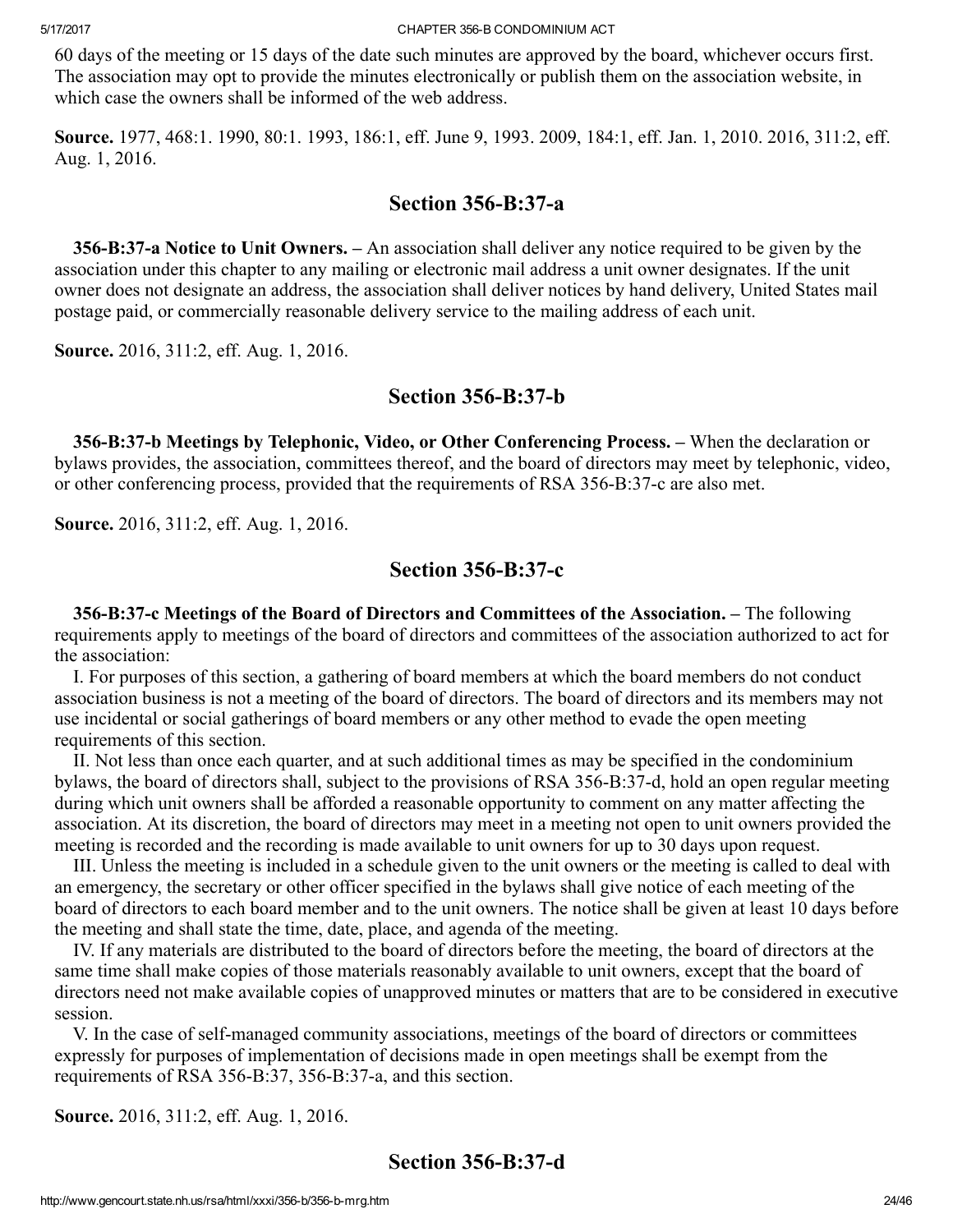60 days of the meeting or 15 days of the date such minutes are approved by the board, whichever occurs first. The association may opt to provide the minutes electronically or publish them on the association website, in which case the owners shall be informed of the web address.

Source. 1977, 468:1. 1990, 80:1. 1993, 186:1, eff. June 9, 1993. 2009, 184:1, eff. Jan. 1, 2010. 2016, 311:2, eff. Aug. 1, 2016.

# **Section 356-B:37-a**

356-B:37-a Notice to Unit Owners. – An association shall deliver any notice required to be given by the association under this chapter to any mailing or electronic mail address a unit owner designates. If the unit owner does not designate an address, the association shall deliver notices by hand delivery, United States mail postage paid, or commercially reasonable delivery service to the mailing address of each unit.

Source. 2016, 311:2, eff. Aug. 1, 2016.

# **Section 356-B:37-b**

356-B:37-b Meetings by Telephonic, Video, or Other Conferencing Process. – When the declaration or bylaws provides, the association, committees thereof, and the board of directors may meet by telephonic, video, or other conferencing process, provided that the requirements of RSA 356-B:37-c are also met.

Source. 2016, 311:2, eff. Aug. 1, 2016.

# **Section 356-B:37-c**

356-B:37-c Meetings of the Board of Directors and Committees of the Association. – The following requirements apply to meetings of the board of directors and committees of the association authorized to act for the association:

I. For purposes of this section, a gathering of board members at which the board members do not conduct association business is not a meeting of the board of directors. The board of directors and its members may not use incidental or social gatherings of board members or any other method to evade the open meeting requirements of this section.

II. Not less than once each quarter, and at such additional times as may be specified in the condominium bylaws, the board of directors shall, subject to the provisions of RSA 356-B:37-d, hold an open regular meeting during which unit owners shall be afforded a reasonable opportunity to comment on any matter affecting the association. At its discretion, the board of directors may meet in a meeting not open to unit owners provided the meeting is recorded and the recording is made available to unit owners for up to 30 days upon request.

III. Unless the meeting is included in a schedule given to the unit owners or the meeting is called to deal with an emergency, the secretary or other officer specified in the bylaws shall give notice of each meeting of the board of directors to each board member and to the unit owners. The notice shall be given at least 10 days before the meeting and shall state the time, date, place, and agenda of the meeting.

IV. If any materials are distributed to the board of directors before the meeting, the board of directors at the same time shall make copies of those materials reasonably available to unit owners, except that the board of directors need not make available copies of unapproved minutes or matters that are to be considered in executive session.

V. In the case of selfmanaged community associations, meetings of the board of directors or committees expressly for purposes of implementation of decisions made in open meetings shall be exempt from the requirements of RSA 356-B:37, 356-B:37-a, and this section.

Source. 2016, 311:2, eff. Aug. 1, 2016.

# **Section 356-B:37-d**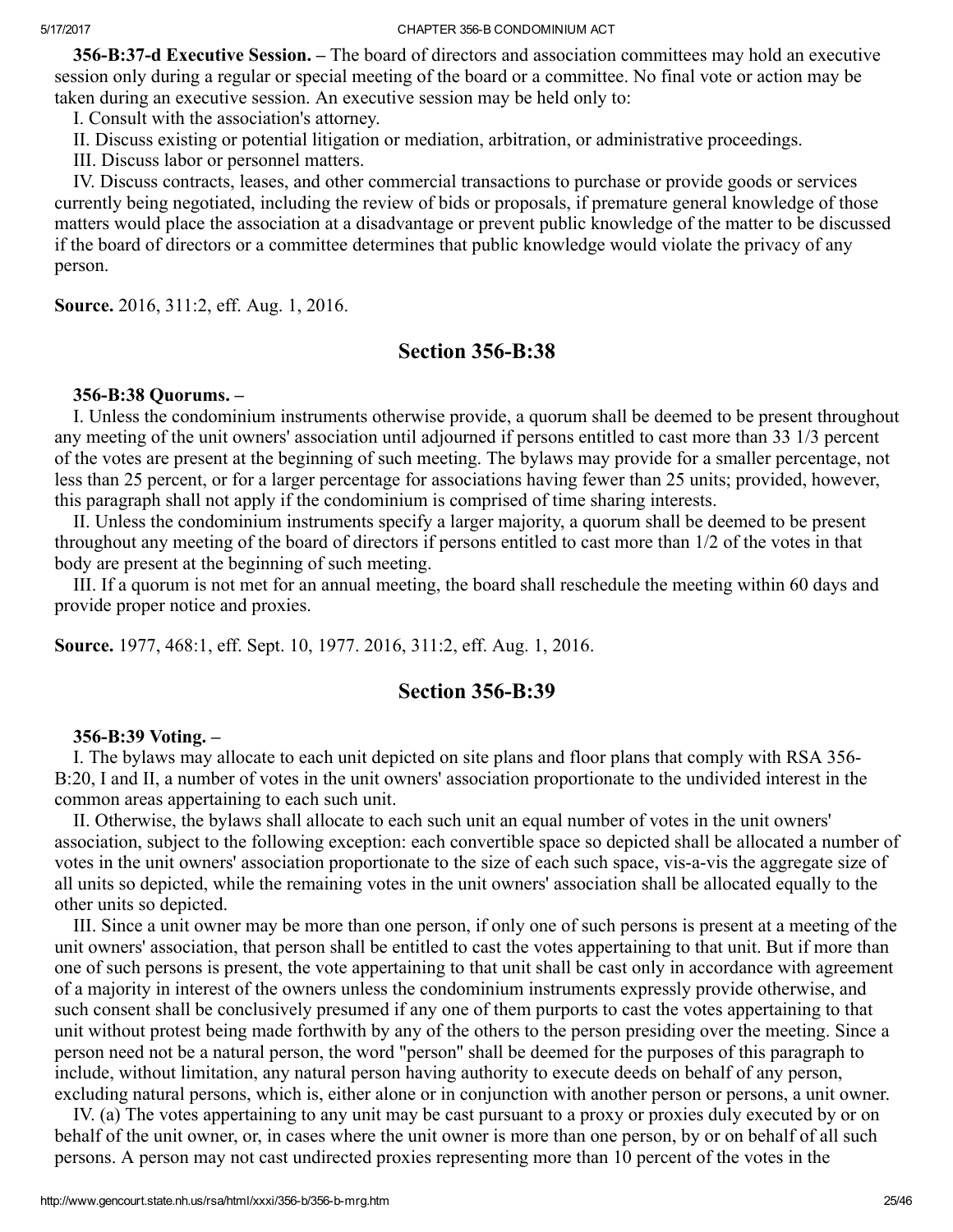**356-B:37-d Executive Session.** – The board of directors and association committees may hold an executive session only during a regular or special meeting of the board or a committee. No final vote or action may be taken during an executive session. An executive session may be held only to:

I. Consult with the association's attorney.

II. Discuss existing or potential litigation or mediation, arbitration, or administrative proceedings.

III. Discuss labor or personnel matters.

IV. Discuss contracts, leases, and other commercial transactions to purchase or provide goods or services currently being negotiated, including the review of bids or proposals, if premature general knowledge of those matters would place the association at a disadvantage or prevent public knowledge of the matter to be discussed if the board of directors or a committee determines that public knowledge would violate the privacy of any person.

Source. 2016, 311:2, eff. Aug. 1, 2016.

### **Section 356-B:38**

### 356-B:38 Quorums. -

I. Unless the condominium instruments otherwise provide, a quorum shall be deemed to be present throughout any meeting of the unit owners' association until adjourned if persons entitled to cast more than 33 1/3 percent of the votes are present at the beginning of such meeting. The bylaws may provide for a smaller percentage, not less than 25 percent, or for a larger percentage for associations having fewer than 25 units; provided, however, this paragraph shall not apply if the condominium is comprised of time sharing interests.

II. Unless the condominium instruments specify a larger majority, a quorum shall be deemed to be present throughout any meeting of the board of directors if persons entitled to cast more than 1/2 of the votes in that body are present at the beginning of such meeting.

III. If a quorum is not met for an annual meeting, the board shall reschedule the meeting within 60 days and provide proper notice and proxies.

Source. 1977, 468:1, eff. Sept. 10, 1977. 2016, 311:2, eff. Aug. 1, 2016.

### **Section 356-B:39**

### 356-B:39 Voting. -

I. The bylaws may allocate to each unit depicted on site plans and floor plans that comply with RSA 356 B:20, I and II, a number of votes in the unit owners' association proportionate to the undivided interest in the common areas appertaining to each such unit.

II. Otherwise, the bylaws shall allocate to each such unit an equal number of votes in the unit owners' association, subject to the following exception: each convertible space so depicted shall be allocated a number of votes in the unit owners' association proportionate to the size of each such space, vis-a-vis the aggregate size of all units so depicted, while the remaining votes in the unit owners' association shall be allocated equally to the other units so depicted.

III. Since a unit owner may be more than one person, if only one of such persons is present at a meeting of the unit owners' association, that person shall be entitled to cast the votes appertaining to that unit. But if more than one of such persons is present, the vote appertaining to that unit shall be cast only in accordance with agreement of a majority in interest of the owners unless the condominium instruments expressly provide otherwise, and such consent shall be conclusively presumed if any one of them purports to cast the votes appertaining to that unit without protest being made forthwith by any of the others to the person presiding over the meeting. Since a person need not be a natural person, the word "person'' shall be deemed for the purposes of this paragraph to include, without limitation, any natural person having authority to execute deeds on behalf of any person, excluding natural persons, which is, either alone or in conjunction with another person or persons, a unit owner.

IV. (a) The votes appertaining to any unit may be cast pursuant to a proxy or proxies duly executed by or on behalf of the unit owner, or, in cases where the unit owner is more than one person, by or on behalf of all such persons. A person may not cast undirected proxies representing more than 10 percent of the votes in the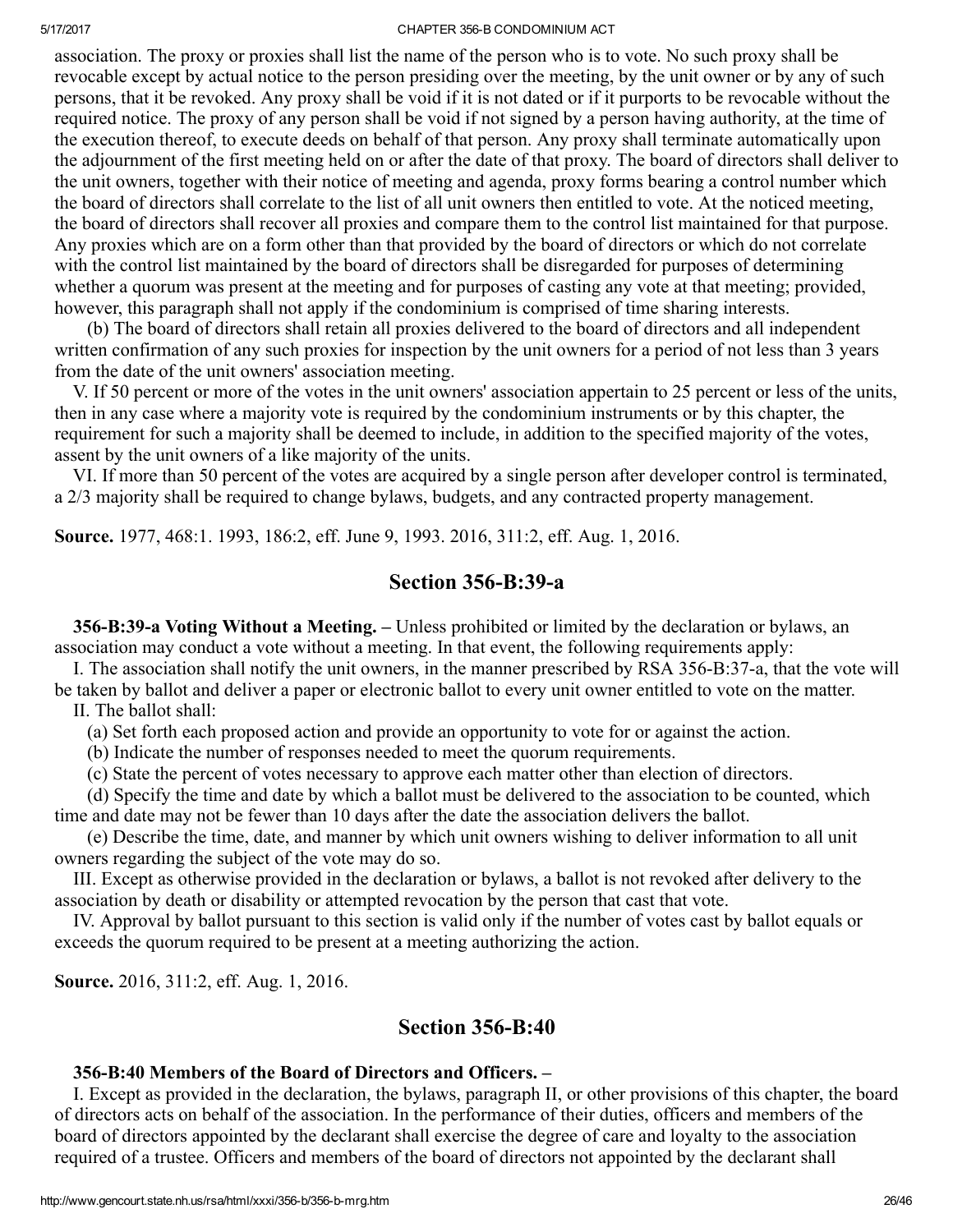association. The proxy or proxies shall list the name of the person who is to vote. No such proxy shall be revocable except by actual notice to the person presiding over the meeting, by the unit owner or by any of such persons, that it be revoked. Any proxy shall be void if it is not dated or if it purports to be revocable without the required notice. The proxy of any person shall be void if not signed by a person having authority, at the time of the execution thereof, to execute deeds on behalf of that person. Any proxy shall terminate automatically upon the adjournment of the first meeting held on or after the date of that proxy. The board of directors shall deliver to the unit owners, together with their notice of meeting and agenda, proxy forms bearing a control number which the board of directors shall correlate to the list of all unit owners then entitled to vote. At the noticed meeting, the board of directors shall recover all proxies and compare them to the control list maintained for that purpose. Any proxies which are on a form other than that provided by the board of directors or which do not correlate with the control list maintained by the board of directors shall be disregarded for purposes of determining whether a quorum was present at the meeting and for purposes of casting any vote at that meeting; provided, however, this paragraph shall not apply if the condominium is comprised of time sharing interests.

(b) The board of directors shall retain all proxies delivered to the board of directors and all independent written confirmation of any such proxies for inspection by the unit owners for a period of not less than 3 years from the date of the unit owners' association meeting.

V. If 50 percent or more of the votes in the unit owners' association appertain to 25 percent or less of the units, then in any case where a majority vote is required by the condominium instruments or by this chapter, the requirement for such a majority shall be deemed to include, in addition to the specified majority of the votes, assent by the unit owners of a like majority of the units.

VI. If more than 50 percent of the votes are acquired by a single person after developer control is terminated, a 2/3 majority shall be required to change bylaws, budgets, and any contracted property management.

Source. 1977, 468:1. 1993, 186:2, eff. June 9, 1993. 2016, 311:2, eff. Aug. 1, 2016.

### **Section 356-B:39-a**

**356-B:39-a Voting Without a Meeting.** – Unless prohibited or limited by the declaration or bylaws, an association may conduct a vote without a meeting. In that event, the following requirements apply:

I. The association shall notify the unit owners, in the manner prescribed by RSA 356-B:37-a, that the vote will be taken by ballot and deliver a paper or electronic ballot to every unit owner entitled to vote on the matter.

II. The ballot shall:

(a) Set forth each proposed action and provide an opportunity to vote for or against the action.

(b) Indicate the number of responses needed to meet the quorum requirements.

(c) State the percent of votes necessary to approve each matter other than election of directors.

(d) Specify the time and date by which a ballot must be delivered to the association to be counted, which time and date may not be fewer than 10 days after the date the association delivers the ballot.

(e) Describe the time, date, and manner by which unit owners wishing to deliver information to all unit owners regarding the subject of the vote may do so.

III. Except as otherwise provided in the declaration or bylaws, a ballot is not revoked after delivery to the association by death or disability or attempted revocation by the person that cast that vote.

IV. Approval by ballot pursuant to this section is valid only if the number of votes cast by ballot equals or exceeds the quorum required to be present at a meeting authorizing the action.

Source. 2016, 311:2, eff. Aug. 1, 2016.

# **Section 356-B:40**

### 356-B:40 Members of the Board of Directors and Officers. -

I. Except as provided in the declaration, the bylaws, paragraph II, or other provisions of this chapter, the board of directors acts on behalf of the association. In the performance of their duties, officers and members of the board of directors appointed by the declarant shall exercise the degree of care and loyalty to the association required of a trustee. Officers and members of the board of directors not appointed by the declarant shall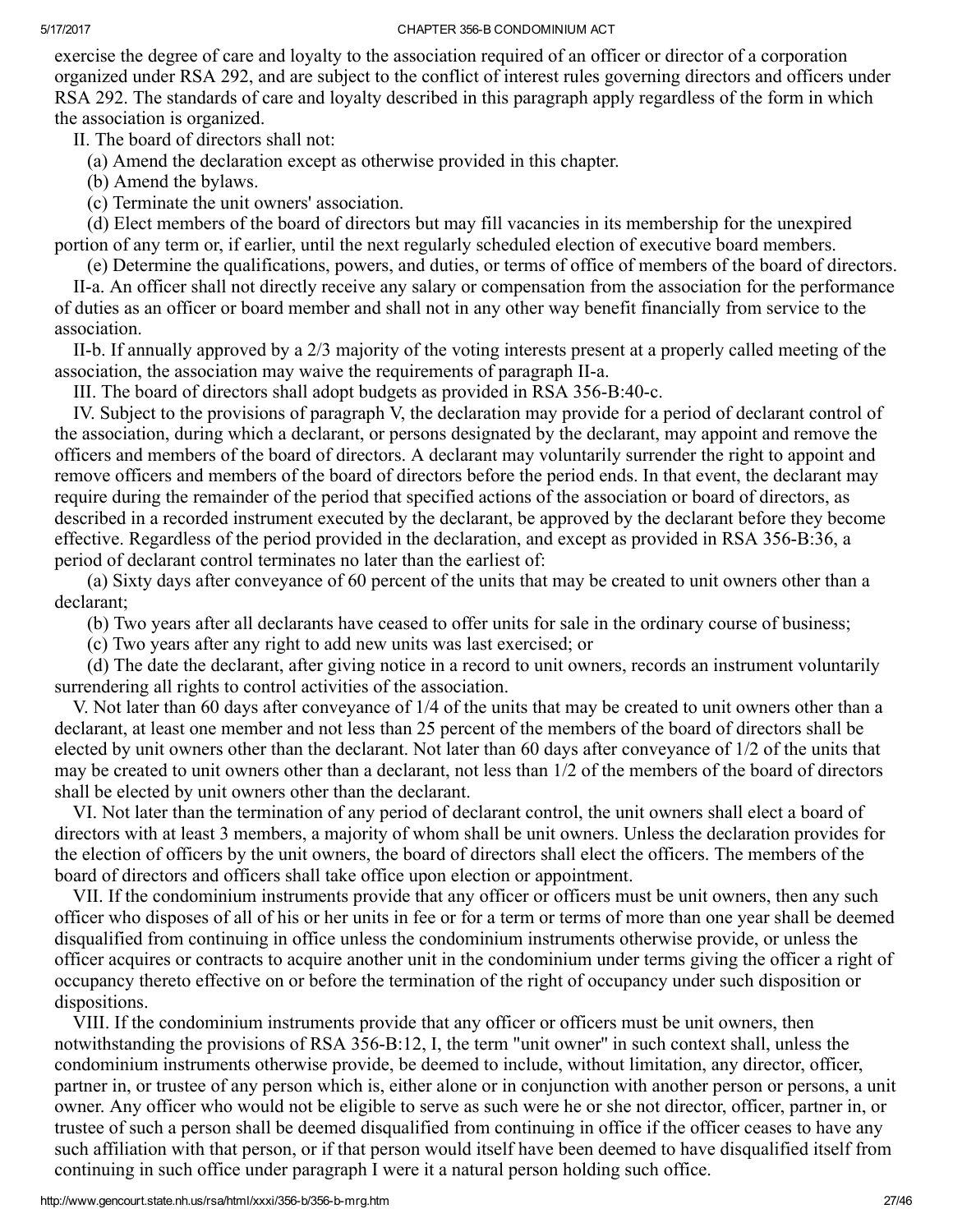exercise the degree of care and loyalty to the association required of an officer or director of a corporation organized under RSA 292, and are subject to the conflict of interest rules governing directors and officers under RSA 292. The standards of care and loyalty described in this paragraph apply regardless of the form in which the association is organized.

II. The board of directors shall not:

(a) Amend the declaration except as otherwise provided in this chapter.

(b) Amend the bylaws.

(c) Terminate the unit owners' association.

(d) Elect members of the board of directors but may fill vacancies in its membership for the unexpired portion of any term or, if earlier, until the next regularly scheduled election of executive board members.

(e) Determine the qualifications, powers, and duties, or terms of office of members of the board of directors.

II-a. An officer shall not directly receive any salary or compensation from the association for the performance of duties as an officer or board member and shall not in any other way benefit financially from service to the association.

II-b. If annually approved by a 2/3 majority of the voting interests present at a properly called meeting of the association, the association may waive the requirements of paragraph II-a.

III. The board of directors shall adopt budgets as provided in RSA 356-B:40-c.

IV. Subject to the provisions of paragraph V, the declaration may provide for a period of declarant control of the association, during which a declarant, or persons designated by the declarant, may appoint and remove the officers and members of the board of directors. A declarant may voluntarily surrender the right to appoint and remove officers and members of the board of directors before the period ends. In that event, the declarant may require during the remainder of the period that specified actions of the association or board of directors, as described in a recorded instrument executed by the declarant, be approved by the declarant before they become effective. Regardless of the period provided in the declaration, and except as provided in RSA 356-B:36, a period of declarant control terminates no later than the earliest of:

(a) Sixty days after conveyance of 60 percent of the units that may be created to unit owners other than a declarant;

(b) Two years after all declarants have ceased to offer units for sale in the ordinary course of business;

(c) Two years after any right to add new units was last exercised; or

(d) The date the declarant, after giving notice in a record to unit owners, records an instrument voluntarily surrendering all rights to control activities of the association.

V. Not later than 60 days after conveyance of 1/4 of the units that may be created to unit owners other than a declarant, at least one member and not less than 25 percent of the members of the board of directors shall be elected by unit owners other than the declarant. Not later than 60 days after conveyance of 1/2 of the units that may be created to unit owners other than a declarant, not less than 1/2 of the members of the board of directors shall be elected by unit owners other than the declarant.

VI. Not later than the termination of any period of declarant control, the unit owners shall elect a board of directors with at least 3 members, a majority of whom shall be unit owners. Unless the declaration provides for the election of officers by the unit owners, the board of directors shall elect the officers. The members of the board of directors and officers shall take office upon election or appointment.

VII. If the condominium instruments provide that any officer or officers must be unit owners, then any such officer who disposes of all of his or her units in fee or for a term or terms of more than one year shall be deemed disqualified from continuing in office unless the condominium instruments otherwise provide, or unless the officer acquires or contracts to acquire another unit in the condominium under terms giving the officer a right of occupancy thereto effective on or before the termination of the right of occupancy under such disposition or dispositions.

VIII. If the condominium instruments provide that any officer or officers must be unit owners, then notwithstanding the provisions of RSA 356-B:12, I, the term "unit owner" in such context shall, unless the condominium instruments otherwise provide, be deemed to include, without limitation, any director, officer, partner in, or trustee of any person which is, either alone or in conjunction with another person or persons, a unit owner. Any officer who would not be eligible to serve as such were he or she not director, officer, partner in, or trustee of such a person shall be deemed disqualified from continuing in office if the officer ceases to have any such affiliation with that person, or if that person would itself have been deemed to have disqualified itself from continuing in such office under paragraph I were it a natural person holding such office.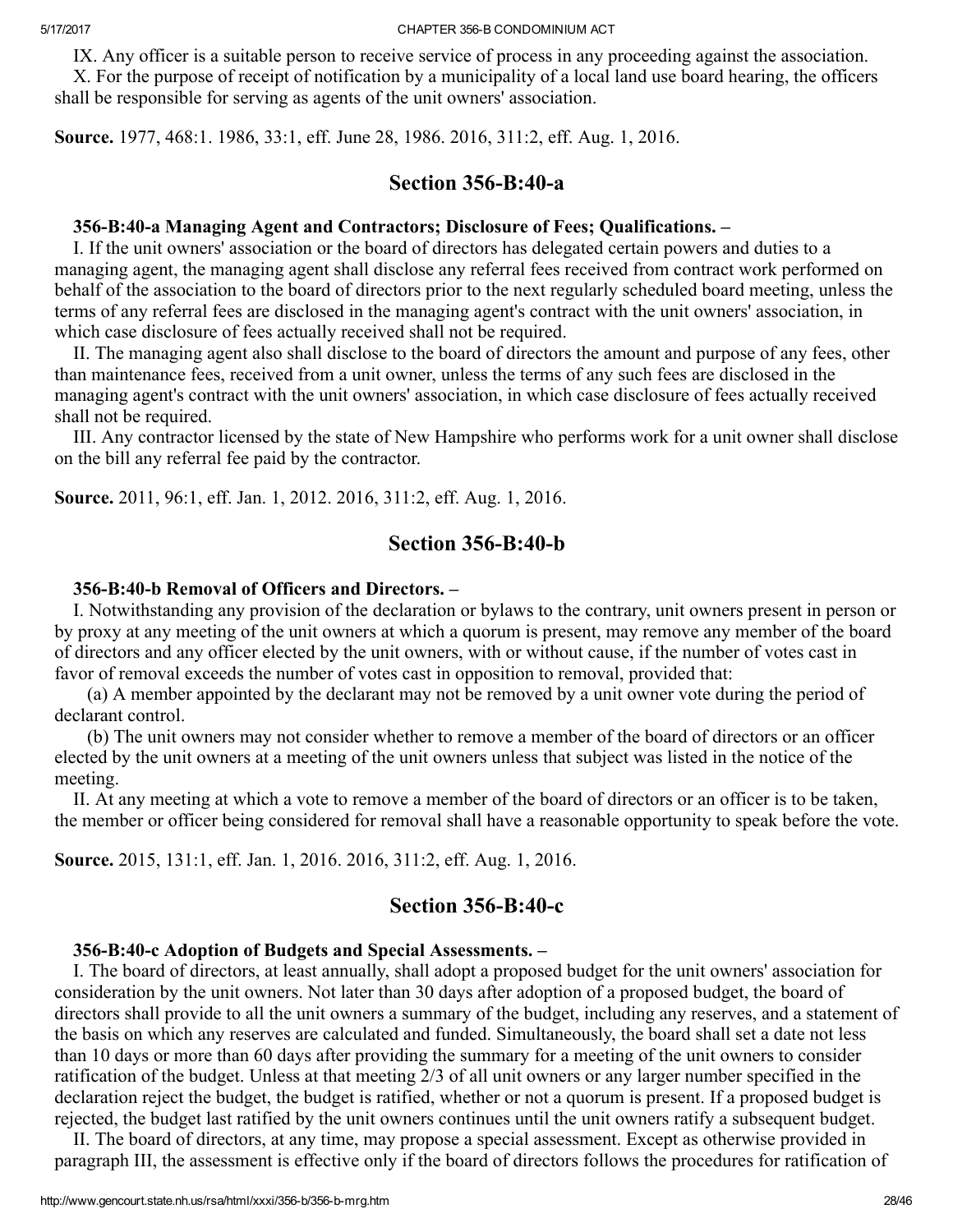IX. Any officer is a suitable person to receive service of process in any proceeding against the association.

X. For the purpose of receipt of notification by a municipality of a local land use board hearing, the officers shall be responsible for serving as agents of the unit owners' association.

Source. 1977, 468:1. 1986, 33:1, eff. June 28, 1986. 2016, 311:2, eff. Aug. 1, 2016.

# **Section 356-B:40-a**

### 356-B:40-a Managing Agent and Contractors; Disclosure of Fees; Qualifications. –

I. If the unit owners' association or the board of directors has delegated certain powers and duties to a managing agent, the managing agent shall disclose any referral fees received from contract work performed on behalf of the association to the board of directors prior to the next regularly scheduled board meeting, unless the terms of any referral fees are disclosed in the managing agent's contract with the unit owners' association, in which case disclosure of fees actually received shall not be required.

II. The managing agent also shall disclose to the board of directors the amount and purpose of any fees, other than maintenance fees, received from a unit owner, unless the terms of any such fees are disclosed in the managing agent's contract with the unit owners' association, in which case disclosure of fees actually received shall not be required.

III. Any contractor licensed by the state of New Hampshire who performs work for a unit owner shall disclose on the bill any referral fee paid by the contractor.

Source. 2011, 96:1, eff. Jan. 1, 2012. 2016, 311:2, eff. Aug. 1, 2016.

# Section  $356-B:40-b$

### 356-B:40-b Removal of Officers and Directors. -

I. Notwithstanding any provision of the declaration or bylaws to the contrary, unit owners present in person or by proxy at any meeting of the unit owners at which a quorum is present, may remove any member of the board of directors and any officer elected by the unit owners, with or without cause, if the number of votes cast in favor of removal exceeds the number of votes cast in opposition to removal, provided that:

(a) A member appointed by the declarant may not be removed by a unit owner vote during the period of declarant control.

(b) The unit owners may not consider whether to remove a member of the board of directors or an officer elected by the unit owners at a meeting of the unit owners unless that subject was listed in the notice of the meeting.

II. At any meeting at which a vote to remove a member of the board of directors or an officer is to be taken, the member or officer being considered for removal shall have a reasonable opportunity to speak before the vote.

Source. 2015, 131:1, eff. Jan. 1, 2016. 2016, 311:2, eff. Aug. 1, 2016.

# Section 356-B:40-c

### 356-B:40-c Adoption of Budgets and Special Assessments. –

I. The board of directors, at least annually, shall adopt a proposed budget for the unit owners' association for consideration by the unit owners. Not later than 30 days after adoption of a proposed budget, the board of directors shall provide to all the unit owners a summary of the budget, including any reserves, and a statement of the basis on which any reserves are calculated and funded. Simultaneously, the board shall set a date not less than 10 days or more than 60 days after providing the summary for a meeting of the unit owners to consider ratification of the budget. Unless at that meeting 2/3 of all unit owners or any larger number specified in the declaration reject the budget, the budget is ratified, whether or not a quorum is present. If a proposed budget is rejected, the budget last ratified by the unit owners continues until the unit owners ratify a subsequent budget.

II. The board of directors, at any time, may propose a special assessment. Except as otherwise provided in paragraph III, the assessment is effective only if the board of directors follows the procedures for ratification of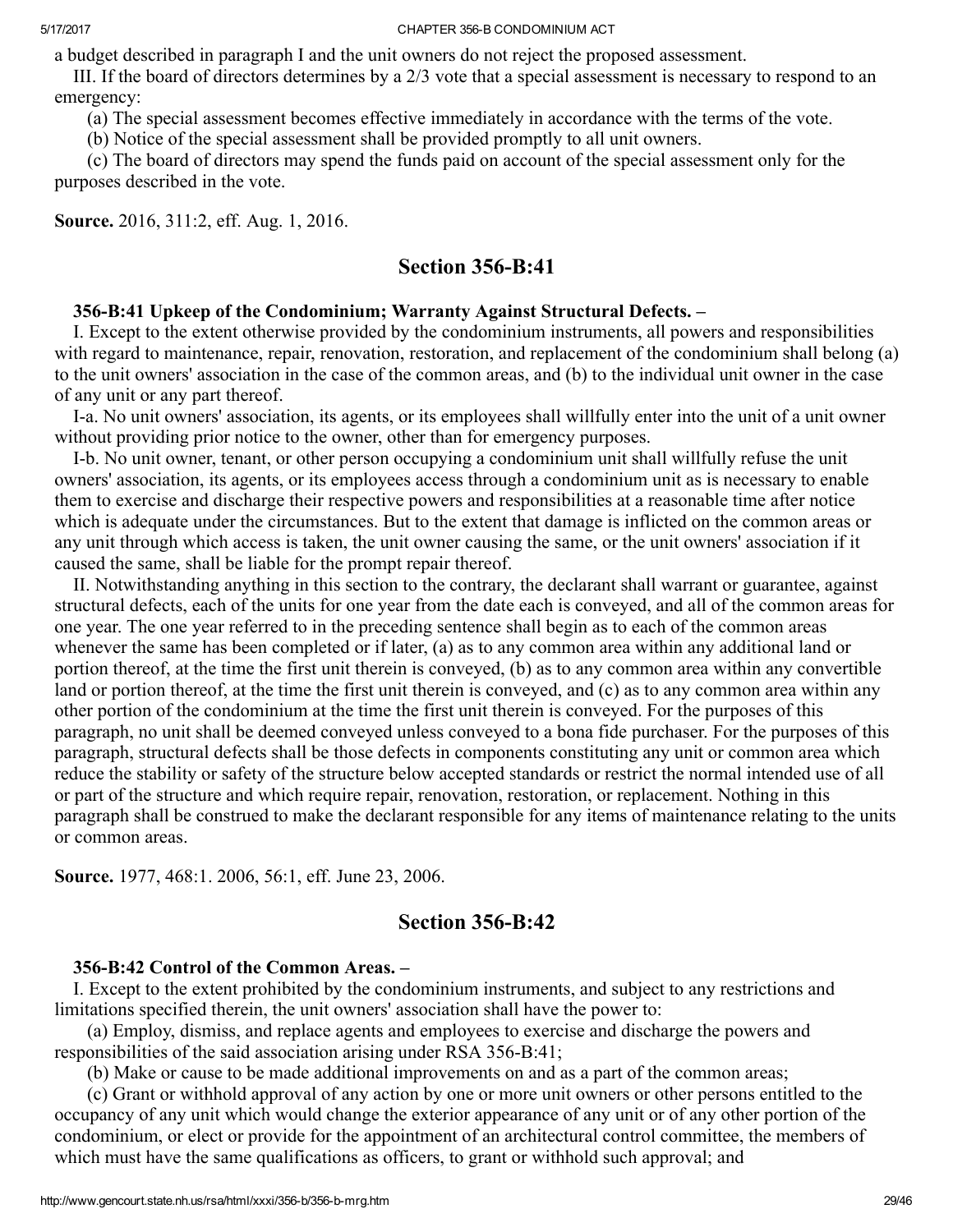a budget described in paragraph I and the unit owners do not reject the proposed assessment.

III. If the board of directors determines by a 2/3 vote that a special assessment is necessary to respond to an emergency:

(a) The special assessment becomes effective immediately in accordance with the terms of the vote.

(b) Notice of the special assessment shall be provided promptly to all unit owners.

(c) The board of directors may spend the funds paid on account of the special assessment only for the purposes described in the vote.

Source. 2016, 311:2, eff. Aug. 1, 2016.

# **Section 356-B:41**

### 356-B:41 Upkeep of the Condominium; Warranty Against Structural Defects. –

I. Except to the extent otherwise provided by the condominium instruments, all powers and responsibilities with regard to maintenance, repair, renovation, restoration, and replacement of the condominium shall belong (a) to the unit owners' association in the case of the common areas, and (b) to the individual unit owner in the case of any unit or any part thereof.

I-a. No unit owners' association, its agents, or its employees shall willfully enter into the unit of a unit owner without providing prior notice to the owner, other than for emergency purposes.

I-b. No unit owner, tenant, or other person occupying a condominium unit shall willfully refuse the unit owners' association, its agents, or its employees access through a condominium unit as is necessary to enable them to exercise and discharge their respective powers and responsibilities at a reasonable time after notice which is adequate under the circumstances. But to the extent that damage is inflicted on the common areas or any unit through which access is taken, the unit owner causing the same, or the unit owners' association if it caused the same, shall be liable for the prompt repair thereof.

II. Notwithstanding anything in this section to the contrary, the declarant shall warrant or guarantee, against structural defects, each of the units for one year from the date each is conveyed, and all of the common areas for one year. The one year referred to in the preceding sentence shall begin as to each of the common areas whenever the same has been completed or if later, (a) as to any common area within any additional land or portion thereof, at the time the first unit therein is conveyed, (b) as to any common area within any convertible land or portion thereof, at the time the first unit therein is conveyed, and (c) as to any common area within any other portion of the condominium at the time the first unit therein is conveyed. For the purposes of this paragraph, no unit shall be deemed conveyed unless conveyed to a bona fide purchaser. For the purposes of this paragraph, structural defects shall be those defects in components constituting any unit or common area which reduce the stability or safety of the structure below accepted standards or restrict the normal intended use of all or part of the structure and which require repair, renovation, restoration, or replacement. Nothing in this paragraph shall be construed to make the declarant responsible for any items of maintenance relating to the units or common areas.

Source. 1977, 468:1. 2006, 56:1, eff. June 23, 2006.

# **Section 356-B:42**

### 356-B:42 Control of the Common Areas. -

I. Except to the extent prohibited by the condominium instruments, and subject to any restrictions and limitations specified therein, the unit owners' association shall have the power to:

(a) Employ, dismiss, and replace agents and employees to exercise and discharge the powers and responsibilities of the said association arising under RSA 356-B:41;

(b) Make or cause to be made additional improvements on and as a part of the common areas;

(c) Grant or withhold approval of any action by one or more unit owners or other persons entitled to the occupancy of any unit which would change the exterior appearance of any unit or of any other portion of the condominium, or elect or provide for the appointment of an architectural control committee, the members of which must have the same qualifications as officers, to grant or withhold such approval; and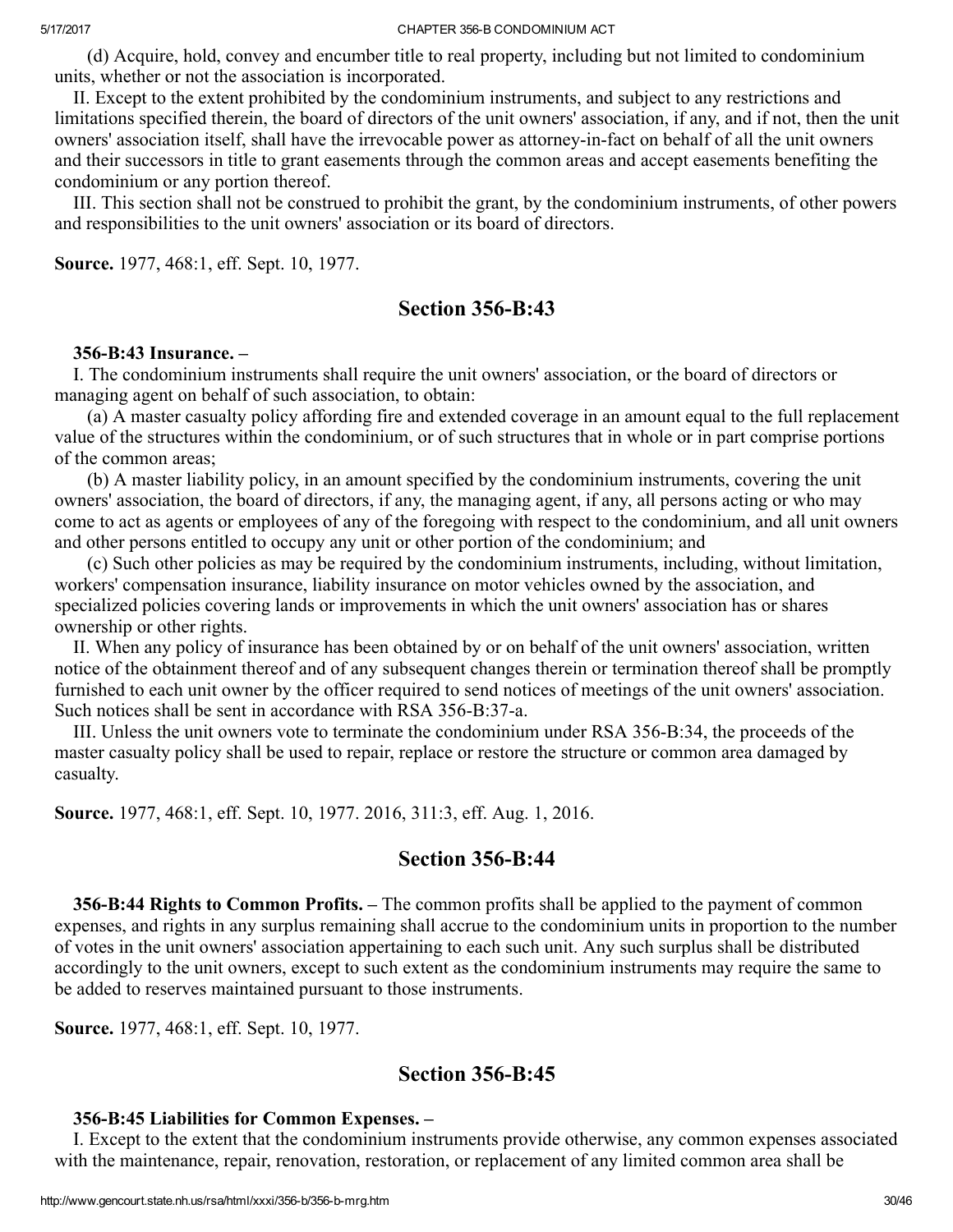(d) Acquire, hold, convey and encumber title to real property, including but not limited to condominium units, whether or not the association is incorporated.

II. Except to the extent prohibited by the condominium instruments, and subject to any restrictions and limitations specified therein, the board of directors of the unit owners' association, if any, and if not, then the unit owners' association itself, shall have the irrevocable power as attorney-in-fact on behalf of all the unit owners and their successors in title to grant easements through the common areas and accept easements benefiting the condominium or any portion thereof.

III. This section shall not be construed to prohibit the grant, by the condominium instruments, of other powers and responsibilities to the unit owners' association or its board of directors.

Source. 1977, 468:1, eff. Sept. 10, 1977.

# **Section 356-B:43**

### 356-B:43 Insurance. –

I. The condominium instruments shall require the unit owners' association, or the board of directors or managing agent on behalf of such association, to obtain:

(a) A master casualty policy affording fire and extended coverage in an amount equal to the full replacement value of the structures within the condominium, or of such structures that in whole or in part comprise portions of the common areas;

(b) A master liability policy, in an amount specified by the condominium instruments, covering the unit owners' association, the board of directors, if any, the managing agent, if any, all persons acting or who may come to act as agents or employees of any of the foregoing with respect to the condominium, and all unit owners and other persons entitled to occupy any unit or other portion of the condominium; and

(c) Such other policies as may be required by the condominium instruments, including, without limitation, workers' compensation insurance, liability insurance on motor vehicles owned by the association, and specialized policies covering lands or improvements in which the unit owners' association has or shares ownership or other rights.

II. When any policy of insurance has been obtained by or on behalf of the unit owners' association, written notice of the obtainment thereof and of any subsequent changes therein or termination thereof shall be promptly furnished to each unit owner by the officer required to send notices of meetings of the unit owners' association. Such notices shall be sent in accordance with RSA 356-B:37-a.

III. Unless the unit owners vote to terminate the condominium under RSA 356-B:34, the proceeds of the master casualty policy shall be used to repair, replace or restore the structure or common area damaged by casualty.

Source. 1977, 468:1, eff. Sept. 10, 1977. 2016, 311:3, eff. Aug. 1, 2016.

# **Section 356-B:44**

**356-B:44 Rights to Common Profits.** – The common profits shall be applied to the payment of common expenses, and rights in any surplus remaining shall accrue to the condominium units in proportion to the number of votes in the unit owners' association appertaining to each such unit. Any such surplus shall be distributed accordingly to the unit owners, except to such extent as the condominium instruments may require the same to be added to reserves maintained pursuant to those instruments.

Source. 1977, 468:1, eff. Sept. 10, 1977.

# **Section 356-B:45**

### 356-B:45 Liabilities for Common Expenses. –

I. Except to the extent that the condominium instruments provide otherwise, any common expenses associated with the maintenance, repair, renovation, restoration, or replacement of any limited common area shall be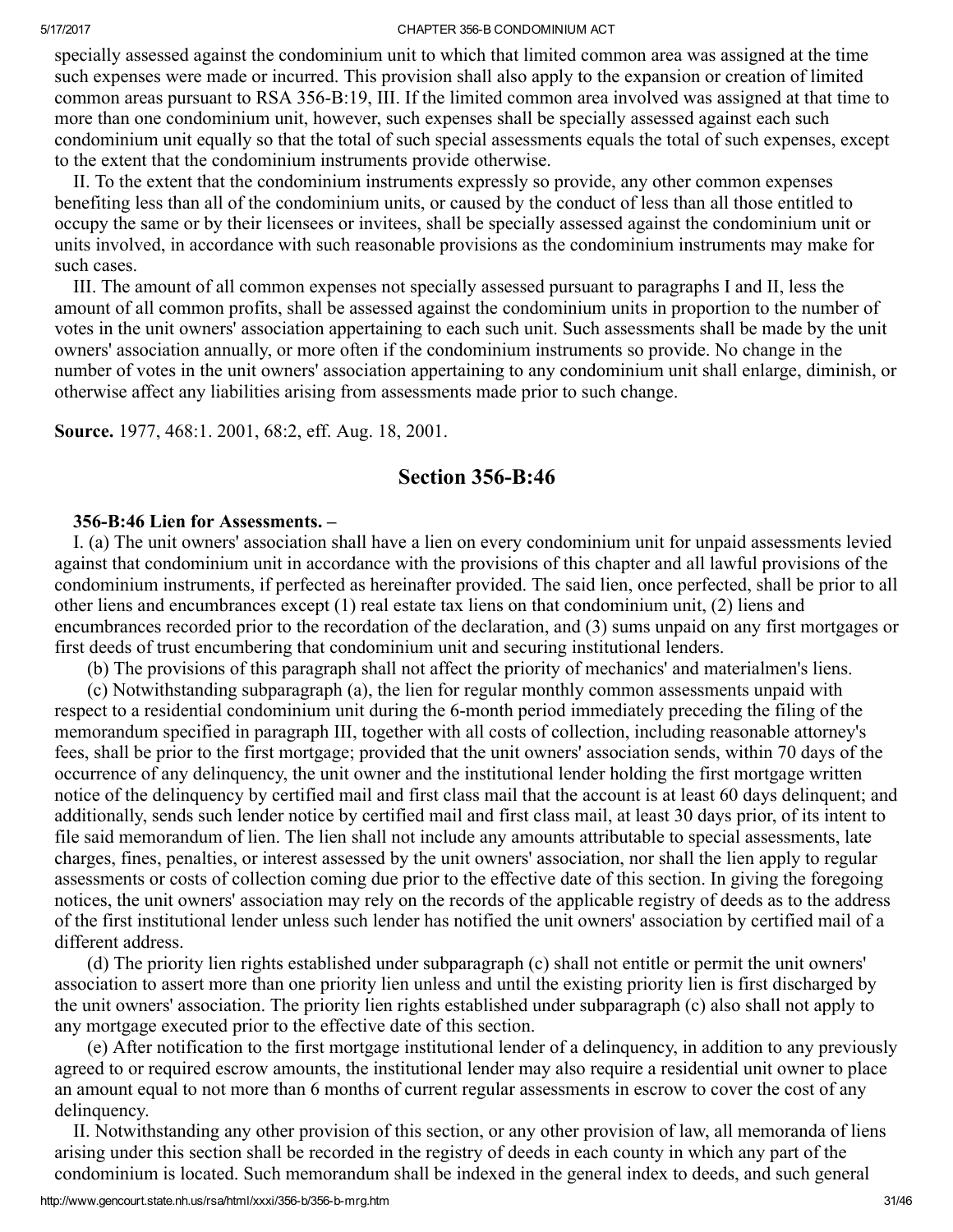specially assessed against the condominium unit to which that limited common area was assigned at the time such expenses were made or incurred. This provision shall also apply to the expansion or creation of limited common areas pursuant to RSA 356-B:19, III. If the limited common area involved was assigned at that time to more than one condominium unit, however, such expenses shall be specially assessed against each such condominium unit equally so that the total of such special assessments equals the total of such expenses, except to the extent that the condominium instruments provide otherwise.

II. To the extent that the condominium instruments expressly so provide, any other common expenses benefiting less than all of the condominium units, or caused by the conduct of less than all those entitled to occupy the same or by their licensees or invitees, shall be specially assessed against the condominium unit or units involved, in accordance with such reasonable provisions as the condominium instruments may make for such cases.

III. The amount of all common expenses not specially assessed pursuant to paragraphs I and II, less the amount of all common profits, shall be assessed against the condominium units in proportion to the number of votes in the unit owners' association appertaining to each such unit. Such assessments shall be made by the unit owners' association annually, or more often if the condominium instruments so provide. No change in the number of votes in the unit owners' association appertaining to any condominium unit shall enlarge, diminish, or otherwise affect any liabilities arising from assessments made prior to such change.

Source. 1977, 468:1. 2001, 68:2, eff. Aug. 18, 2001.

### **Section 356-B:46**

### 356-B:46 Lien for Assessments. -

I. (a) The unit owners' association shall have a lien on every condominium unit for unpaid assessments levied against that condominium unit in accordance with the provisions of this chapter and all lawful provisions of the condominium instruments, if perfected as hereinafter provided. The said lien, once perfected, shall be prior to all other liens and encumbrances except (1) real estate tax liens on that condominium unit, (2) liens and encumbrances recorded prior to the recordation of the declaration, and (3) sums unpaid on any first mortgages or first deeds of trust encumbering that condominium unit and securing institutional lenders.

(b) The provisions of this paragraph shall not affect the priority of mechanics' and materialmen's liens.

(c) Notwithstanding subparagraph (a), the lien for regular monthly common assessments unpaid with respect to a residential condominium unit during the 6-month period immediately preceding the filing of the memorandum specified in paragraph III, together with all costs of collection, including reasonable attorney's fees, shall be prior to the first mortgage; provided that the unit owners' association sends, within 70 days of the occurrence of any delinquency, the unit owner and the institutional lender holding the first mortgage written notice of the delinquency by certified mail and first class mail that the account is at least 60 days delinquent; and additionally, sends such lender notice by certified mail and first class mail, at least 30 days prior, of its intent to file said memorandum of lien. The lien shall not include any amounts attributable to special assessments, late charges, fines, penalties, or interest assessed by the unit owners' association, nor shall the lien apply to regular assessments or costs of collection coming due prior to the effective date of this section. In giving the foregoing notices, the unit owners' association may rely on the records of the applicable registry of deeds as to the address of the first institutional lender unless such lender has notified the unit owners' association by certified mail of a different address.

(d) The priority lien rights established under subparagraph (c) shall not entitle or permit the unit owners' association to assert more than one priority lien unless and until the existing priority lien is first discharged by the unit owners' association. The priority lien rights established under subparagraph (c) also shall not apply to any mortgage executed prior to the effective date of this section.

(e) After notification to the first mortgage institutional lender of a delinquency, in addition to any previously agreed to or required escrow amounts, the institutional lender may also require a residential unit owner to place an amount equal to not more than 6 months of current regular assessments in escrow to cover the cost of any delinquency.

II. Notwithstanding any other provision of this section, or any other provision of law, all memoranda of liens arising under this section shall be recorded in the registry of deeds in each county in which any part of the condominium is located. Such memorandum shall be indexed in the general index to deeds, and such general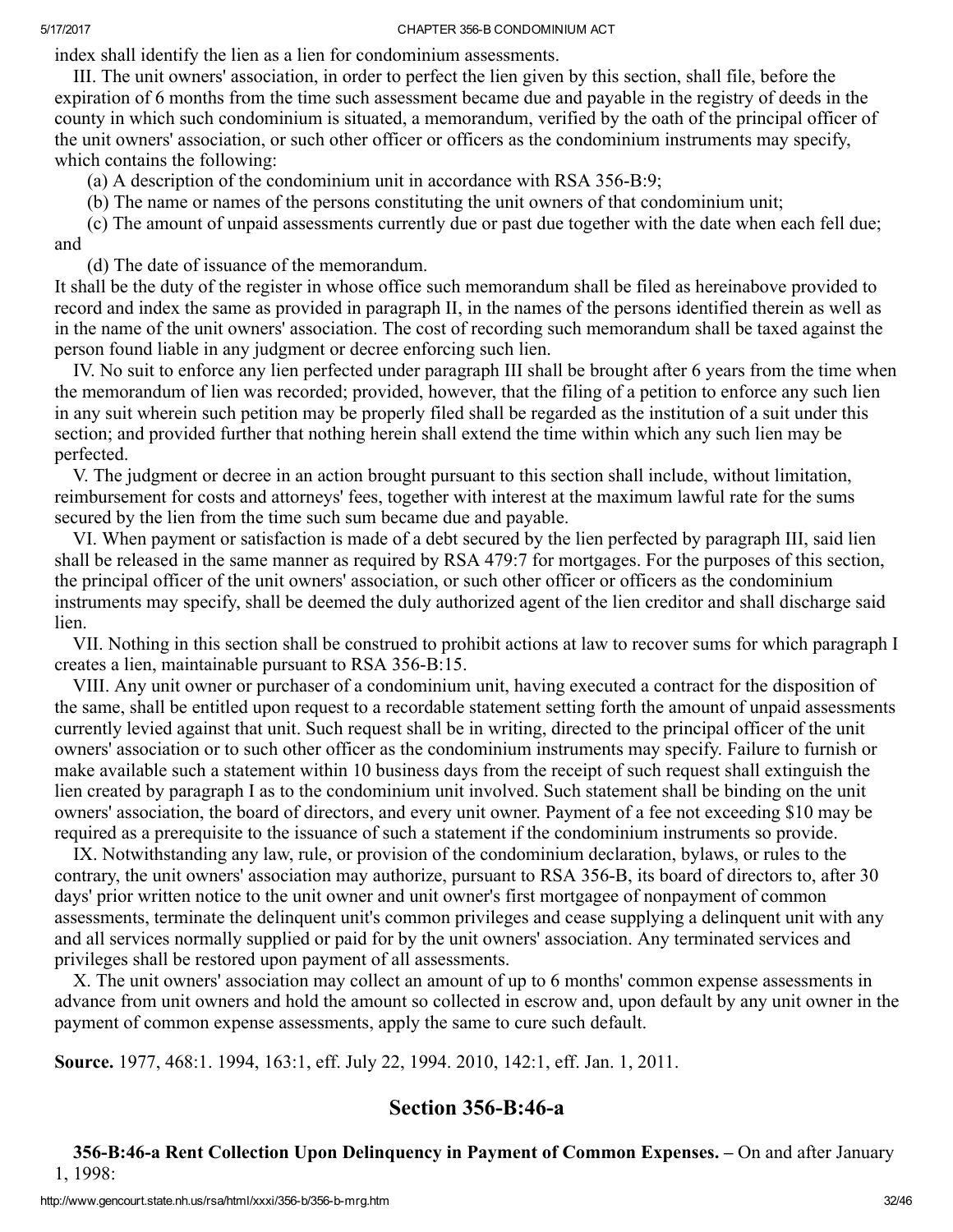index shall identify the lien as a lien for condominium assessments.

III. The unit owners' association, in order to perfect the lien given by this section, shall file, before the expiration of 6 months from the time such assessment became due and payable in the registry of deeds in the county in which such condominium is situated, a memorandum, verified by the oath of the principal officer of the unit owners' association, or such other officer or officers as the condominium instruments may specify, which contains the following:

(a) A description of the condominium unit in accordance with RSA  $356-B:9$ ;

(b) The name or names of the persons constituting the unit owners of that condominium unit;

(c) The amount of unpaid assessments currently due or past due together with the date when each fell due; and

(d) The date of issuance of the memorandum.

It shall be the duty of the register in whose office such memorandum shall be filed as hereinabove provided to record and index the same as provided in paragraph II, in the names of the persons identified therein as well as in the name of the unit owners' association. The cost of recording such memorandum shall be taxed against the person found liable in any judgment or decree enforcing such lien.

IV. No suit to enforce any lien perfected under paragraph III shall be brought after 6 years from the time when the memorandum of lien was recorded; provided, however, that the filing of a petition to enforce any such lien in any suit wherein such petition may be properly filed shall be regarded as the institution of a suit under this section; and provided further that nothing herein shall extend the time within which any such lien may be perfected.

V. The judgment or decree in an action brought pursuant to this section shall include, without limitation, reimbursement for costs and attorneys' fees, together with interest at the maximum lawful rate for the sums secured by the lien from the time such sum became due and payable.

VI. When payment or satisfaction is made of a debt secured by the lien perfected by paragraph III, said lien shall be released in the same manner as required by RSA 479:7 for mortgages. For the purposes of this section, the principal officer of the unit owners' association, or such other officer or officers as the condominium instruments may specify, shall be deemed the duly authorized agent of the lien creditor and shall discharge said lien.

VII. Nothing in this section shall be construed to prohibit actions at law to recover sums for which paragraph I creates a lien, maintainable pursuant to RSA 356-B:15.

VIII. Any unit owner or purchaser of a condominium unit, having executed a contract for the disposition of the same, shall be entitled upon request to a recordable statement setting forth the amount of unpaid assessments currently levied against that unit. Such request shall be in writing, directed to the principal officer of the unit owners' association or to such other officer as the condominium instruments may specify. Failure to furnish or make available such a statement within 10 business days from the receipt of such request shall extinguish the lien created by paragraph I as to the condominium unit involved. Such statement shall be binding on the unit owners' association, the board of directors, and every unit owner. Payment of a fee not exceeding \$10 may be required as a prerequisite to the issuance of such a statement if the condominium instruments so provide.

IX. Notwithstanding any law, rule, or provision of the condominium declaration, bylaws, or rules to the contrary, the unit owners' association may authorize, pursuant to RSA 356-B, its board of directors to, after 30 days' prior written notice to the unit owner and unit owner's first mortgagee of nonpayment of common assessments, terminate the delinquent unit's common privileges and cease supplying a delinquent unit with any and all services normally supplied or paid for by the unit owners' association. Any terminated services and privileges shall be restored upon payment of all assessments.

X. The unit owners' association may collect an amount of up to 6 months' common expense assessments in advance from unit owners and hold the amount so collected in escrow and, upon default by any unit owner in the payment of common expense assessments, apply the same to cure such default.

Source. 1977, 468:1. 1994, 163:1, eff. July 22, 1994. 2010, 142:1, eff. Jan. 1, 2011.

# **Section 356-B:46-a**

356-B:46-a Rent Collection Upon Delinquency in Payment of Common Expenses. – On and after January 1, 1998: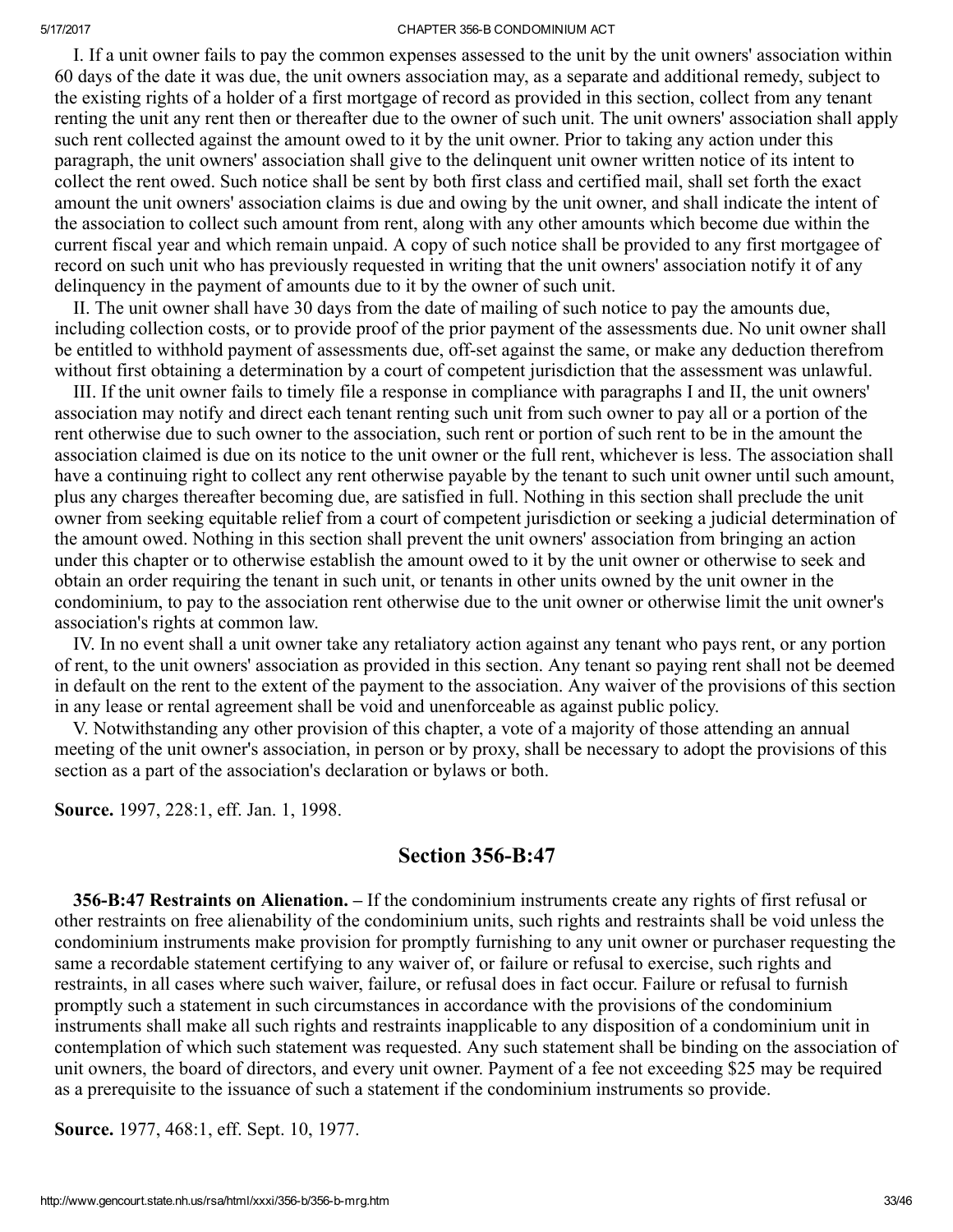I. If a unit owner fails to pay the common expenses assessed to the unit by the unit owners' association within 60 days of the date it was due, the unit owners association may, as a separate and additional remedy, subject to the existing rights of a holder of a first mortgage of record as provided in this section, collect from any tenant renting the unit any rent then or thereafter due to the owner of such unit. The unit owners' association shall apply such rent collected against the amount owed to it by the unit owner. Prior to taking any action under this paragraph, the unit owners' association shall give to the delinquent unit owner written notice of its intent to collect the rent owed. Such notice shall be sent by both first class and certified mail, shall set forth the exact amount the unit owners' association claims is due and owing by the unit owner, and shall indicate the intent of the association to collect such amount from rent, along with any other amounts which become due within the current fiscal year and which remain unpaid. A copy of such notice shall be provided to any first mortgagee of record on such unit who has previously requested in writing that the unit owners' association notify it of any delinquency in the payment of amounts due to it by the owner of such unit.

II. The unit owner shall have 30 days from the date of mailing of such notice to pay the amounts due, including collection costs, or to provide proof of the prior payment of the assessments due. No unit owner shall be entitled to withhold payment of assessments due, off-set against the same, or make any deduction therefrom without first obtaining a determination by a court of competent jurisdiction that the assessment was unlawful.

III. If the unit owner fails to timely file a response in compliance with paragraphs I and II, the unit owners' association may notify and direct each tenant renting such unit from such owner to pay all or a portion of the rent otherwise due to such owner to the association, such rent or portion of such rent to be in the amount the association claimed is due on its notice to the unit owner or the full rent, whichever is less. The association shall have a continuing right to collect any rent otherwise payable by the tenant to such unit owner until such amount, plus any charges thereafter becoming due, are satisfied in full. Nothing in this section shall preclude the unit owner from seeking equitable relief from a court of competent jurisdiction or seeking a judicial determination of the amount owed. Nothing in this section shall prevent the unit owners' association from bringing an action under this chapter or to otherwise establish the amount owed to it by the unit owner or otherwise to seek and obtain an order requiring the tenant in such unit, or tenants in other units owned by the unit owner in the condominium, to pay to the association rent otherwise due to the unit owner or otherwise limit the unit owner's association's rights at common law.

IV. In no event shall a unit owner take any retaliatory action against any tenant who pays rent, or any portion of rent, to the unit owners' association as provided in this section. Any tenant so paying rent shall not be deemed in default on the rent to the extent of the payment to the association. Any waiver of the provisions of this section in any lease or rental agreement shall be void and unenforceable as against public policy.

V. Notwithstanding any other provision of this chapter, a vote of a majority of those attending an annual meeting of the unit owner's association, in person or by proxy, shall be necessary to adopt the provisions of this section as a part of the association's declaration or bylaws or both.

Source. 1997, 228:1, eff. Jan. 1, 1998.

# **Section 356-B:47**

**356-B:47 Restraints on Alienation.** – If the condominium instruments create any rights of first refusal or other restraints on free alienability of the condominium units, such rights and restraints shall be void unless the condominium instruments make provision for promptly furnishing to any unit owner or purchaser requesting the same a recordable statement certifying to any waiver of, or failure or refusal to exercise, such rights and restraints, in all cases where such waiver, failure, or refusal does in fact occur. Failure or refusal to furnish promptly such a statement in such circumstances in accordance with the provisions of the condominium instruments shall make all such rights and restraints inapplicable to any disposition of a condominium unit in contemplation of which such statement was requested. Any such statement shall be binding on the association of unit owners, the board of directors, and every unit owner. Payment of a fee not exceeding \$25 may be required as a prerequisite to the issuance of such a statement if the condominium instruments so provide.

Source. 1977, 468:1, eff. Sept. 10, 1977.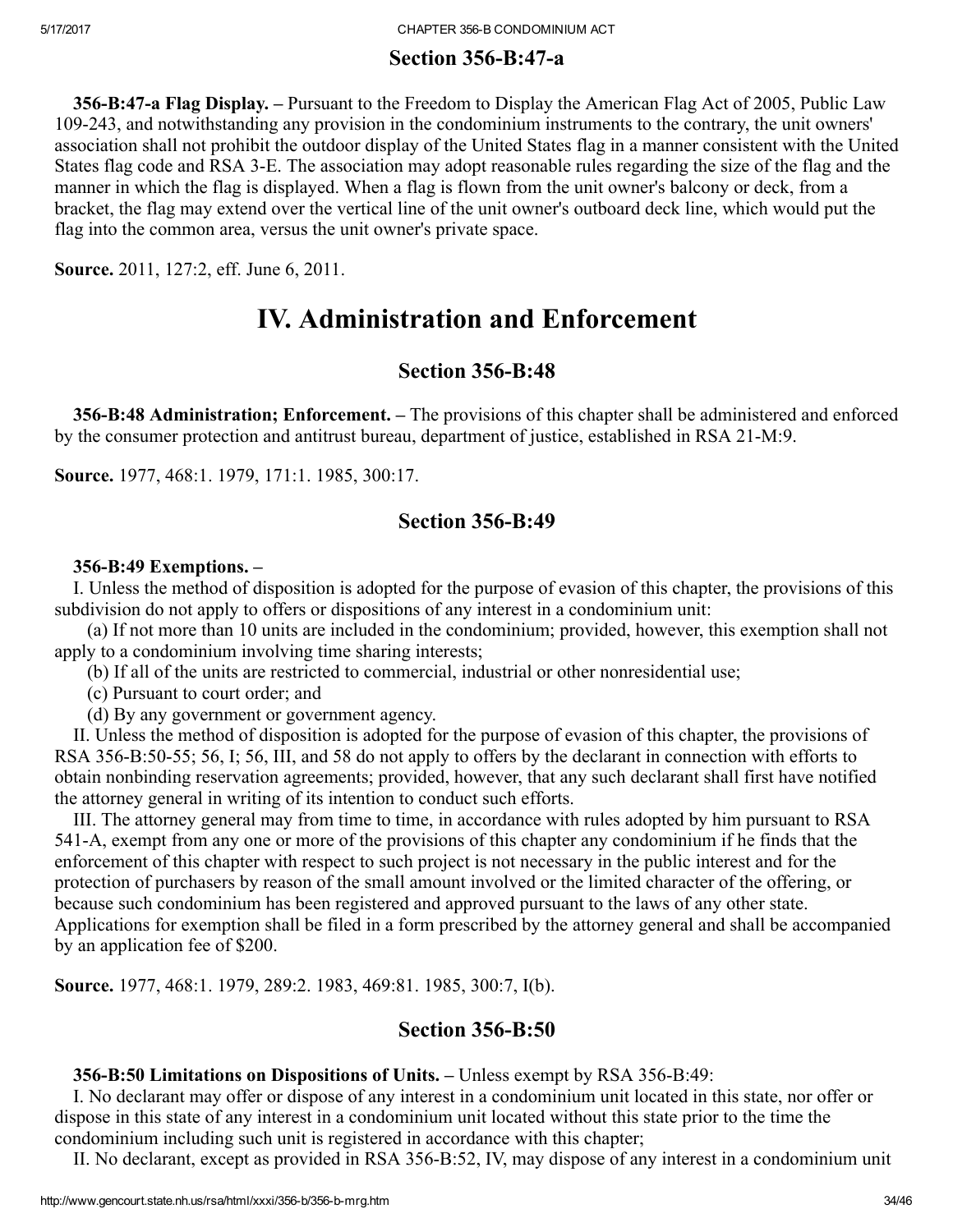# **Section 356-B:47-a**

**356-B:47-a Flag Display.** – Pursuant to the Freedom to Display the American Flag Act of 2005, Public Law 109243, and notwithstanding any provision in the condominium instruments to the contrary, the unit owners' association shall not prohibit the outdoor display of the United States flag in a manner consistent with the United States flag code and RSA 3-E. The association may adopt reasonable rules regarding the size of the flag and the manner in which the flag is displayed. When a flag is flown from the unit owner's balcony or deck, from a bracket, the flag may extend over the vertical line of the unit owner's outboard deck line, which would put the flag into the common area, versus the unit owner's private space.

Source. 2011, 127:2, eff. June 6, 2011.

# IV. Administration and Enforcement

# **Section 356-B:48**

**356-B:48 Administration; Enforcement.** – The provisions of this chapter shall be administered and enforced by the consumer protection and antitrust bureau, department of justice, established in RSA 21-M:9.

Source. 1977, 468:1. 1979, 171:1. 1985, 300:17.

# **Section 356-B:49**

### $356-B:49$  Exemptions.  $-$

I. Unless the method of disposition is adopted for the purpose of evasion of this chapter, the provisions of this subdivision do not apply to offers or dispositions of any interest in a condominium unit:

(a) If not more than 10 units are included in the condominium; provided, however, this exemption shall not apply to a condominium involving time sharing interests;

(b) If all of the units are restricted to commercial, industrial or other nonresidential use;

(c) Pursuant to court order; and

(d) By any government or government agency.

II. Unless the method of disposition is adopted for the purpose of evasion of this chapter, the provisions of RSA 356-B:50-55; 56, I; 56, III, and 58 do not apply to offers by the declarant in connection with efforts to obtain nonbinding reservation agreements; provided, however, that any such declarant shall first have notified the attorney general in writing of its intention to conduct such efforts.

III. The attorney general may from time to time, in accordance with rules adopted by him pursuant to RSA 541A, exempt from any one or more of the provisions of this chapter any condominium if he finds that the enforcement of this chapter with respect to such project is not necessary in the public interest and for the protection of purchasers by reason of the small amount involved or the limited character of the offering, or because such condominium has been registered and approved pursuant to the laws of any other state. Applications for exemption shall be filed in a form prescribed by the attorney general and shall be accompanied by an application fee of \$200.

Source. 1977, 468:1. 1979, 289:2. 1983, 469:81. 1985, 300:7, I(b).

# **Section 356-B:50**

# **356-B:50 Limitations on Dispositions of Units.** – Unless exempt by RSA 356-B:49:

I. No declarant may offer or dispose of any interest in a condominium unit located in this state, nor offer or dispose in this state of any interest in a condominium unit located without this state prior to the time the condominium including such unit is registered in accordance with this chapter;

II. No declarant, except as provided in RSA 356-B:52, IV, may dispose of any interest in a condominium unit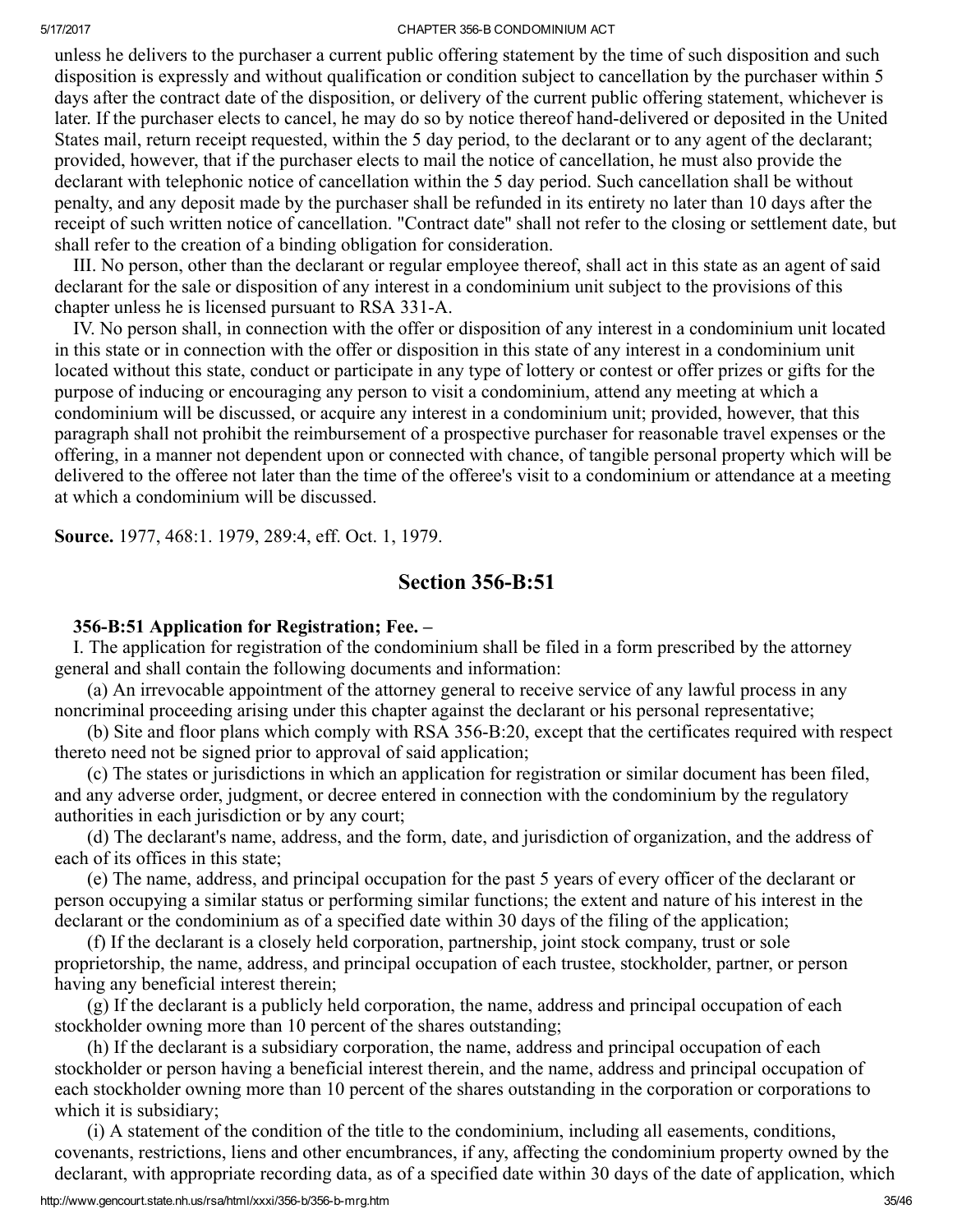unless he delivers to the purchaser a current public offering statement by the time of such disposition and such disposition is expressly and without qualification or condition subject to cancellation by the purchaser within 5 days after the contract date of the disposition, or delivery of the current public offering statement, whichever is later. If the purchaser elects to cancel, he may do so by notice thereof hand-delivered or deposited in the United States mail, return receipt requested, within the 5 day period, to the declarant or to any agent of the declarant; provided, however, that if the purchaser elects to mail the notice of cancellation, he must also provide the declarant with telephonic notice of cancellation within the 5 day period. Such cancellation shall be without penalty, and any deposit made by the purchaser shall be refunded in its entirety no later than 10 days after the receipt of such written notice of cancellation. "Contract date'' shall not refer to the closing or settlement date, but shall refer to the creation of a binding obligation for consideration.

III. No person, other than the declarant or regular employee thereof, shall act in this state as an agent of said declarant for the sale or disposition of any interest in a condominium unit subject to the provisions of this chapter unless he is licensed pursuant to RSA 331-A.

IV. No person shall, in connection with the offer or disposition of any interest in a condominium unit located in this state or in connection with the offer or disposition in this state of any interest in a condominium unit located without this state, conduct or participate in any type of lottery or contest or offer prizes or gifts for the purpose of inducing or encouraging any person to visit a condominium, attend any meeting at which a condominium will be discussed, or acquire any interest in a condominium unit; provided, however, that this paragraph shall not prohibit the reimbursement of a prospective purchaser for reasonable travel expenses or the offering, in a manner not dependent upon or connected with chance, of tangible personal property which will be delivered to the offeree not later than the time of the offeree's visit to a condominium or attendance at a meeting at which a condominium will be discussed.

Source. 1977, 468:1. 1979, 289:4, eff. Oct. 1, 1979.

# **Section 356-B:51**

### 356-B:51 Application for Registration; Fee. –

I. The application for registration of the condominium shall be filed in a form prescribed by the attorney general and shall contain the following documents and information:

(a) An irrevocable appointment of the attorney general to receive service of any lawful process in any noncriminal proceeding arising under this chapter against the declarant or his personal representative;

(b) Site and floor plans which comply with RSA 356-B:20, except that the certificates required with respect thereto need not be signed prior to approval of said application;

(c) The states or jurisdictions in which an application for registration or similar document has been filed, and any adverse order, judgment, or decree entered in connection with the condominium by the regulatory authorities in each jurisdiction or by any court;

(d) The declarant's name, address, and the form, date, and jurisdiction of organization, and the address of each of its offices in this state;

(e) The name, address, and principal occupation for the past 5 years of every officer of the declarant or person occupying a similar status or performing similar functions; the extent and nature of his interest in the declarant or the condominium as of a specified date within 30 days of the filing of the application;

(f) If the declarant is a closely held corporation, partnership, joint stock company, trust or sole proprietorship, the name, address, and principal occupation of each trustee, stockholder, partner, or person having any beneficial interest therein;

(g) If the declarant is a publicly held corporation, the name, address and principal occupation of each stockholder owning more than 10 percent of the shares outstanding;

(h) If the declarant is a subsidiary corporation, the name, address and principal occupation of each stockholder or person having a beneficial interest therein, and the name, address and principal occupation of each stockholder owning more than 10 percent of the shares outstanding in the corporation or corporations to which it is subsidiary;

(i) A statement of the condition of the title to the condominium, including all easements, conditions, covenants, restrictions, liens and other encumbrances, if any, affecting the condominium property owned by the declarant, with appropriate recording data, as of a specified date within 30 days of the date of application, which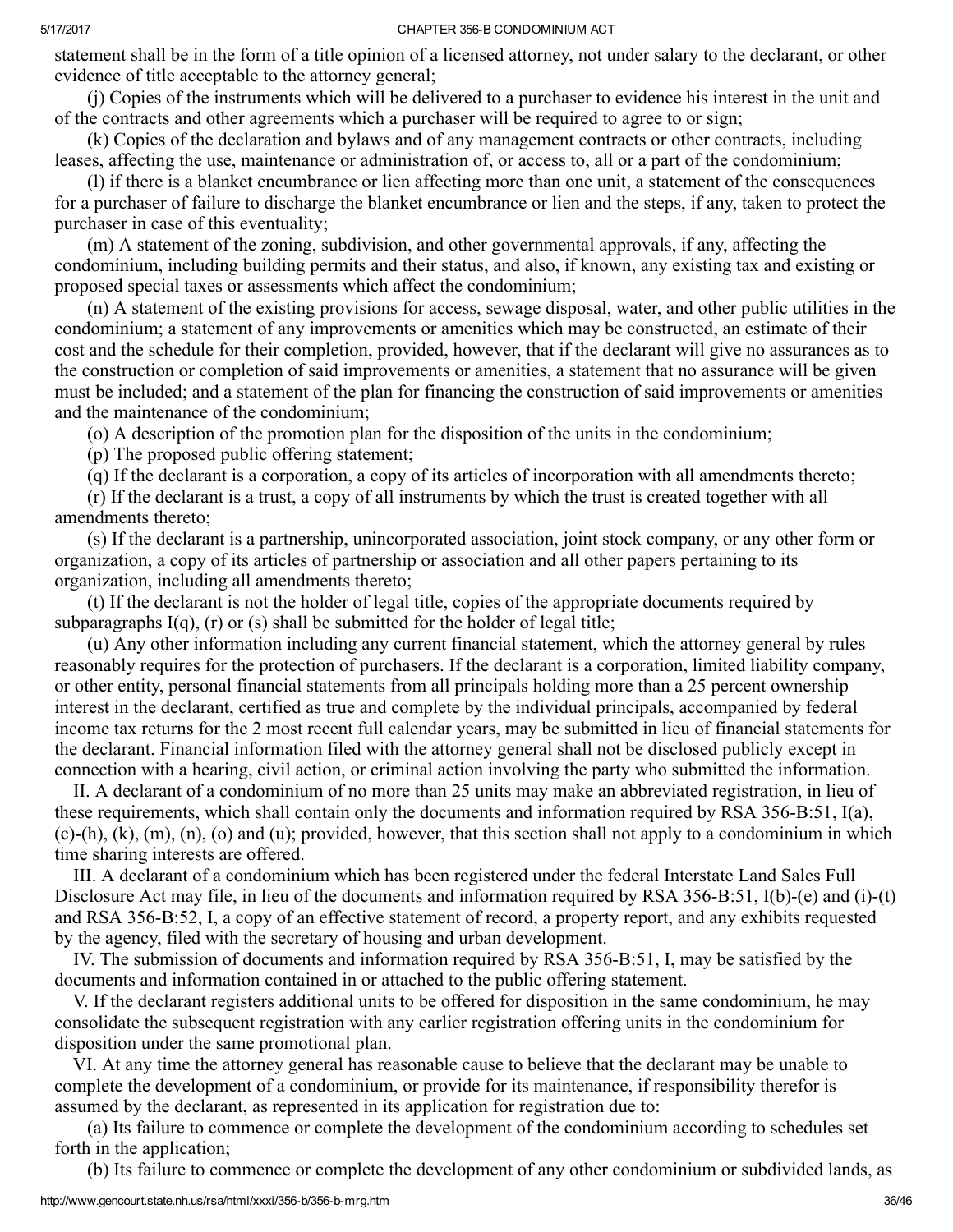statement shall be in the form of a title opinion of a licensed attorney, not under salary to the declarant, or other evidence of title acceptable to the attorney general;

(j) Copies of the instruments which will be delivered to a purchaser to evidence his interest in the unit and of the contracts and other agreements which a purchaser will be required to agree to or sign;

(k) Copies of the declaration and bylaws and of any management contracts or other contracts, including leases, affecting the use, maintenance or administration of, or access to, all or a part of the condominium;

(l) if there is a blanket encumbrance or lien affecting more than one unit, a statement of the consequences for a purchaser of failure to discharge the blanket encumbrance or lien and the steps, if any, taken to protect the purchaser in case of this eventuality;

(m) A statement of the zoning, subdivision, and other governmental approvals, if any, affecting the condominium, including building permits and their status, and also, if known, any existing tax and existing or proposed special taxes or assessments which affect the condominium;

(n) A statement of the existing provisions for access, sewage disposal, water, and other public utilities in the condominium; a statement of any improvements or amenities which may be constructed, an estimate of their cost and the schedule for their completion, provided, however, that if the declarant will give no assurances as to the construction or completion of said improvements or amenities, a statement that no assurance will be given must be included; and a statement of the plan for financing the construction of said improvements or amenities and the maintenance of the condominium;

(o) A description of the promotion plan for the disposition of the units in the condominium;

(p) The proposed public offering statement;

(q) If the declarant is a corporation, a copy of its articles of incorporation with all amendments thereto;

(r) If the declarant is a trust, a copy of all instruments by which the trust is created together with all amendments thereto;

(s) If the declarant is a partnership, unincorporated association, joint stock company, or any other form or organization, a copy of its articles of partnership or association and all other papers pertaining to its organization, including all amendments thereto;

(t) If the declarant is not the holder of legal title, copies of the appropriate documents required by subparagraphs  $I(q)$ , (r) or (s) shall be submitted for the holder of legal title;

(u) Any other information including any current financial statement, which the attorney general by rules reasonably requires for the protection of purchasers. If the declarant is a corporation, limited liability company, or other entity, personal financial statements from all principals holding more than a 25 percent ownership interest in the declarant, certified as true and complete by the individual principals, accompanied by federal income tax returns for the 2 most recent full calendar years, may be submitted in lieu of financial statements for the declarant. Financial information filed with the attorney general shall not be disclosed publicly except in connection with a hearing, civil action, or criminal action involving the party who submitted the information.

II. A declarant of a condominium of no more than 25 units may make an abbreviated registration, in lieu of these requirements, which shall contain only the documents and information required by RSA 356-B:51,  $I(a)$ ,  $(c)$ -(h),  $(k)$ ,  $(m)$ ,  $(n)$ ,  $(o)$  and  $(u)$ ; provided, however, that this section shall not apply to a condominium in which time sharing interests are offered.

III. A declarant of a condominium which has been registered under the federal Interstate Land Sales Full Disclosure Act may file, in lieu of the documents and information required by RSA 356-B:51,  $I(b)-(e)$  and (i)-(t) and RSA 356-B:52, I, a copy of an effective statement of record, a property report, and any exhibits requested by the agency, filed with the secretary of housing and urban development.

IV. The submission of documents and information required by RSA 356B:51, I, may be satisfied by the documents and information contained in or attached to the public offering statement.

V. If the declarant registers additional units to be offered for disposition in the same condominium, he may consolidate the subsequent registration with any earlier registration offering units in the condominium for disposition under the same promotional plan.

VI. At any time the attorney general has reasonable cause to believe that the declarant may be unable to complete the development of a condominium, or provide for its maintenance, if responsibility therefor is assumed by the declarant, as represented in its application for registration due to:

(a) Its failure to commence or complete the development of the condominium according to schedules set forth in the application;

(b) Its failure to commence or complete the development of any other condominium or subdivided lands, as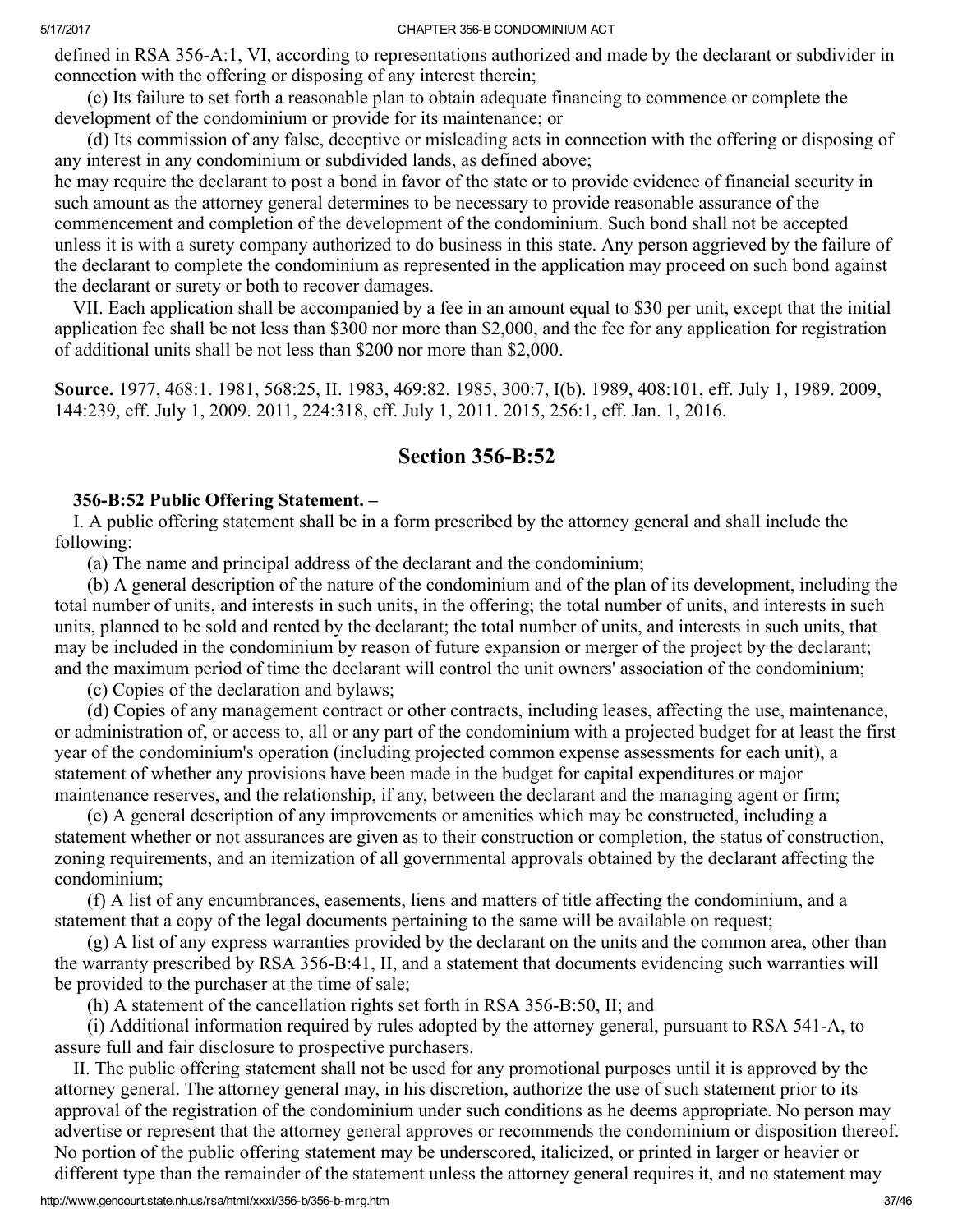defined in RSA 356A:1, VI, according to representations authorized and made by the declarant or subdivider in connection with the offering or disposing of any interest therein;

(c) Its failure to set forth a reasonable plan to obtain adequate financing to commence or complete the development of the condominium or provide for its maintenance; or

(d) Its commission of any false, deceptive or misleading acts in connection with the offering or disposing of any interest in any condominium or subdivided lands, as defined above;

he may require the declarant to post a bond in favor of the state or to provide evidence of financial security in such amount as the attorney general determines to be necessary to provide reasonable assurance of the commencement and completion of the development of the condominium. Such bond shall not be accepted unless it is with a surety company authorized to do business in this state. Any person aggrieved by the failure of the declarant to complete the condominium as represented in the application may proceed on such bond against the declarant or surety or both to recover damages.

VII. Each application shall be accompanied by a fee in an amount equal to \$30 per unit, except that the initial application fee shall be not less than \$300 nor more than \$2,000, and the fee for any application for registration of additional units shall be not less than \$200 nor more than \$2,000.

Source. 1977, 468:1. 1981, 568:25, II. 1983, 469:82. 1985, 300:7, I(b). 1989, 408:101, eff. July 1, 1989. 2009, 144:239, eff. July 1, 2009. 2011, 224:318, eff. July 1, 2011. 2015, 256:1, eff. Jan. 1, 2016.

# **Section 356-B:52**

# 356-B:52 Public Offering Statement. –

I. A public offering statement shall be in a form prescribed by the attorney general and shall include the following:

(a) The name and principal address of the declarant and the condominium;

(b) A general description of the nature of the condominium and of the plan of its development, including the total number of units, and interests in such units, in the offering; the total number of units, and interests in such units, planned to be sold and rented by the declarant; the total number of units, and interests in such units, that may be included in the condominium by reason of future expansion or merger of the project by the declarant; and the maximum period of time the declarant will control the unit owners' association of the condominium;

(c) Copies of the declaration and bylaws;

(d) Copies of any management contract or other contracts, including leases, affecting the use, maintenance, or administration of, or access to, all or any part of the condominium with a projected budget for at least the first year of the condominium's operation (including projected common expense assessments for each unit), a statement of whether any provisions have been made in the budget for capital expenditures or major maintenance reserves, and the relationship, if any, between the declarant and the managing agent or firm;

(e) A general description of any improvements or amenities which may be constructed, including a statement whether or not assurances are given as to their construction or completion, the status of construction, zoning requirements, and an itemization of all governmental approvals obtained by the declarant affecting the condominium;

(f) A list of any encumbrances, easements, liens and matters of title affecting the condominium, and a statement that a copy of the legal documents pertaining to the same will be available on request;

(g) A list of any express warranties provided by the declarant on the units and the common area, other than the warranty prescribed by RSA 356-B:41, II, and a statement that documents evidencing such warranties will be provided to the purchaser at the time of sale;

(h) A statement of the cancellation rights set forth in RSA  $356-B:50$ , II; and

(i) Additional information required by rules adopted by the attorney general, pursuant to RSA 541-A, to assure full and fair disclosure to prospective purchasers.

II. The public offering statement shall not be used for any promotional purposes until it is approved by the attorney general. The attorney general may, in his discretion, authorize the use of such statement prior to its approval of the registration of the condominium under such conditions as he deems appropriate. No person may advertise or represent that the attorney general approves or recommends the condominium or disposition thereof. No portion of the public offering statement may be underscored, italicized, or printed in larger or heavier or different type than the remainder of the statement unless the attorney general requires it, and no statement may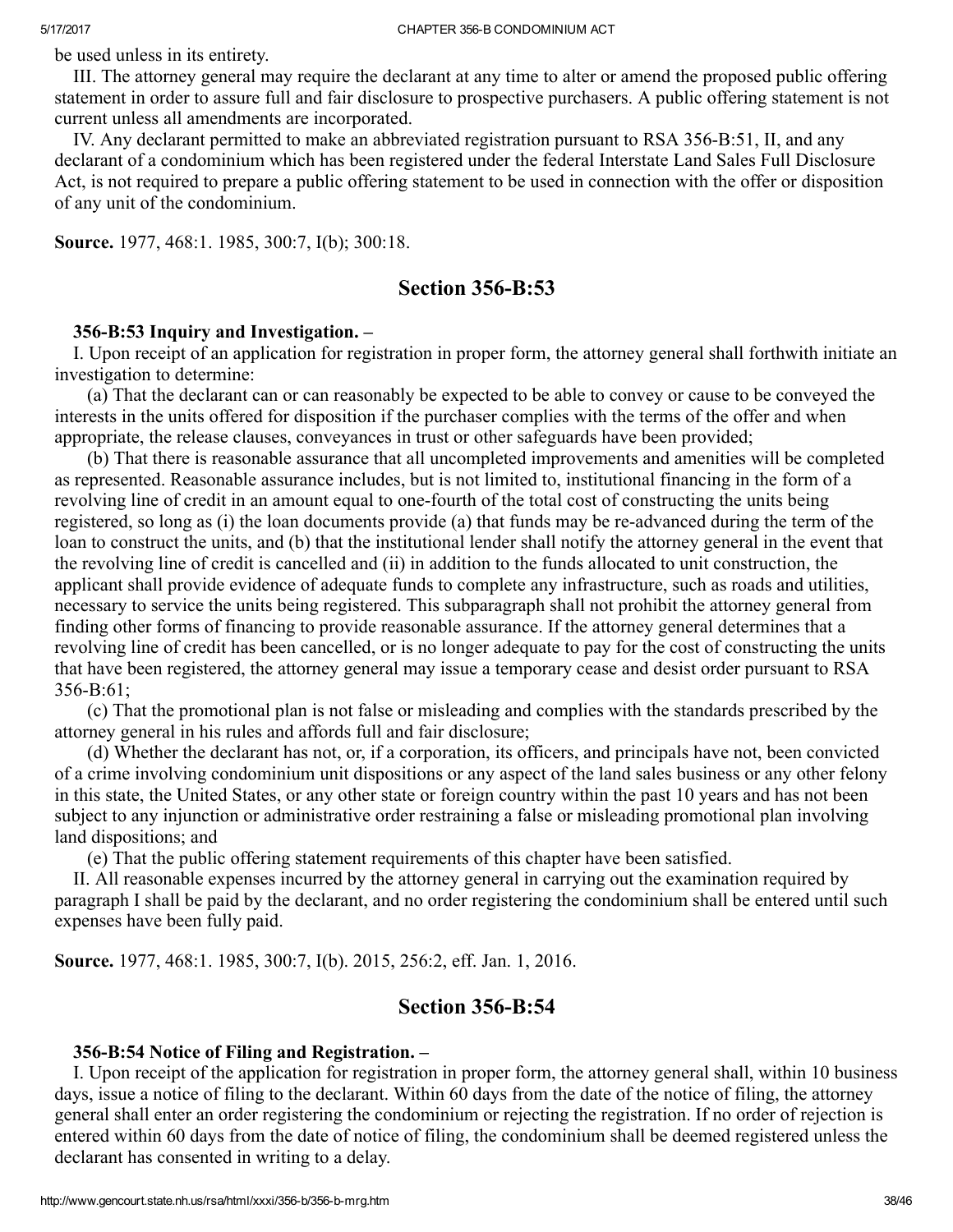be used unless in its entirety.

III. The attorney general may require the declarant at any time to alter or amend the proposed public offering statement in order to assure full and fair disclosure to prospective purchasers. A public offering statement is not current unless all amendments are incorporated.

IV. Any declarant permitted to make an abbreviated registration pursuant to RSA 356-B:51, II, and any declarant of a condominium which has been registered under the federal Interstate Land Sales Full Disclosure Act, is not required to prepare a public offering statement to be used in connection with the offer or disposition of any unit of the condominium.

Source. 1977, 468:1. 1985, 300:7, I(b); 300:18.

# **Section 356-B:53**

### 356-B:53 Inquiry and Investigation. -

I. Upon receipt of an application for registration in proper form, the attorney general shall forthwith initiate an investigation to determine:

(a) That the declarant can or can reasonably be expected to be able to convey or cause to be conveyed the interests in the units offered for disposition if the purchaser complies with the terms of the offer and when appropriate, the release clauses, conveyances in trust or other safeguards have been provided;

(b) That there is reasonable assurance that all uncompleted improvements and amenities will be completed as represented. Reasonable assurance includes, but is not limited to, institutional financing in the form of a revolving line of credit in an amount equal to one-fourth of the total cost of constructing the units being registered, so long as (i) the loan documents provide (a) that funds may be re-advanced during the term of the loan to construct the units, and (b) that the institutional lender shall notify the attorney general in the event that the revolving line of credit is cancelled and (ii) in addition to the funds allocated to unit construction, the applicant shall provide evidence of adequate funds to complete any infrastructure, such as roads and utilities, necessary to service the units being registered. This subparagraph shall not prohibit the attorney general from finding other forms of financing to provide reasonable assurance. If the attorney general determines that a revolving line of credit has been cancelled, or is no longer adequate to pay for the cost of constructing the units that have been registered, the attorney general may issue a temporary cease and desist order pursuant to RSA  $356 - B:61$ :

(c) That the promotional plan is not false or misleading and complies with the standards prescribed by the attorney general in his rules and affords full and fair disclosure;

(d) Whether the declarant has not, or, if a corporation, its officers, and principals have not, been convicted of a crime involving condominium unit dispositions or any aspect of the land sales business or any other felony in this state, the United States, or any other state or foreign country within the past 10 years and has not been subject to any injunction or administrative order restraining a false or misleading promotional plan involving land dispositions; and

(e) That the public offering statement requirements of this chapter have been satisfied.

II. All reasonable expenses incurred by the attorney general in carrying out the examination required by paragraph I shall be paid by the declarant, and no order registering the condominium shall be entered until such expenses have been fully paid.

Source. 1977, 468:1. 1985, 300:7, I(b). 2015, 256:2, eff. Jan. 1, 2016.

# **Section 356-B:54**

### 356-B:54 Notice of Filing and Registration. -

I. Upon receipt of the application for registration in proper form, the attorney general shall, within 10 business days, issue a notice of filing to the declarant. Within 60 days from the date of the notice of filing, the attorney general shall enter an order registering the condominium or rejecting the registration. If no order of rejection is entered within 60 days from the date of notice of filing, the condominium shall be deemed registered unless the declarant has consented in writing to a delay.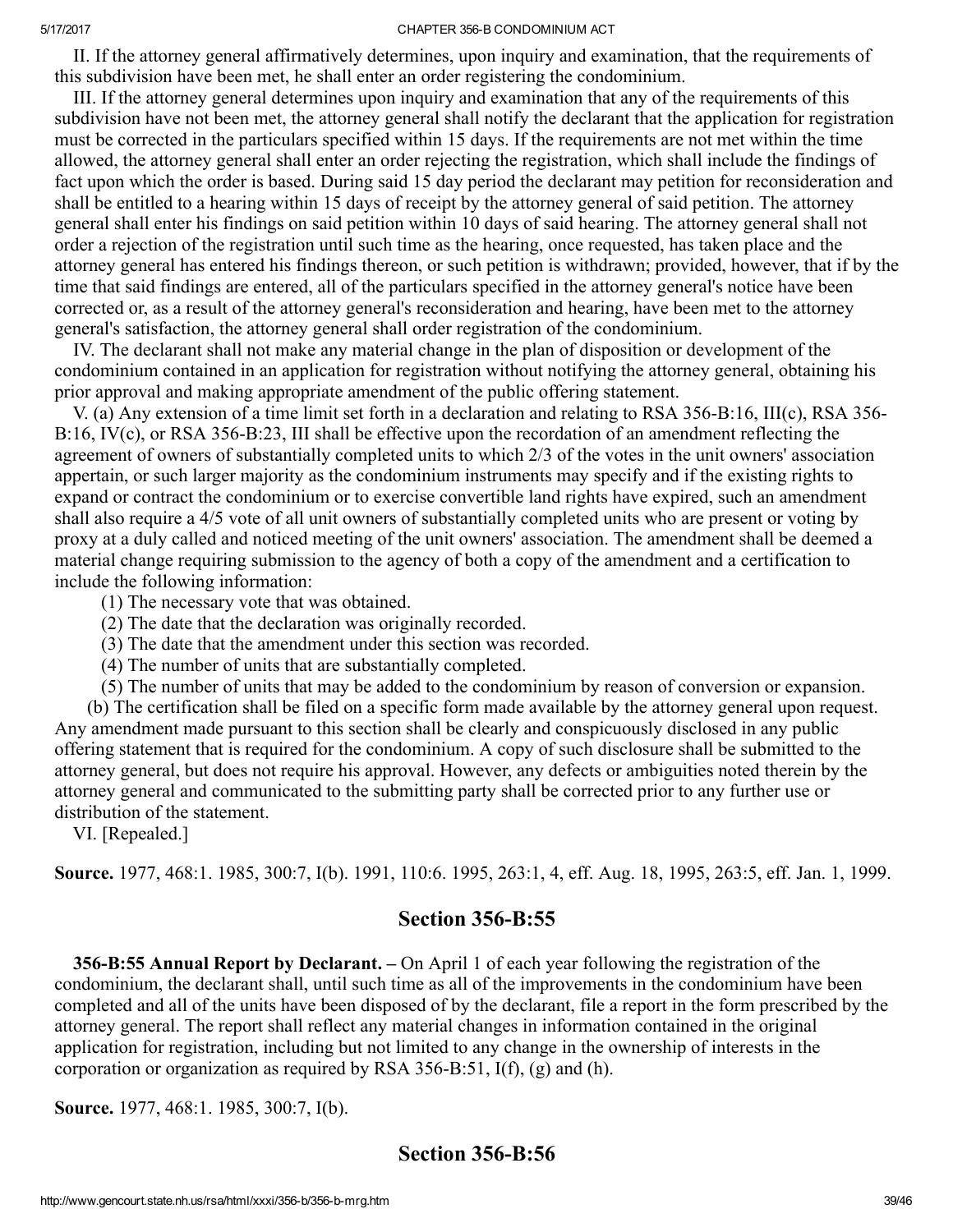II. If the attorney general affirmatively determines, upon inquiry and examination, that the requirements of this subdivision have been met, he shall enter an order registering the condominium.

III. If the attorney general determines upon inquiry and examination that any of the requirements of this subdivision have not been met, the attorney general shall notify the declarant that the application for registration must be corrected in the particulars specified within 15 days. If the requirements are not met within the time allowed, the attorney general shall enter an order rejecting the registration, which shall include the findings of fact upon which the order is based. During said 15 day period the declarant may petition for reconsideration and shall be entitled to a hearing within 15 days of receipt by the attorney general of said petition. The attorney general shall enter his findings on said petition within 10 days of said hearing. The attorney general shall not order a rejection of the registration until such time as the hearing, once requested, has taken place and the attorney general has entered his findings thereon, or such petition is withdrawn; provided, however, that if by the time that said findings are entered, all of the particulars specified in the attorney general's notice have been corrected or, as a result of the attorney general's reconsideration and hearing, have been met to the attorney general's satisfaction, the attorney general shall order registration of the condominium.

IV. The declarant shall not make any material change in the plan of disposition or development of the condominium contained in an application for registration without notifying the attorney general, obtaining his prior approval and making appropriate amendment of the public offering statement.

V. (a) Any extension of a time limit set forth in a declaration and relating to RSA 356-B:16, III(c), RSA 356- $B:16$ , IV(c), or RSA 356-B:23, III shall be effective upon the recordation of an amendment reflecting the agreement of owners of substantially completed units to which 2/3 of the votes in the unit owners' association appertain, or such larger majority as the condominium instruments may specify and if the existing rights to expand or contract the condominium or to exercise convertible land rights have expired, such an amendment shall also require a 4/5 vote of all unit owners of substantially completed units who are present or voting by proxy at a duly called and noticed meeting of the unit owners' association. The amendment shall be deemed a material change requiring submission to the agency of both a copy of the amendment and a certification to include the following information:

(1) The necessary vote that was obtained.

(2) The date that the declaration was originally recorded.

(3) The date that the amendment under this section was recorded.

(4) The number of units that are substantially completed.

(5) The number of units that may be added to the condominium by reason of conversion or expansion.

(b) The certification shall be filed on a specific form made available by the attorney general upon request. Any amendment made pursuant to this section shall be clearly and conspicuously disclosed in any public offering statement that is required for the condominium. A copy of such disclosure shall be submitted to the attorney general, but does not require his approval. However, any defects or ambiguities noted therein by the attorney general and communicated to the submitting party shall be corrected prior to any further use or distribution of the statement.

VI. [Repealed.]

Source. 1977, 468:1. 1985, 300:7, I(b). 1991, 110:6. 1995, 263:1, 4, eff. Aug. 18, 1995, 263:5, eff. Jan. 1, 1999.

# **Section 356-B:55**

**356-B:55 Annual Report by Declarant.** – On April 1 of each year following the registration of the condominium, the declarant shall, until such time as all of the improvements in the condominium have been completed and all of the units have been disposed of by the declarant, file a report in the form prescribed by the attorney general. The report shall reflect any material changes in information contained in the original application for registration, including but not limited to any change in the ownership of interests in the corporation or organization as required by RSA 356-B:51,  $I(f)$ ,  $(g)$  and  $(h)$ .

Source. 1977, 468:1. 1985, 300:7, I(b).

# **Section 356-B:56**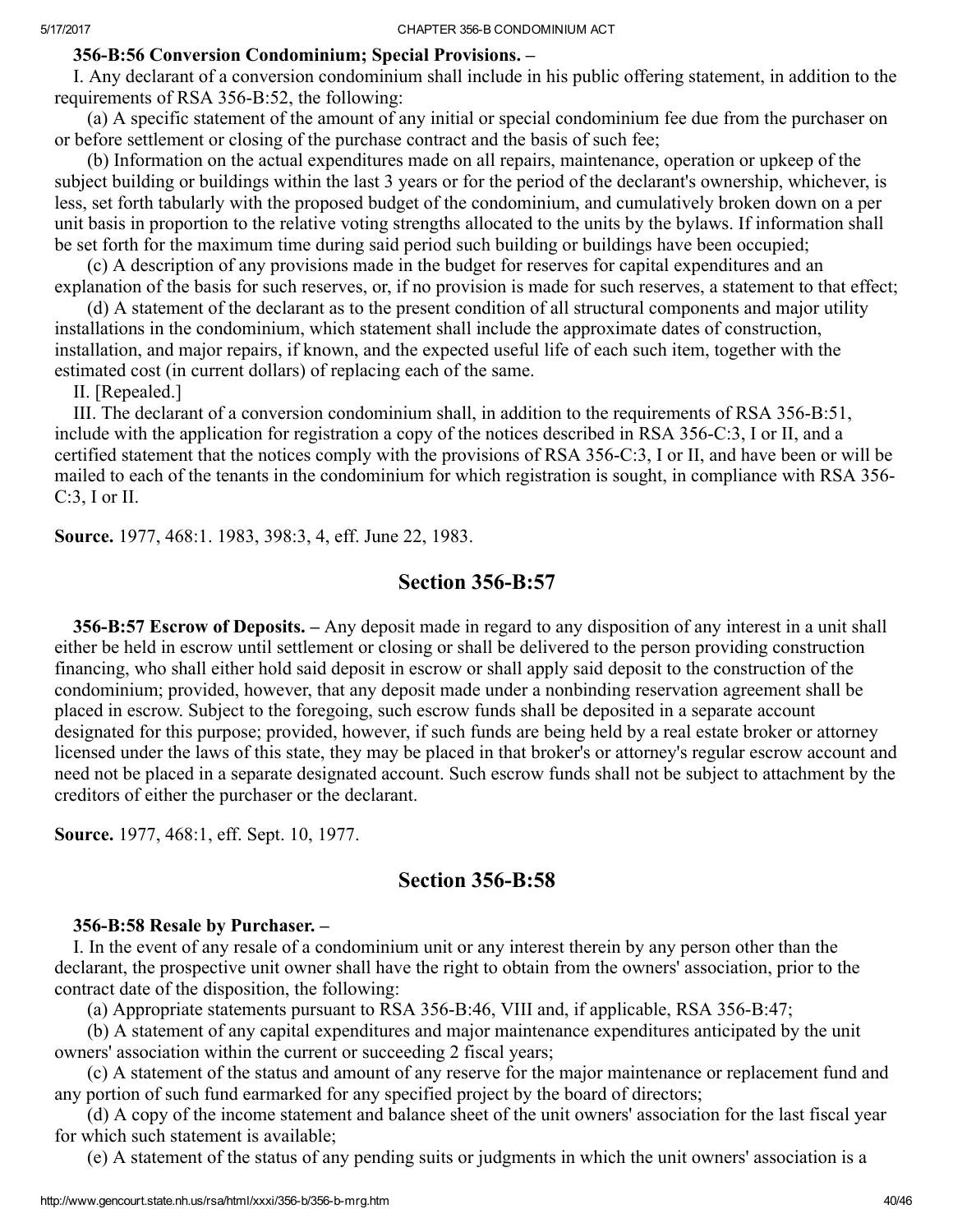### 356-B:56 Conversion Condominium; Special Provisions. -

I. Any declarant of a conversion condominium shall include in his public offering statement, in addition to the requirements of RSA  $356-B:52$ , the following:

(a) A specific statement of the amount of any initial or special condominium fee due from the purchaser on or before settlement or closing of the purchase contract and the basis of such fee;

(b) Information on the actual expenditures made on all repairs, maintenance, operation or upkeep of the subject building or buildings within the last 3 years or for the period of the declarant's ownership, whichever, is less, set forth tabularly with the proposed budget of the condominium, and cumulatively broken down on a per unit basis in proportion to the relative voting strengths allocated to the units by the bylaws. If information shall be set forth for the maximum time during said period such building or buildings have been occupied;

(c) A description of any provisions made in the budget for reserves for capital expenditures and an explanation of the basis for such reserves, or, if no provision is made for such reserves, a statement to that effect;

(d) A statement of the declarant as to the present condition of all structural components and major utility installations in the condominium, which statement shall include the approximate dates of construction, installation, and major repairs, if known, and the expected useful life of each such item, together with the estimated cost (in current dollars) of replacing each of the same.

II. [Repealed.]

III. The declarant of a conversion condominium shall, in addition to the requirements of RSA  $356-B:51$ , include with the application for registration a copy of the notices described in RSA 356C:3, I or II, and a certified statement that the notices comply with the provisions of RSA 356-C:3, I or II, and have been or will be mailed to each of the tenants in the condominium for which registration is sought, in compliance with RSA 356 C:3, I or II.

Source. 1977, 468:1. 1983, 398:3, 4, eff. June 22, 1983.

# **Section 356-B:57**

356-B:57 Escrow of Deposits. – Any deposit made in regard to any disposition of any interest in a unit shall either be held in escrow until settlement or closing or shall be delivered to the person providing construction financing, who shall either hold said deposit in escrow or shall apply said deposit to the construction of the condominium; provided, however, that any deposit made under a nonbinding reservation agreement shall be placed in escrow. Subject to the foregoing, such escrow funds shall be deposited in a separate account designated for this purpose; provided, however, if such funds are being held by a real estate broker or attorney licensed under the laws of this state, they may be placed in that broker's or attorney's regular escrow account and need not be placed in a separate designated account. Such escrow funds shall not be subject to attachment by the creditors of either the purchaser or the declarant.

Source. 1977, 468:1, eff. Sept. 10, 1977.

# **Section 356-B:58**

### 356-B:58 Resale by Purchaser. -

I. In the event of any resale of a condominium unit or any interest therein by any person other than the declarant, the prospective unit owner shall have the right to obtain from the owners' association, prior to the contract date of the disposition, the following:

(a) Appropriate statements pursuant to RSA 356-B:46, VIII and, if applicable, RSA 356-B:47;

(b) A statement of any capital expenditures and major maintenance expenditures anticipated by the unit owners' association within the current or succeeding 2 fiscal years;

(c) A statement of the status and amount of any reserve for the major maintenance or replacement fund and any portion of such fund earmarked for any specified project by the board of directors;

(d) A copy of the income statement and balance sheet of the unit owners' association for the last fiscal year for which such statement is available;

(e) A statement of the status of any pending suits or judgments in which the unit owners' association is a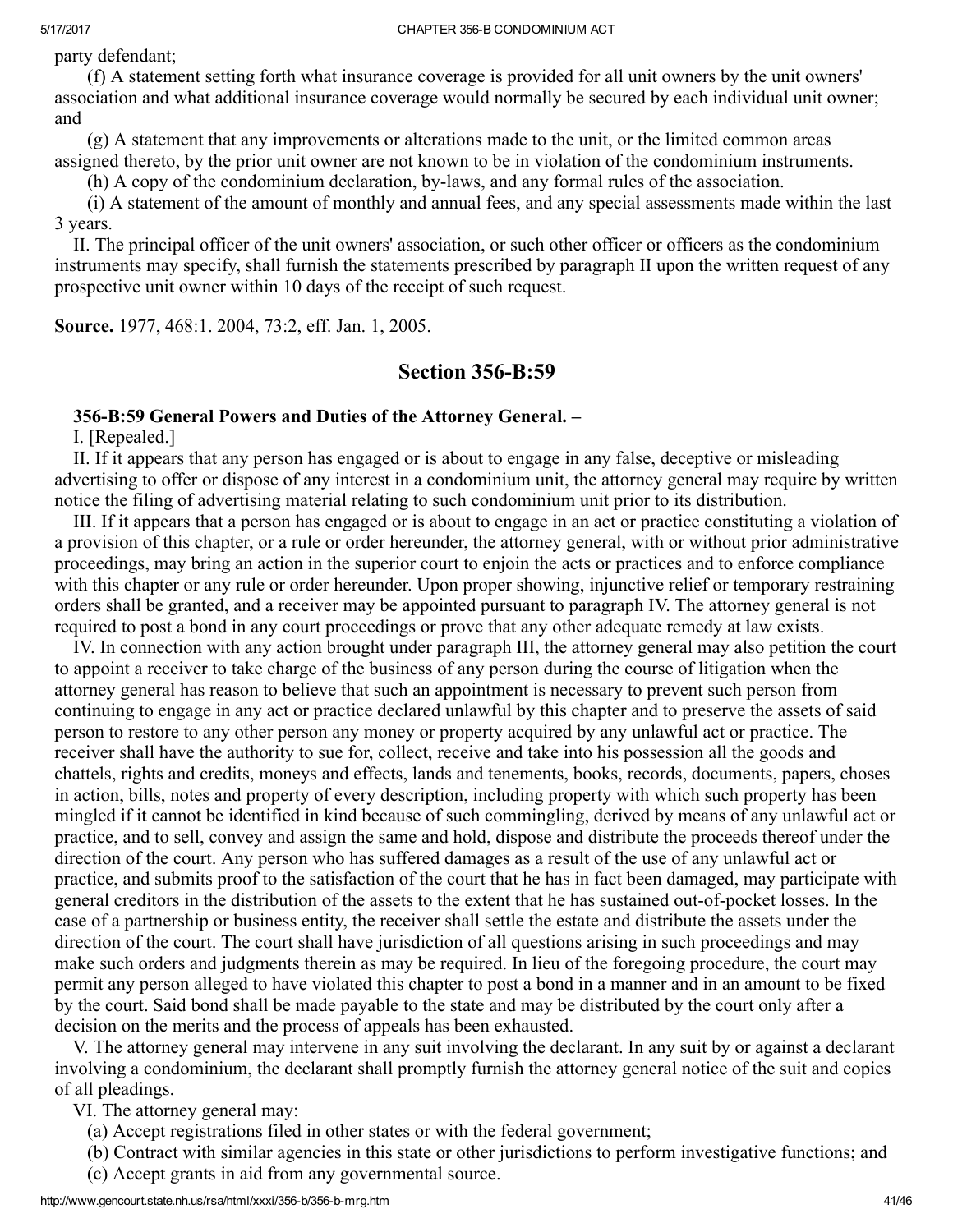party defendant;

(f) A statement setting forth what insurance coverage is provided for all unit owners by the unit owners' association and what additional insurance coverage would normally be secured by each individual unit owner; and

 $(g)$  A statement that any improvements or alterations made to the unit, or the limited common areas assigned thereto, by the prior unit owner are not known to be in violation of the condominium instruments.

(h) A copy of the condominium declaration, by-laws, and any formal rules of the association.

(i) A statement of the amount of monthly and annual fees, and any special assessments made within the last 3 years.

II. The principal officer of the unit owners' association, or such other officer or officers as the condominium instruments may specify, shall furnish the statements prescribed by paragraph II upon the written request of any prospective unit owner within 10 days of the receipt of such request.

Source. 1977, 468:1. 2004, 73:2, eff. Jan. 1, 2005.

# **Section 356-B:59**

### 356-B:59 General Powers and Duties of the Attorney General. -

I. [Repealed.]

II. If it appears that any person has engaged or is about to engage in any false, deceptive or misleading advertising to offer or dispose of any interest in a condominium unit, the attorney general may require by written notice the filing of advertising material relating to such condominium unit prior to its distribution.

III. If it appears that a person has engaged or is about to engage in an act or practice constituting a violation of a provision of this chapter, or a rule or order hereunder, the attorney general, with or without prior administrative proceedings, may bring an action in the superior court to enjoin the acts or practices and to enforce compliance with this chapter or any rule or order hereunder. Upon proper showing, injunctive relief or temporary restraining orders shall be granted, and a receiver may be appointed pursuant to paragraph IV. The attorney general is not required to post a bond in any court proceedings or prove that any other adequate remedy at law exists.

IV. In connection with any action brought under paragraph III, the attorney general may also petition the court to appoint a receiver to take charge of the business of any person during the course of litigation when the attorney general has reason to believe that such an appointment is necessary to prevent such person from continuing to engage in any act or practice declared unlawful by this chapter and to preserve the assets of said person to restore to any other person any money or property acquired by any unlawful act or practice. The receiver shall have the authority to sue for, collect, receive and take into his possession all the goods and chattels, rights and credits, moneys and effects, lands and tenements, books, records, documents, papers, choses in action, bills, notes and property of every description, including property with which such property has been mingled if it cannot be identified in kind because of such commingling, derived by means of any unlawful act or practice, and to sell, convey and assign the same and hold, dispose and distribute the proceeds thereof under the direction of the court. Any person who has suffered damages as a result of the use of any unlawful act or practice, and submits proof to the satisfaction of the court that he has in fact been damaged, may participate with general creditors in the distribution of the assets to the extent that he has sustained out-of-pocket losses. In the case of a partnership or business entity, the receiver shall settle the estate and distribute the assets under the direction of the court. The court shall have jurisdiction of all questions arising in such proceedings and may make such orders and judgments therein as may be required. In lieu of the foregoing procedure, the court may permit any person alleged to have violated this chapter to post a bond in a manner and in an amount to be fixed by the court. Said bond shall be made payable to the state and may be distributed by the court only after a decision on the merits and the process of appeals has been exhausted.

V. The attorney general may intervene in any suit involving the declarant. In any suit by or against a declarant involving a condominium, the declarant shall promptly furnish the attorney general notice of the suit and copies of all pleadings.

VI. The attorney general may:

(a) Accept registrations filed in other states or with the federal government;

(b) Contract with similar agencies in this state or other jurisdictions to perform investigative functions; and

(c) Accept grants in aid from any governmental source.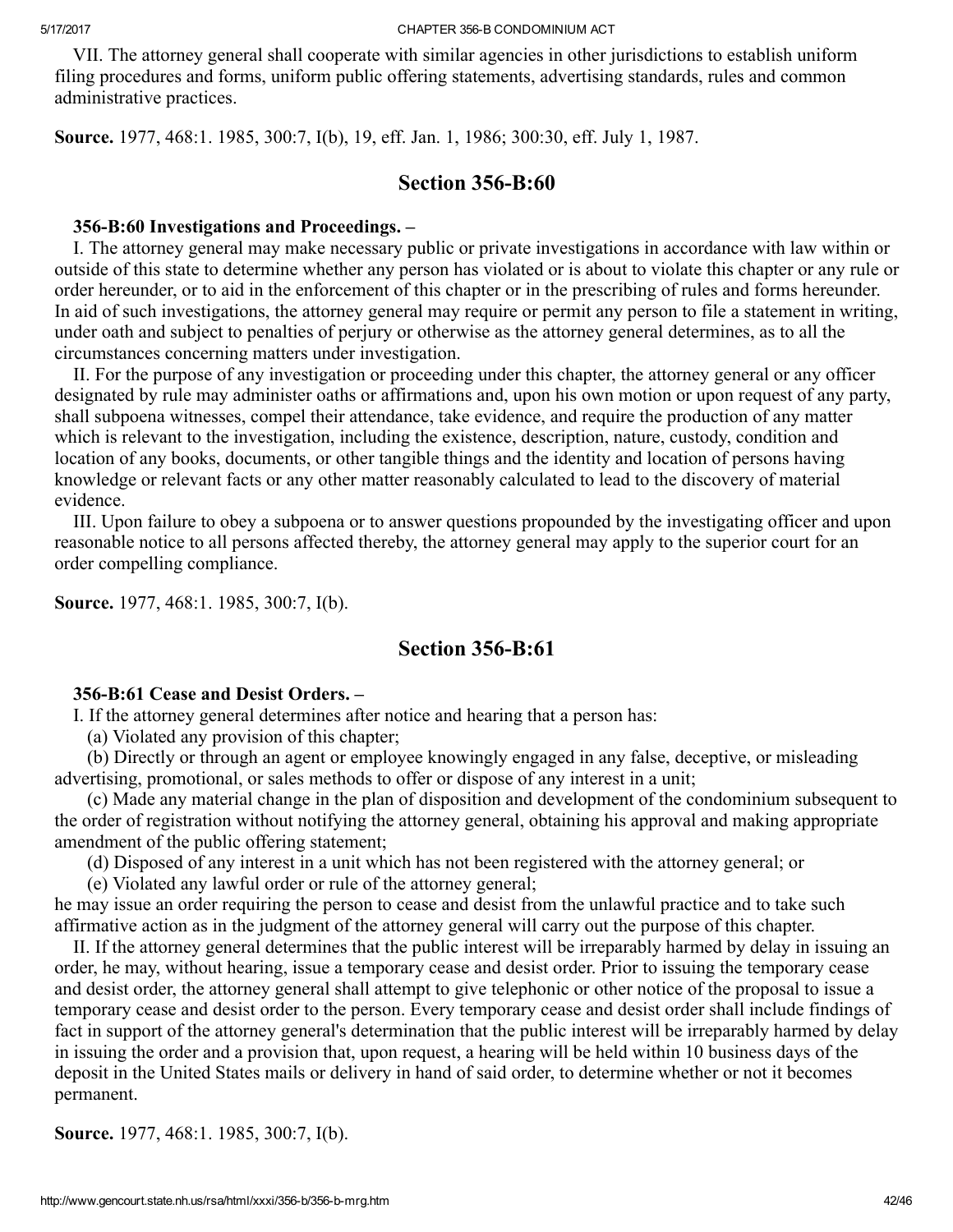VII. The attorney general shall cooperate with similar agencies in other jurisdictions to establish uniform filing procedures and forms, uniform public offering statements, advertising standards, rules and common administrative practices.

Source. 1977, 468:1. 1985, 300:7, I(b), 19, eff. Jan. 1, 1986; 300:30, eff. July 1, 1987.

### **Section 356-B:60**

### 356-B:60 Investigations and Proceedings. -

I. The attorney general may make necessary public or private investigations in accordance with law within or outside of this state to determine whether any person has violated or is about to violate this chapter or any rule or order hereunder, or to aid in the enforcement of this chapter or in the prescribing of rules and forms hereunder. In aid of such investigations, the attorney general may require or permit any person to file a statement in writing, under oath and subject to penalties of perjury or otherwise as the attorney general determines, as to all the circumstances concerning matters under investigation.

II. For the purpose of any investigation or proceeding under this chapter, the attorney general or any officer designated by rule may administer oaths or affirmations and, upon his own motion or upon request of any party, shall subpoena witnesses, compel their attendance, take evidence, and require the production of any matter which is relevant to the investigation, including the existence, description, nature, custody, condition and location of any books, documents, or other tangible things and the identity and location of persons having knowledge or relevant facts or any other matter reasonably calculated to lead to the discovery of material evidence.

III. Upon failure to obey a subpoena or to answer questions propounded by the investigating officer and upon reasonable notice to all persons affected thereby, the attorney general may apply to the superior court for an order compelling compliance.

Source. 1977, 468:1. 1985, 300:7, I(b).

# **Section 356-B:61**

### 356-B:61 Cease and Desist Orders. -

I. If the attorney general determines after notice and hearing that a person has:

(a) Violated any provision of this chapter;

(b) Directly or through an agent or employee knowingly engaged in any false, deceptive, or misleading advertising, promotional, or sales methods to offer or dispose of any interest in a unit;

(c) Made any material change in the plan of disposition and development of the condominium subsequent to the order of registration without notifying the attorney general, obtaining his approval and making appropriate amendment of the public offering statement;

(d) Disposed of any interest in a unit which has not been registered with the attorney general; or

(e) Violated any lawful order or rule of the attorney general;

he may issue an order requiring the person to cease and desist from the unlawful practice and to take such affirmative action as in the judgment of the attorney general will carry out the purpose of this chapter.

II. If the attorney general determines that the public interest will be irreparably harmed by delay in issuing an order, he may, without hearing, issue a temporary cease and desist order. Prior to issuing the temporary cease and desist order, the attorney general shall attempt to give telephonic or other notice of the proposal to issue a temporary cease and desist order to the person. Every temporary cease and desist order shall include findings of fact in support of the attorney general's determination that the public interest will be irreparably harmed by delay in issuing the order and a provision that, upon request, a hearing will be held within 10 business days of the deposit in the United States mails or delivery in hand of said order, to determine whether or not it becomes permanent.

Source. 1977, 468:1. 1985, 300:7, I(b).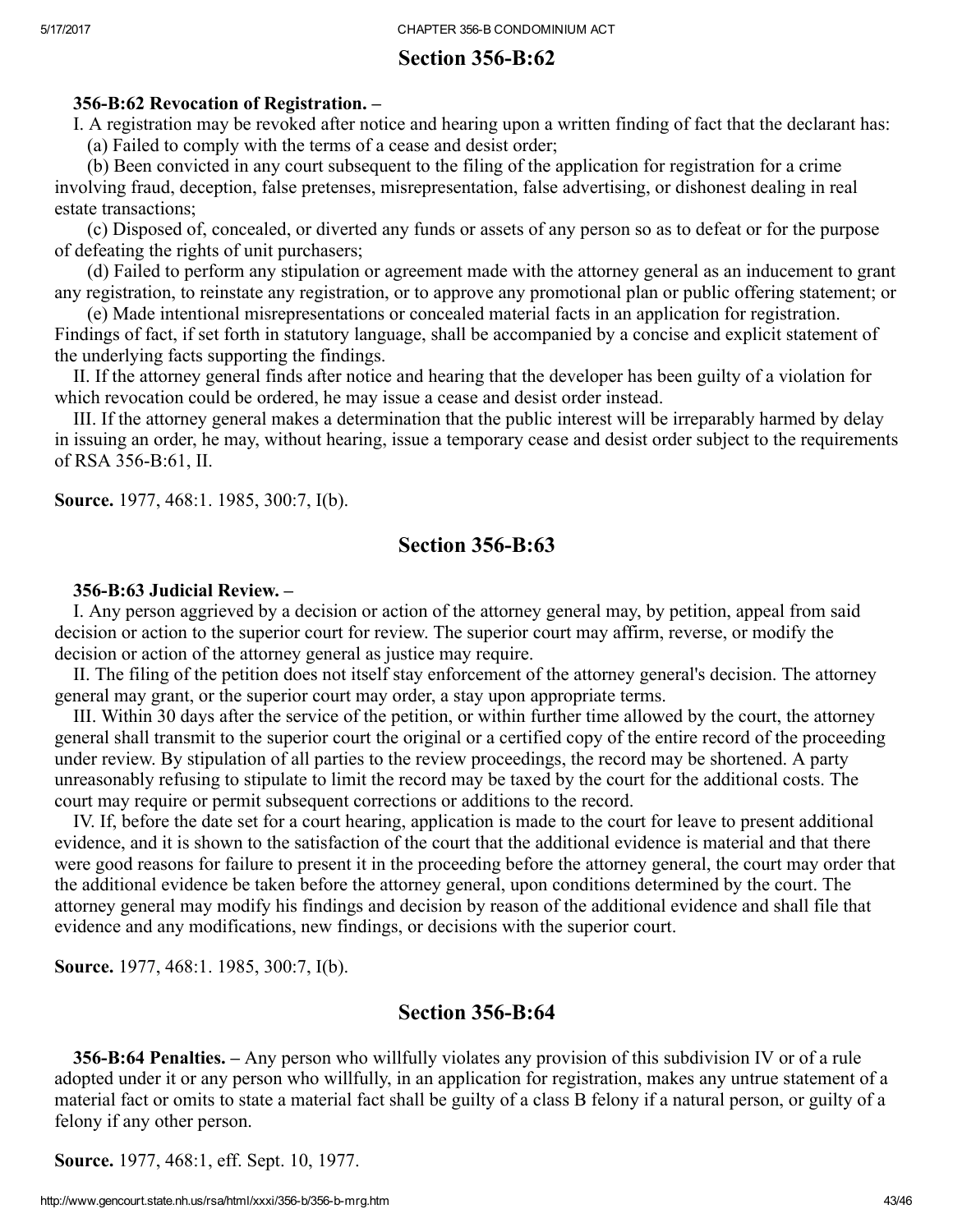# **Section 356-B:62**

### 356-B:62 Revocation of Registration. -

I. A registration may be revoked after notice and hearing upon a written finding of fact that the declarant has: (a) Failed to comply with the terms of a cease and desist order;

(b) Been convicted in any court subsequent to the filing of the application for registration for a crime involving fraud, deception, false pretenses, misrepresentation, false advertising, or dishonest dealing in real estate transactions;

(c) Disposed of, concealed, or diverted any funds or assets of any person so as to defeat or for the purpose of defeating the rights of unit purchasers;

(d) Failed to perform any stipulation or agreement made with the attorney general as an inducement to grant any registration, to reinstate any registration, or to approve any promotional plan or public offering statement; or

(e) Made intentional misrepresentations or concealed material facts in an application for registration. Findings of fact, if set forth in statutory language, shall be accompanied by a concise and explicit statement of the underlying facts supporting the findings.

II. If the attorney general finds after notice and hearing that the developer has been guilty of a violation for which revocation could be ordered, he may issue a cease and desist order instead.

III. If the attorney general makes a determination that the public interest will be irreparably harmed by delay in issuing an order, he may, without hearing, issue a temporary cease and desist order subject to the requirements of RSA 356-B:61, II.

Source. 1977, 468:1. 1985, 300:7, I(b).

# **Section 356-B:63**

### 356-B:63 Judicial Review. -

I. Any person aggrieved by a decision or action of the attorney general may, by petition, appeal from said decision or action to the superior court for review. The superior court may affirm, reverse, or modify the decision or action of the attorney general as justice may require.

II. The filing of the petition does not itself stay enforcement of the attorney general's decision. The attorney general may grant, or the superior court may order, a stay upon appropriate terms.

III. Within 30 days after the service of the petition, or within further time allowed by the court, the attorney general shall transmit to the superior court the original or a certified copy of the entire record of the proceeding under review. By stipulation of all parties to the review proceedings, the record may be shortened. A party unreasonably refusing to stipulate to limit the record may be taxed by the court for the additional costs. The court may require or permit subsequent corrections or additions to the record.

IV. If, before the date set for a court hearing, application is made to the court for leave to present additional evidence, and it is shown to the satisfaction of the court that the additional evidence is material and that there were good reasons for failure to present it in the proceeding before the attorney general, the court may order that the additional evidence be taken before the attorney general, upon conditions determined by the court. The attorney general may modify his findings and decision by reason of the additional evidence and shall file that evidence and any modifications, new findings, or decisions with the superior court.

Source. 1977, 468:1. 1985, 300:7, I(b).

# **Section 356-B:64**

**356-B:64 Penalties.** – Any person who willfully violates any provision of this subdivision IV or of a rule adopted under it or any person who willfully, in an application for registration, makes any untrue statement of a material fact or omits to state a material fact shall be guilty of a class B felony if a natural person, or guilty of a felony if any other person.

Source. 1977, 468:1, eff. Sept. 10, 1977.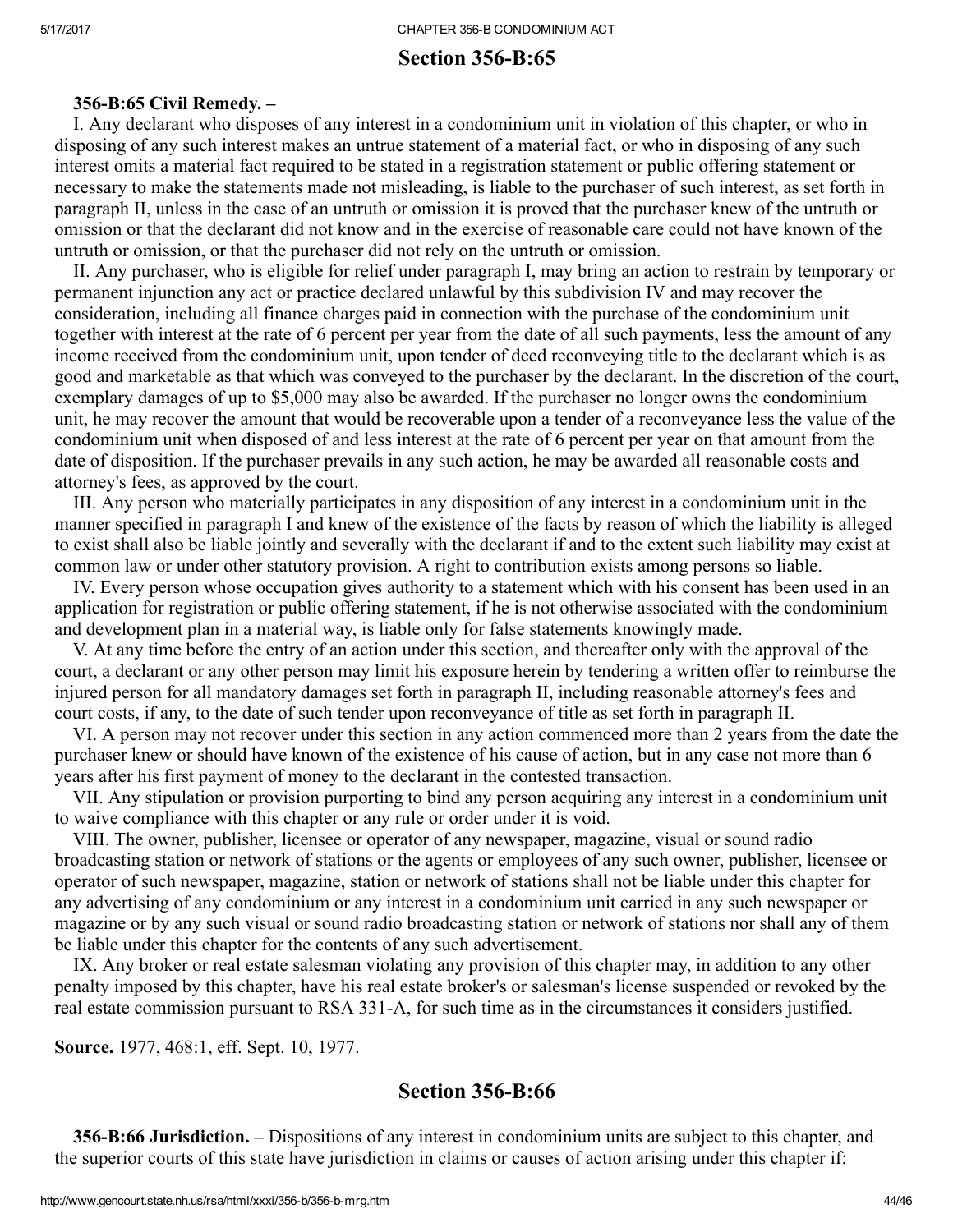# **Section 356-B:65**

### $356-B:65$  Civil Remedy.  $-$

I. Any declarant who disposes of any interest in a condominium unit in violation of this chapter, or who in disposing of any such interest makes an untrue statement of a material fact, or who in disposing of any such interest omits a material fact required to be stated in a registration statement or public offering statement or necessary to make the statements made not misleading, is liable to the purchaser of such interest, as set forth in paragraph II, unless in the case of an untruth or omission it is proved that the purchaser knew of the untruth or omission or that the declarant did not know and in the exercise of reasonable care could not have known of the untruth or omission, or that the purchaser did not rely on the untruth or omission.

II. Any purchaser, who is eligible for relief under paragraph I, may bring an action to restrain by temporary or permanent injunction any act or practice declared unlawful by this subdivision IV and may recover the consideration, including all finance charges paid in connection with the purchase of the condominium unit together with interest at the rate of 6 percent per year from the date of all such payments, less the amount of any income received from the condominium unit, upon tender of deed reconveying title to the declarant which is as good and marketable as that which was conveyed to the purchaser by the declarant. In the discretion of the court, exemplary damages of up to \$5,000 may also be awarded. If the purchaser no longer owns the condominium unit, he may recover the amount that would be recoverable upon a tender of a reconveyance less the value of the condominium unit when disposed of and less interest at the rate of 6 percent per year on that amount from the date of disposition. If the purchaser prevails in any such action, he may be awarded all reasonable costs and attorney's fees, as approved by the court.

III. Any person who materially participates in any disposition of any interest in a condominium unit in the manner specified in paragraph I and knew of the existence of the facts by reason of which the liability is alleged to exist shall also be liable jointly and severally with the declarant if and to the extent such liability may exist at common law or under other statutory provision. A right to contribution exists among persons so liable.

IV. Every person whose occupation gives authority to a statement which with his consent has been used in an application for registration or public offering statement, if he is not otherwise associated with the condominium and development plan in a material way, is liable only for false statements knowingly made.

V. At any time before the entry of an action under this section, and thereafter only with the approval of the court, a declarant or any other person may limit his exposure herein by tendering a written offer to reimburse the injured person for all mandatory damages set forth in paragraph II, including reasonable attorney's fees and court costs, if any, to the date of such tender upon reconveyance of title as set forth in paragraph II.

VI. A person may not recover under this section in any action commenced more than 2 years from the date the purchaser knew or should have known of the existence of his cause of action, but in any case not more than 6 years after his first payment of money to the declarant in the contested transaction.

VII. Any stipulation or provision purporting to bind any person acquiring any interest in a condominium unit to waive compliance with this chapter or any rule or order under it is void.

VIII. The owner, publisher, licensee or operator of any newspaper, magazine, visual or sound radio broadcasting station or network of stations or the agents or employees of any such owner, publisher, licensee or operator of such newspaper, magazine, station or network of stations shall not be liable under this chapter for any advertising of any condominium or any interest in a condominium unit carried in any such newspaper or magazine or by any such visual or sound radio broadcasting station or network of stations nor shall any of them be liable under this chapter for the contents of any such advertisement.

IX. Any broker or real estate salesman violating any provision of this chapter may, in addition to any other penalty imposed by this chapter, have his real estate broker's or salesman's license suspended or revoked by the real estate commission pursuant to RSA 331-A, for such time as in the circumstances it considers justified.

Source. 1977, 468:1, eff. Sept. 10, 1977.

# **Section 356-B:66**

356-B:66 Jurisdiction. – Dispositions of any interest in condominium units are subject to this chapter, and the superior courts of this state have jurisdiction in claims or causes of action arising under this chapter if: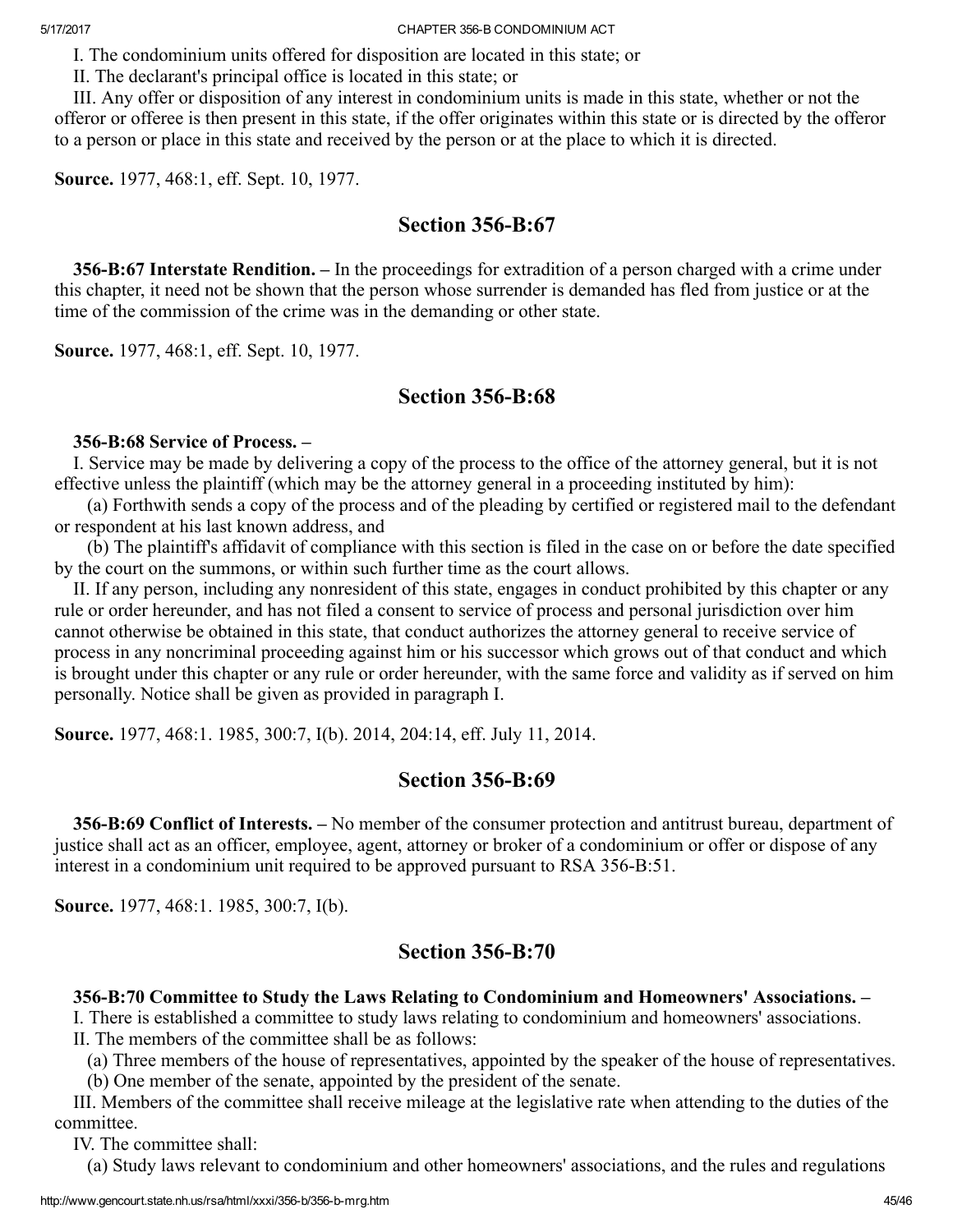I. The condominium units offered for disposition are located in this state; or

II. The declarant's principal office is located in this state; or

III. Any offer or disposition of any interest in condominium units is made in this state, whether or not the offeror or offeree is then present in this state, if the offer originates within this state or is directed by the offeror to a person or place in this state and received by the person or at the place to which it is directed.

Source. 1977, 468:1, eff. Sept. 10, 1977.

# **Section 356-B:67**

**356-B:67 Interstate Rendition.** – In the proceedings for extradition of a person charged with a crime under this chapter, it need not be shown that the person whose surrender is demanded has fled from justice or at the time of the commission of the crime was in the demanding or other state.

Source. 1977, 468:1, eff. Sept. 10, 1977.

# **Section 356-B:68**

### 356-B:68 Service of Process. –

I. Service may be made by delivering a copy of the process to the office of the attorney general, but it is not effective unless the plaintiff (which may be the attorney general in a proceeding instituted by him):

(a) Forthwith sends a copy of the process and of the pleading by certified or registered mail to the defendant or respondent at his last known address, and

(b) The plaintiff's affidavit of compliance with this section is filed in the case on or before the date specified by the court on the summons, or within such further time as the court allows.

II. If any person, including any nonresident of this state, engages in conduct prohibited by this chapter or any rule or order hereunder, and has not filed a consent to service of process and personal jurisdiction over him cannot otherwise be obtained in this state, that conduct authorizes the attorney general to receive service of process in any noncriminal proceeding against him or his successor which grows out of that conduct and which is brought under this chapter or any rule or order hereunder, with the same force and validity as if served on him personally. Notice shall be given as provided in paragraph I.

Source. 1977, 468:1. 1985, 300:7, I(b). 2014, 204:14, eff. July 11, 2014.

# **Section 356-B:69**

**356-B:69 Conflict of Interests.** – No member of the consumer protection and antitrust bureau, department of justice shall act as an officer, employee, agent, attorney or broker of a condominium or offer or dispose of any interest in a condominium unit required to be approved pursuant to RSA 356-B:51.

Source. 1977, 468:1. 1985, 300:7, I(b).

# **Section 356-B:70**

### 356-B:70 Committee to Study the Laws Relating to Condominium and Homeowners' Associations. –

I. There is established a committee to study laws relating to condominium and homeowners' associations.

II. The members of the committee shall be as follows:

(a) Three members of the house of representatives, appointed by the speaker of the house of representatives.

(b) One member of the senate, appointed by the president of the senate.

III. Members of the committee shall receive mileage at the legislative rate when attending to the duties of the committee.

IV. The committee shall:

(a) Study laws relevant to condominium and other homeowners' associations, and the rules and regulations